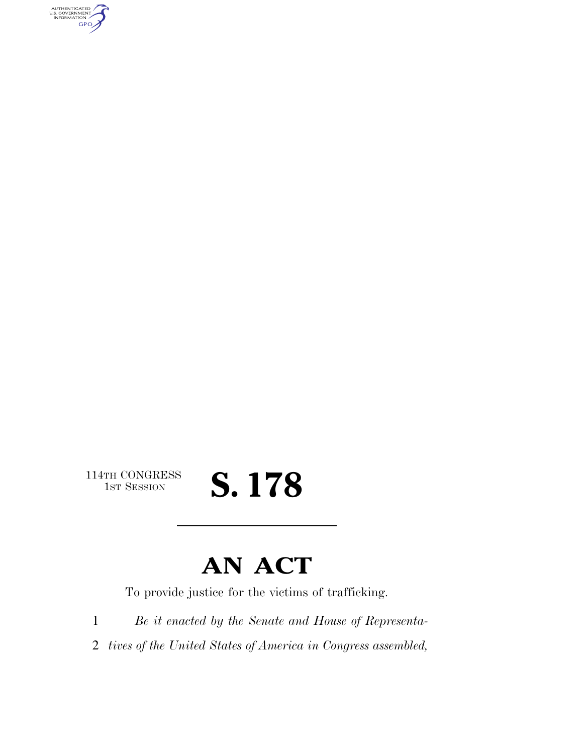AUTHENTICATED<br>U.S. GOVERNMENT<br>INFORMATION **GPO** 

114TH CONGRESS<br>1st Session

# S. 178

# **AN ACT**

To provide justice for the victims of trafficking.

1 *Be it enacted by the Senate and House of Representa-*

2 *tives of the United States of America in Congress assembled,*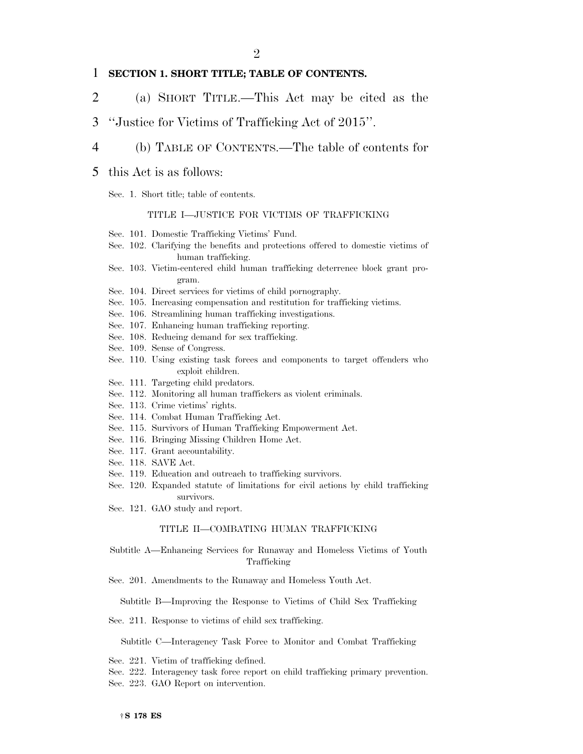#### 1 **SECTION 1. SHORT TITLE; TABLE OF CONTENTS.**

- 2 (a) SHORT TITLE.—This Act may be cited as the
- 3 ''Justice for Victims of Trafficking Act of 2015''.

#### 4 (b) TABLE OF CONTENTS.—The table of contents for

#### 5 this Act is as follows:

Sec. 1. Short title; table of contents.

#### TITLE I—JUSTICE FOR VICTIMS OF TRAFFICKING

- Sec. 101. Domestic Trafficking Victims' Fund.
- Sec. 102. Clarifying the benefits and protections offered to domestic victims of human trafficking.
- Sec. 103. Victim-centered child human trafficking deterrence block grant program.
- Sec. 104. Direct services for victims of child pornography.
- Sec. 105. Increasing compensation and restitution for trafficking victims.
- Sec. 106. Streamlining human trafficking investigations.
- Sec. 107. Enhancing human trafficking reporting.
- Sec. 108. Reducing demand for sex trafficking.
- Sec. 109. Sense of Congress.
- Sec. 110. Using existing task forces and components to target offenders who exploit children.
- Sec. 111. Targeting child predators.
- Sec. 112. Monitoring all human traffickers as violent criminals.
- Sec. 113. Crime victims' rights.
- Sec. 114. Combat Human Trafficking Act.
- Sec. 115. Survivors of Human Trafficking Empowerment Act.
- Sec. 116. Bringing Missing Children Home Act.
- Sec. 117. Grant accountability.
- Sec. 118. SAVE Act.
- Sec. 119. Education and outreach to trafficking survivors.
- Sec. 120. Expanded statute of limitations for civil actions by child trafficking survivors.
- Sec. 121. GAO study and report.

#### TITLE II—COMBATING HUMAN TRAFFICKING

- Subtitle A—Enhancing Services for Runaway and Homeless Victims of Youth Trafficking
- Sec. 201. Amendments to the Runaway and Homeless Youth Act.

Subtitle B—Improving the Response to Victims of Child Sex Trafficking

Sec. 211. Response to victims of child sex trafficking.

Subtitle C—Interagency Task Force to Monitor and Combat Trafficking

- Sec. 221. Victim of trafficking defined.
- Sec. 222. Interagency task force report on child trafficking primary prevention.
- Sec. 223. GAO Report on intervention.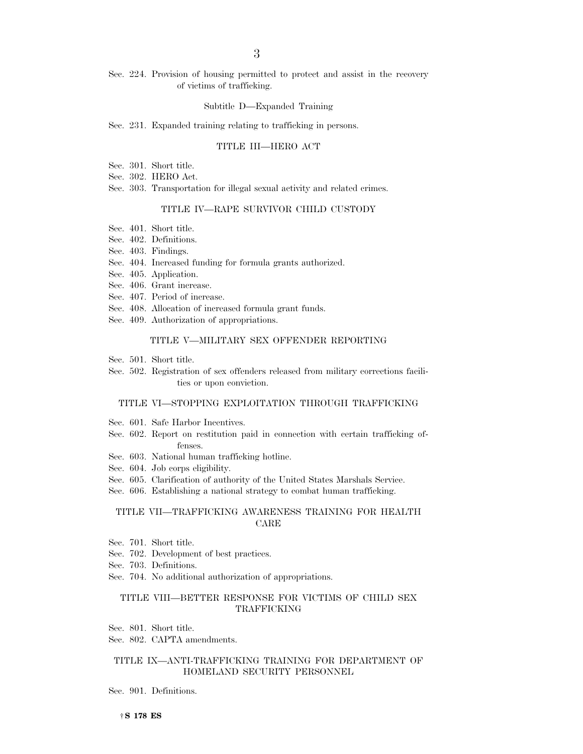Sec. 224. Provision of housing permitted to protect and assist in the recovery of victims of trafficking.

#### Subtitle D—Expanded Training

Sec. 231. Expanded training relating to trafficking in persons.

#### TITLE III—HERO ACT

- Sec. 301. Short title.
- Sec. 302. HERO Act.
- Sec. 303. Transportation for illegal sexual activity and related crimes.

#### TITLE IV—RAPE SURVIVOR CHILD CUSTODY

- Sec. 401. Short title.
- Sec. 402. Definitions.
- Sec. 403. Findings.
- Sec. 404. Increased funding for formula grants authorized.
- Sec. 405. Application.
- Sec. 406. Grant increase.
- Sec. 407. Period of increase.
- Sec. 408. Allocation of increased formula grant funds.
- Sec. 409. Authorization of appropriations.

#### TITLE V—MILITARY SEX OFFENDER REPORTING

- Sec. 501. Short title.
- Sec. 502. Registration of sex offenders released from military corrections facilities or upon conviction.

#### TITLE VI—STOPPING EXPLOITATION THROUGH TRAFFICKING

- Sec. 601. Safe Harbor Incentives.
- Sec. 602. Report on restitution paid in connection with certain trafficking offenses.
- Sec. 603. National human trafficking hotline.
- Sec. 604. Job corps eligibility.
- Sec. 605. Clarification of authority of the United States Marshals Service.
- Sec. 606. Establishing a national strategy to combat human trafficking.

#### TITLE VII—TRAFFICKING AWARENESS TRAINING FOR HEALTH CARE

- Sec. 701. Short title.
- Sec. 702. Development of best practices.
- Sec. 703. Definitions.
- Sec. 704. No additional authorization of appropriations.

#### TITLE VIII—BETTER RESPONSE FOR VICTIMS OF CHILD SEX TRAFFICKING

- Sec. 801. Short title.
- Sec. 802. CAPTA amendments.

#### TITLE IX—ANTI-TRAFFICKING TRAINING FOR DEPARTMENT OF HOMELAND SECURITY PERSONNEL

Sec. 901. Definitions.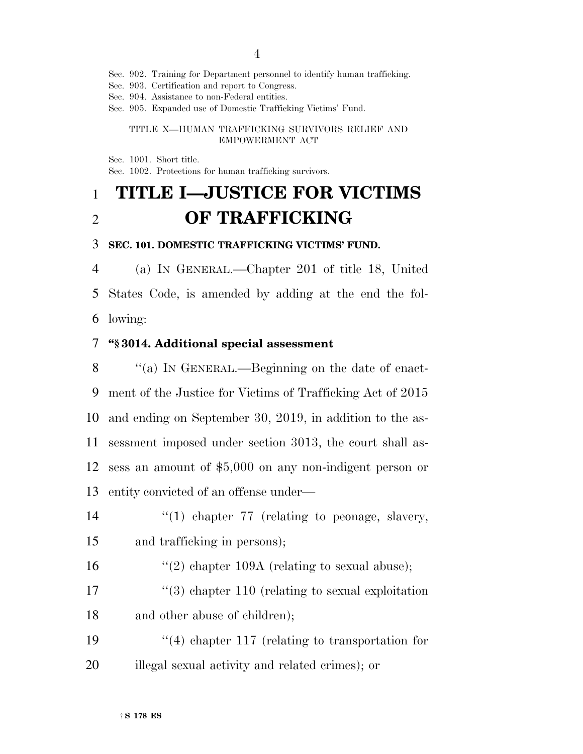4

Sec. 902. Training for Department personnel to identify human trafficking.

Sec. 903. Certification and report to Congress.

Sec. 904. Assistance to non-Federal entities.

Sec. 905. Expanded use of Domestic Trafficking Victims' Fund.

#### TITLE X—HUMAN TRAFFICKING SURVIVORS RELIEF AND EMPOWERMENT ACT

Sec. 1001. Short title.

Sec. 1002. Protections for human trafficking survivors.

## 1 **TITLE I—JUSTICE FOR VICTIMS**  2 **OF TRAFFICKING**

#### 3 **SEC. 101. DOMESTIC TRAFFICKING VICTIMS' FUND.**

4 (a) IN GENERAL.—Chapter 201 of title 18, United 5 States Code, is amended by adding at the end the fol-6 lowing:

#### 7 **''§ 3014. Additional special assessment**

8 "(a) In GENERAL.—Beginning on the date of enact- ment of the Justice for Victims of Trafficking Act of 2015 and ending on September 30, 2019, in addition to the as- sessment imposed under section 3013, the court shall as- sess an amount of \$5,000 on any non-indigent person or entity convicted of an offense under—

14  $\frac{1}{2}$  (1) chapter 77 (relating to peonage, slavery, 15 and trafficking in persons);

- 16 ''(2) chapter 109A (relating to sexual abuse);
- 17 ''(3) chapter 110 (relating to sexual exploitation 18 and other abuse of children);
- 19 ''(4) chapter 117 (relating to transportation for 20 illegal sexual activity and related crimes); or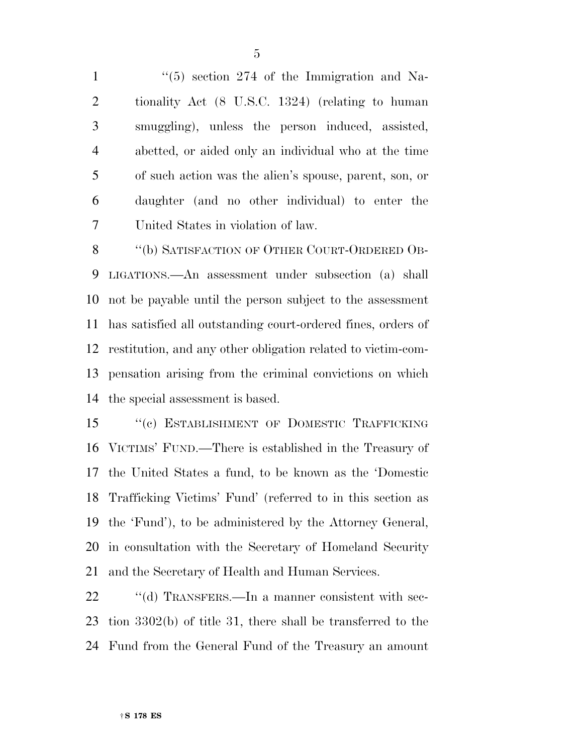1 ''(5) section 274 of the Immigration and Na- tionality Act (8 U.S.C. 1324) (relating to human smuggling), unless the person induced, assisted, abetted, or aided only an individual who at the time of such action was the alien's spouse, parent, son, or daughter (and no other individual) to enter the United States in violation of law.

8 "(b) SATISFACTION OF OTHER COURT-ORDERED OB- LIGATIONS.—An assessment under subsection (a) shall not be payable until the person subject to the assessment has satisfied all outstanding court-ordered fines, orders of restitution, and any other obligation related to victim-com- pensation arising from the criminal convictions on which the special assessment is based.

15 "(c) ESTABLISHMENT OF DOMESTIC TRAFFICKING VICTIMS' FUND.—There is established in the Treasury of the United States a fund, to be known as the 'Domestic Trafficking Victims' Fund' (referred to in this section as the 'Fund'), to be administered by the Attorney General, in consultation with the Secretary of Homeland Security and the Secretary of Health and Human Services.

22 "(d) TRANSFERS.—In a manner consistent with sec- tion 3302(b) of title 31, there shall be transferred to the Fund from the General Fund of the Treasury an amount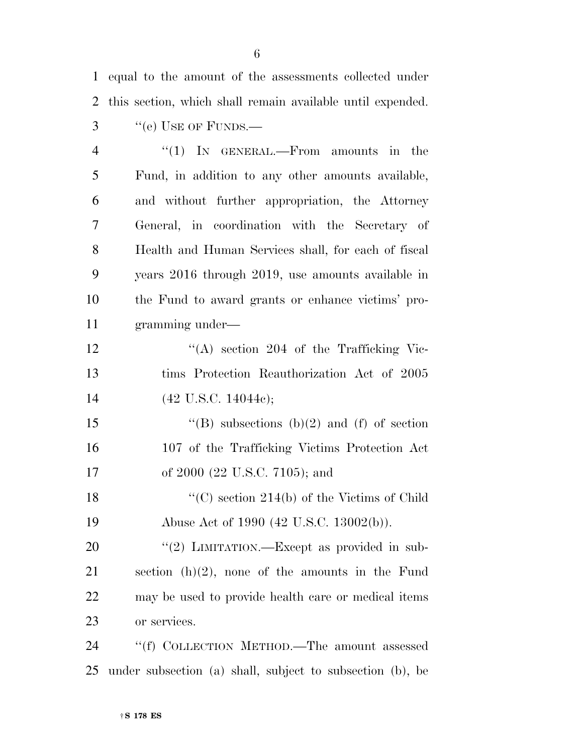equal to the amount of the assessments collected under this section, which shall remain available until expended.

3 "(e) USE OF FUNDS.—

| $\overline{4}$ | $\lq(1)$ In GENERAL.—From amounts in the            |
|----------------|-----------------------------------------------------|
| 5              | Fund, in addition to any other amounts available,   |
| 6              | and without further appropriation, the Attorney     |
| 7              | General, in coordination with the Secretary of      |
| 8              | Health and Human Services shall, for each of fiscal |
| 9              | years 2016 through 2019, use amounts available in   |
| 10             | the Fund to award grants or enhance victims' pro-   |
| 11             | gramming under-                                     |

12 ''(A) section 204 of the Trafficking Vic- tims Protection Reauthorization Act of 2005 14 (42 U.S.C. 14044c);

15  $"$ (B) subsections (b)(2) and (f) of section 107 of the Trafficking Victims Protection Act 17 of 2000 (22 U.S.C. 7105); and

18 ''(C) section 214(b) of the Victims of Child 19 Abuse Act of 1990 (42 U.S.C. 13002(b)).

20 "(2) LIMITATION.—Except as provided in sub- section (h)(2), none of the amounts in the Fund may be used to provide health care or medical items or services.

24 "(f) COLLECTION METHOD.—The amount assessed under subsection (a) shall, subject to subsection (b), be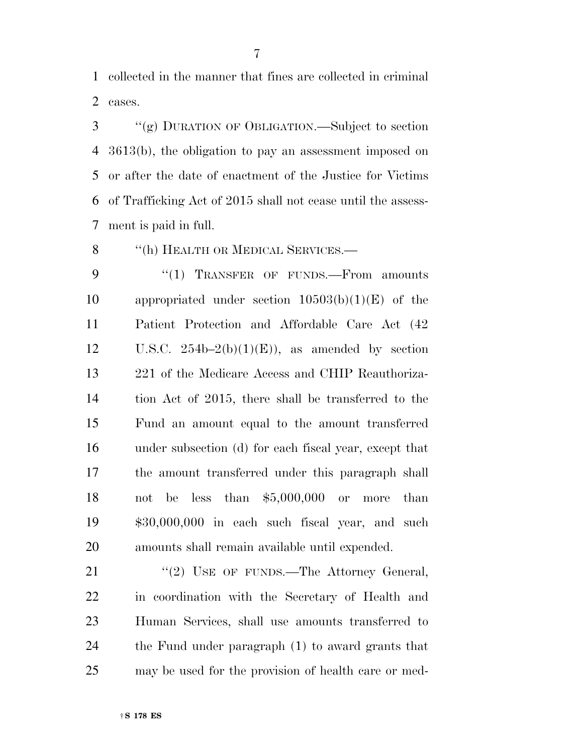collected in the manner that fines are collected in criminal cases.

 ''(g) DURATION OF OBLIGATION.—Subject to section 3613(b), the obligation to pay an assessment imposed on or after the date of enactment of the Justice for Victims of Trafficking Act of 2015 shall not cease until the assess-ment is paid in full.

8 "(h) HEALTH OR MEDICAL SERVICES.—

9 "(1) TRANSFER OF FUNDS.—From amounts 10 appropriated under section  $10503(b)(1)(E)$  of the Patient Protection and Affordable Care Act (42 12 U.S.C.  $254b-2(b)(1)(E)$ , as amended by section 221 of the Medicare Access and CHIP Reauthoriza- tion Act of 2015, there shall be transferred to the Fund an amount equal to the amount transferred under subsection (d) for each fiscal year, except that the amount transferred under this paragraph shall not be less than \$5,000,000 or more than \$30,000,000 in each such fiscal year, and such amounts shall remain available until expended.

21 "(2) USE OF FUNDS.—The Attorney General, in coordination with the Secretary of Health and Human Services, shall use amounts transferred to the Fund under paragraph (1) to award grants that may be used for the provision of health care or med-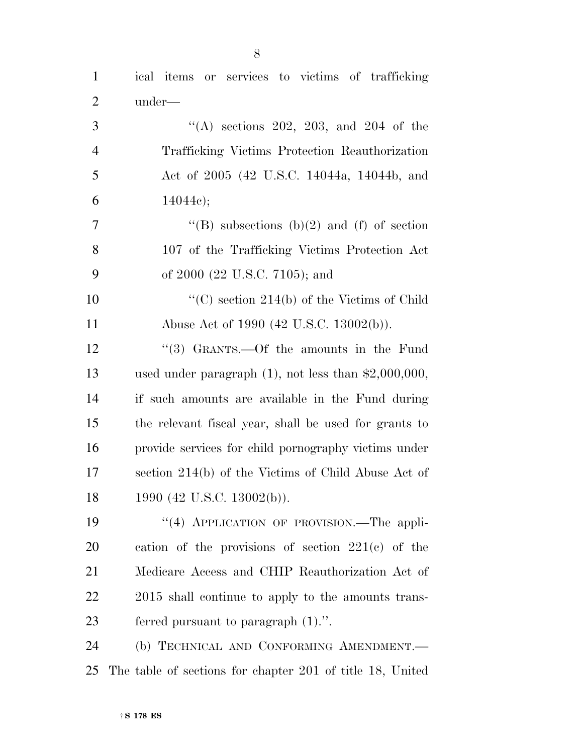| $\mathbf{1}$   | ical items or services to victims of trafficking          |
|----------------|-----------------------------------------------------------|
| $\overline{2}$ | under—                                                    |
| 3              | "(A) sections 202, 203, and 204 of the                    |
| $\overline{4}$ | Trafficking Victims Protection Reauthorization            |
| 5              | Act of 2005 (42 U.S.C. 14044a, 14044b, and                |
| 6              | 14044c);                                                  |
| $\overline{7}$ | "(B) subsections (b)(2) and (f) of section                |
| 8              | 107 of the Trafficking Victims Protection Act             |
| 9              | of 2000 (22 U.S.C. 7105); and                             |
| 10             | "(C) section $214(b)$ of the Victims of Child             |
| 11             | Abuse Act of 1990 (42 U.S.C. 13002(b)).                   |
| 12             | "(3) GRANTS.—Of the amounts in the Fund                   |
| 13             | used under paragraph $(1)$ , not less than \$2,000,000,   |
| 14             | if such amounts are available in the Fund during          |
| 15             | the relevant fiscal year, shall be used for grants to     |
| 16             | provide services for child pornography victims under      |
| 17             | section 214(b) of the Victims of Child Abuse Act of       |
| 18             | 1990 (42 U.S.C. 13002(b)).                                |
| 19             | "(4) APPLICATION OF PROVISION.—The appli-                 |
| <b>20</b>      | cation of the provisions of section $221(c)$ of the       |
| 21             | Medicare Access and CHIP Reauthorization Act of           |
| 22             | 2015 shall continue to apply to the amounts trans-        |
| 23             | ferred pursuant to paragraph $(1)$ .".                    |
| 24             | (b) TECHNICAL AND CONFORMING AMENDMENT.                   |
| 25             | The table of sections for chapter 201 of title 18, United |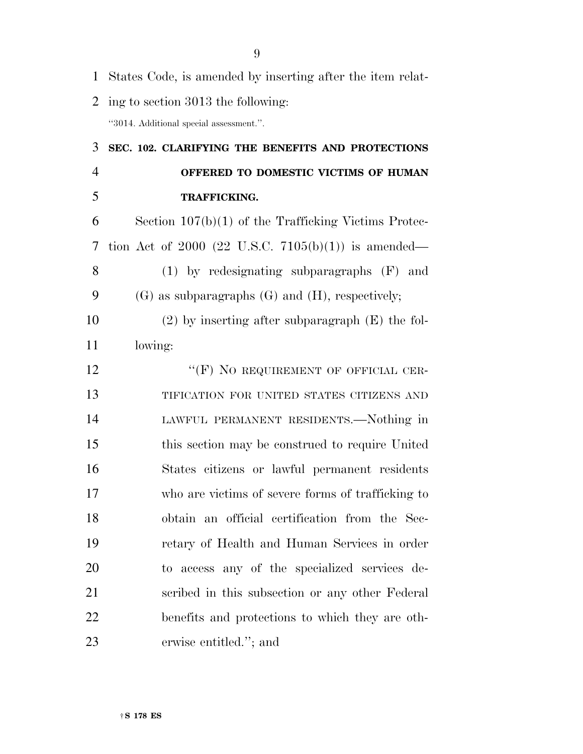States Code, is amended by inserting after the item relat-

ing to section 3013 the following:

''3014. Additional special assessment.''.

 **SEC. 102. CLARIFYING THE BENEFITS AND PROTECTIONS OFFERED TO DOMESTIC VICTIMS OF HUMAN TRAFFICKING.**  Section 107(b)(1) of the Trafficking Victims Protec- tion Act of 2000 (22 U.S.C. 7105(b)(1)) is amended— (1) by redesignating subparagraphs (F) and (G) as subparagraphs (G) and (H), respectively; (2) by inserting after subparagraph (E) the fol-11 lowing: 12 "(F) NO REQUIREMENT OF OFFICIAL CER- TIFICATION FOR UNITED STATES CITIZENS AND LAWFUL PERMANENT RESIDENTS.—Nothing in this section may be construed to require United States citizens or lawful permanent residents

 who are victims of severe forms of trafficking to obtain an official certification from the Sec- retary of Health and Human Services in order to access any of the specialized services de- scribed in this subsection or any other Federal benefits and protections to which they are oth-erwise entitled.''; and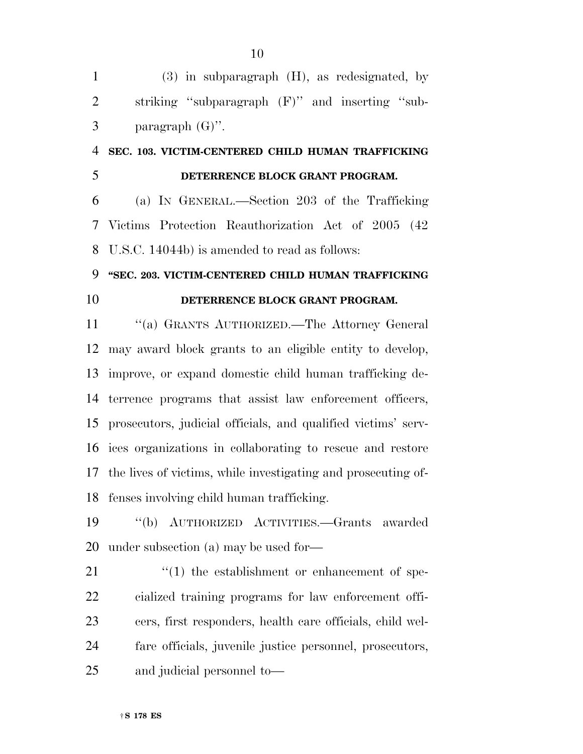|   | $(3)$ in subparagraph $(H)$ , as redesignated, by |
|---|---------------------------------------------------|
| 2 | striking "subparagraph (F)" and inserting "sub-   |
| 3 | paragraph $(G)$ ".                                |

### **SEC. 103. VICTIM-CENTERED CHILD HUMAN TRAFFICKING DETERRENCE BLOCK GRANT PROGRAM.**

 (a) IN GENERAL.—Section 203 of the Trafficking Victims Protection Reauthorization Act of 2005 (42 U.S.C. 14044b) is amended to read as follows:

#### **''SEC. 203. VICTIM-CENTERED CHILD HUMAN TRAFFICKING**

#### **DETERRENCE BLOCK GRANT PROGRAM.**

 ''(a) GRANTS AUTHORIZED.—The Attorney General may award block grants to an eligible entity to develop, improve, or expand domestic child human trafficking de- terrence programs that assist law enforcement officers, prosecutors, judicial officials, and qualified victims' serv- ices organizations in collaborating to rescue and restore the lives of victims, while investigating and prosecuting of-fenses involving child human trafficking.

 ''(b) AUTHORIZED ACTIVITIES.—Grants awarded under subsection (a) may be used for—

 $\frac{1}{2}$  (1) the establishment or enhancement of spe- cialized training programs for law enforcement offi- cers, first responders, health care officials, child wel- fare officials, juvenile justice personnel, prosecutors, and judicial personnel to—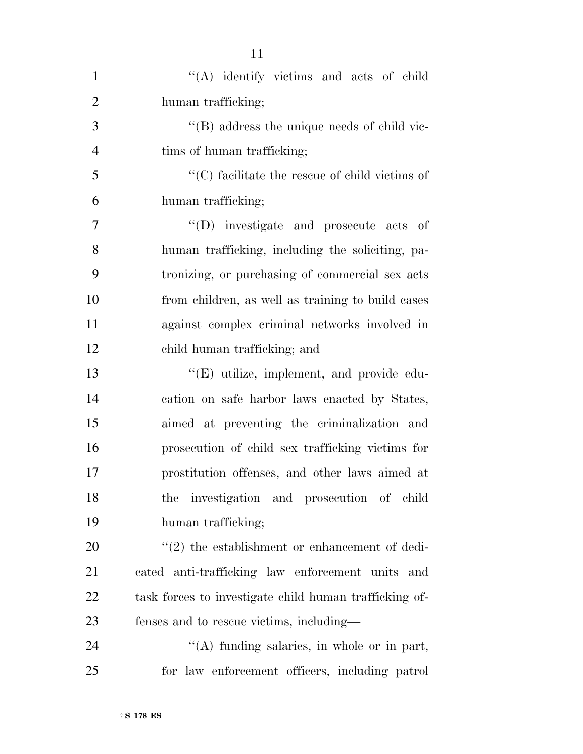| $\mathbf{1}$   | "(A) identify victims and acts of child                |
|----------------|--------------------------------------------------------|
| $\overline{2}$ | human trafficking;                                     |
| 3              | $\lq\lq$ (B) address the unique needs of child vic-    |
| $\overline{4}$ | tims of human trafficking;                             |
| 5              | $\lq\lq$ (C) facilitate the rescue of child victims of |
| 6              | human trafficking;                                     |
| 7              | "(D) investigate and prosecute acts of                 |
| 8              | human trafficking, including the soliciting, pa-       |
| 9              | tronizing, or purchasing of commercial sex acts        |
| 10             | from children, as well as training to build cases      |
| 11             | against complex criminal networks involved in          |
| 12             | child human trafficking; and                           |
| 13             | "(E) utilize, implement, and provide edu-              |
| 14             | cation on safe harbor laws enacted by States,          |
| 15             | aimed at preventing the criminalization and            |
| 16             | prosecution of child sex trafficking victims for       |
| 17             | prostitution offenses, and other laws aimed at         |
| 18             | the investigation and prosecution of child             |
| 19             | human trafficking;                                     |
| 20             | $\lq(2)$ the establishment or enhancement of dedi-     |
| 21             | cated anti-trafficking law enforcement units and       |
| 22             | task forces to investigate child human trafficking of- |
| 23             | fenses and to rescue victims, including—               |
| 24             | $\lq\lq$ funding salaries, in whole or in part,        |
| 25             | for law enforcement officers, including patrol         |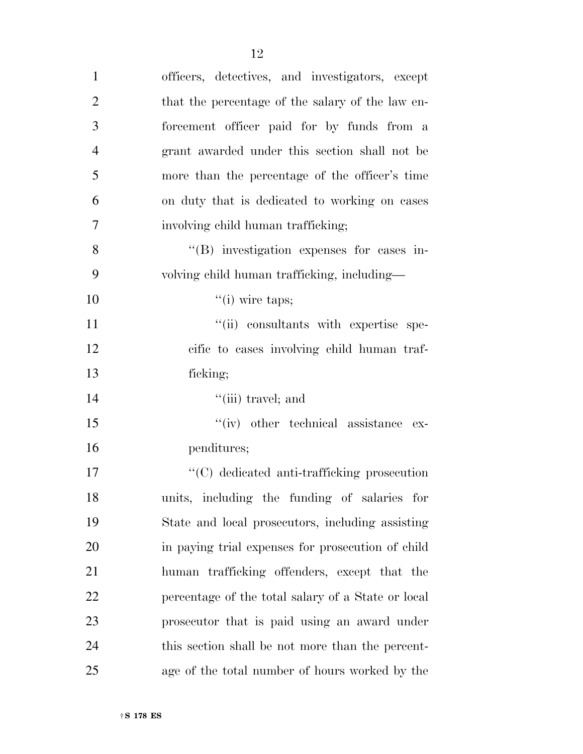| $\mathbf{1}$   | officers, detectives, and investigators, except    |
|----------------|----------------------------------------------------|
| $\overline{2}$ | that the percentage of the salary of the law en-   |
| 3              | forcement officer paid for by funds from a         |
| $\overline{4}$ | grant awarded under this section shall not be      |
| 5              | more than the percentage of the officer's time     |
| 6              | on duty that is dedicated to working on cases      |
| 7              | involving child human trafficking;                 |
| 8              | "(B) investigation expenses for cases in-          |
| 9              | volving child human trafficking, including-        |
| 10             | $``(i)$ wire taps;                                 |
| 11             | "(ii) consultants with expertise spe-              |
| 12             | cific to cases involving child human traf-         |
| 13             | ficking;                                           |
| 14             | $``$ (iii) travel; and                             |
| 15             | "(iv) other technical assistance ex-               |
| 16             | penditures;                                        |
| 17             | "(C) dedicated anti-trafficking prosecution        |
| 18             | units, including the funding of salaries for       |
| 19             | State and local prosecutors, including assisting   |
| 20             | in paying trial expenses for prosecution of child  |
| 21             | human trafficking offenders, except that the       |
| 22             | percentage of the total salary of a State or local |
| 23             | prosecutor that is paid using an award under       |
|                |                                                    |
| 24             | this section shall be not more than the percent-   |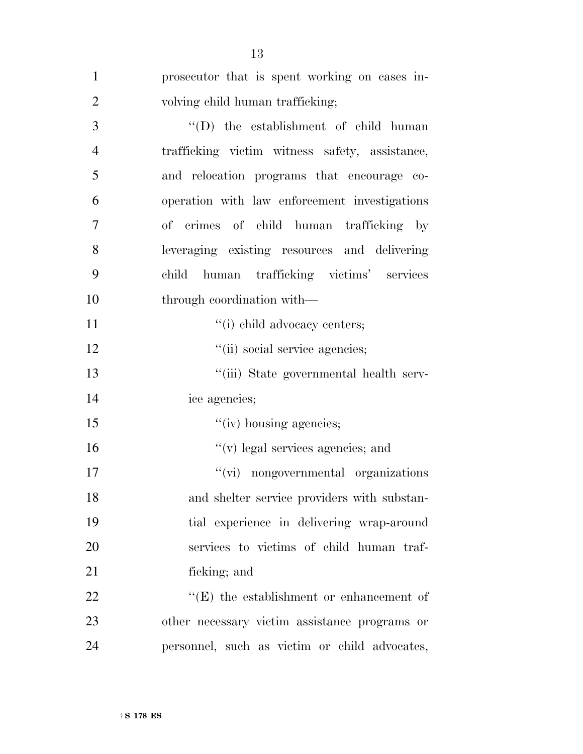| $\mathbf{1}$   | prosecutor that is spent working on cases in-   |
|----------------|-------------------------------------------------|
| $\overline{2}$ | volving child human trafficking;                |
| 3              | $\lq\lq$ the establishment of child human       |
| $\overline{4}$ | trafficking victim witness safety, assistance,  |
| 5              | and relocation programs that encourage co-      |
| 6              | operation with law enforcement investigations   |
| 7              | of crimes of child human trafficking by         |
| 8              | leveraging existing resources and delivering    |
| 9              | child human trafficking victims' services       |
| 10             | through coordination with—                      |
| 11             | "(i) child advocacy centers;                    |
| 12             | "(ii) social service agencies;                  |
| 13             | "(iii) State governmental health serv-          |
| 14             | ice agencies;                                   |
| 15             | "(iv) housing agencies;                         |
| 16             | $f'(v)$ legal services agencies; and            |
| 17             | "(vi) nongovernmental organizations             |
| 18             | and shelter service providers with substan-     |
| 19             | tial experience in delivering wrap-around       |
| 20             | services to victims of child human traf-        |
| 21             | ficking; and                                    |
| 22             | $\lq\lq(E)$ the establishment or enhancement of |
| 23             | other necessary victim assistance programs or   |
| 24             | personnel, such as victim or child advocates,   |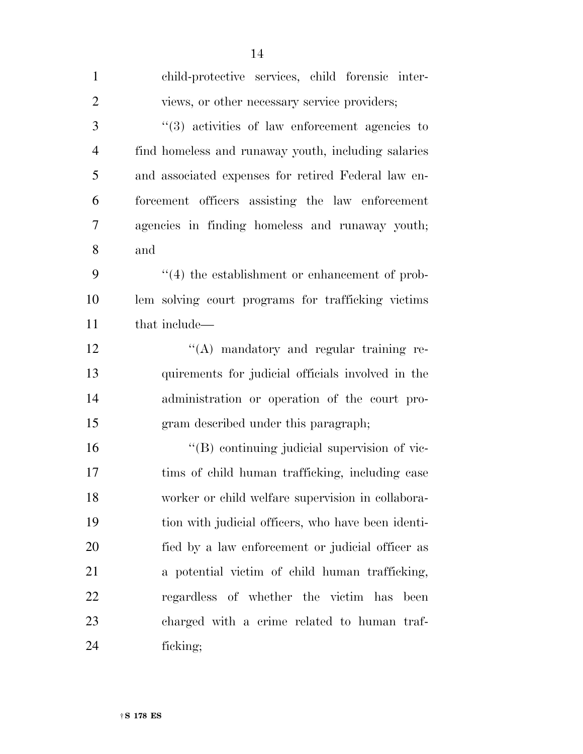| $\mathbf{1}$   | child-protective services, child forensic inter-           |
|----------------|------------------------------------------------------------|
| $\overline{2}$ | views, or other necessary service providers;               |
| 3              | $\cdot\cdot$ (3) activities of law enforcement agencies to |
| $\overline{4}$ | find homeless and runaway youth, including salaries        |
| 5              | and associated expenses for retired Federal law en-        |
| 6              | forcement officers assisting the law enforcement           |
| $\overline{7}$ | agencies in finding homeless and runaway youth;            |
| 8              | and                                                        |
| 9              | $\lq(4)$ the establishment or enhancement of prob-         |
| 10             | lem solving court programs for trafficking victims         |
| 11             | that include—                                              |
| 12             | "(A) mandatory and regular training re-                    |
| 13             | quirements for judicial officials involved in the          |
| 14             | administration or operation of the court pro-              |
| 15             | gram described under this paragraph;                       |
| 16             | "(B) continuing judicial supervision of vic-               |
| 17             | tims of child human trafficking, including case            |
| 18             | worker or child welfare supervision in collabora-          |
| 19             | tion with judicial officers, who have been identi-         |
| 20             | fied by a law enforcement or judicial officer as           |
| 21             | a potential victim of child human trafficking,             |
| 22             | regardless of whether the victim has<br>been               |
| 23             | charged with a crime related to human traf-                |
| 24             | ficking;                                                   |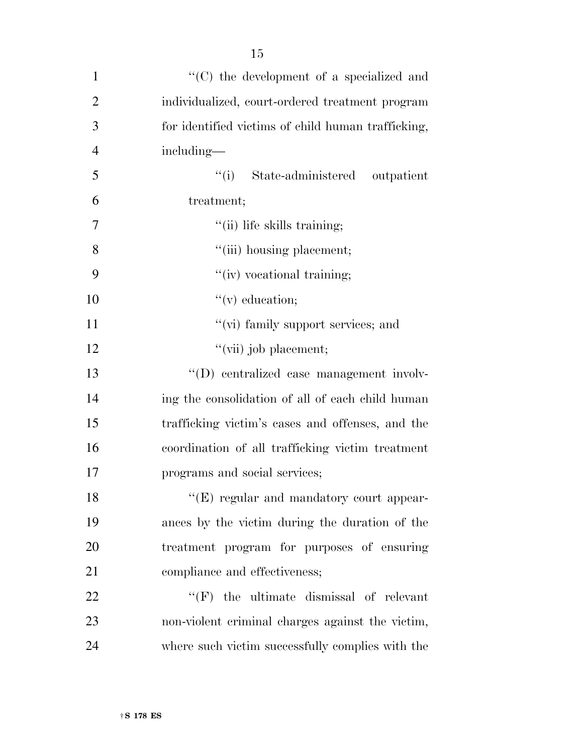| $\mathbf{1}$   | "(C) the development of a specialized and          |
|----------------|----------------------------------------------------|
| $\overline{2}$ | individualized, court-ordered treatment program    |
| 3              | for identified victims of child human trafficking, |
| $\overline{4}$ | including—                                         |
| 5              | ``(i)<br>State-administered<br>outpatient          |
| 6              | treatment;                                         |
| $\overline{7}$ | "(ii) life skills training;                        |
| 8              | "(iii) housing placement;                          |
| 9              | "(iv) vocational training;                         |
| 10             | $\lq\lq$ (v) education;                            |
| 11             | "(vi) family support services; and                 |
| 12             | "(vii) job placement;                              |
| 13             | "(D) centralized case management involv-           |
| 14             | ing the consolidation of all of each child human   |
| 15             | trafficking victim's cases and offenses, and the   |
| 16             | coordination of all trafficking victim treatment   |
| 17             | programs and social services;                      |
| 18             | "(E) regular and mandatory court appear-           |
| 19             | ances by the victim during the duration of the     |
| 20             | treatment program for purposes of ensuring         |
| 21             | compliance and effectiveness;                      |
| 22             | $\lq\lq(F)$ the ultimate dismissal of relevant     |
| 23             | non-violent criminal charges against the victim,   |
| 24             | where such victim successfully complies with the   |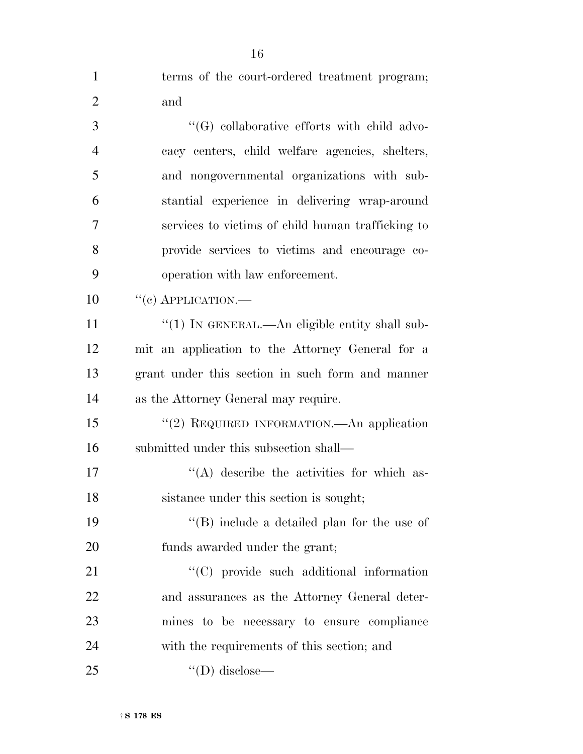| $\mathbf{1}$   | terms of the court-ordered treatment program;     |
|----------------|---------------------------------------------------|
| $\overline{2}$ | and                                               |
| 3              | "(G) collaborative efforts with child advo-       |
| $\overline{4}$ | cacy centers, child welfare agencies, shelters,   |
| 5              | and nongovernmental organizations with sub-       |
| 6              | stantial experience in delivering wrap-around     |
| 7              | services to victims of child human trafficking to |
| 8              | provide services to victims and encourage co-     |
| 9              | operation with law enforcement.                   |
| 10             | $``(e)$ APPLICATION.—                             |
| 11             | "(1) IN GENERAL.—An eligible entity shall sub-    |
| 12             | mit an application to the Attorney General for a  |
| 13             | grant under this section in such form and manner  |
| 14             | as the Attorney General may require.              |
| 15             | "(2) REQUIRED INFORMATION.—An application         |
| 16             | submitted under this subsection shall—            |
| 17             | "(A) describe the activities for which as-        |
| 18             | sistance under this section is sought;            |
| 19             | "(B) include a detailed plan for the use of       |
| 20             | funds awarded under the grant;                    |
| 21             | "(C) provide such additional information          |
| 22             | and assurances as the Attorney General deter-     |
| 23             | mines to be necessary to ensure compliance        |
| 24             | with the requirements of this section; and        |
| 25             | $\lq\lq$ (D) disclose—                            |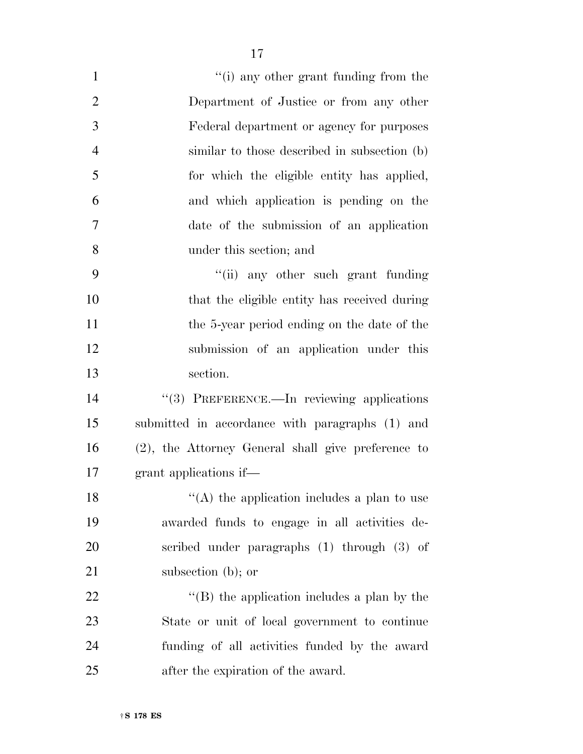| $\mathbf{1}$   | "(i) any other grant funding from the               |
|----------------|-----------------------------------------------------|
| $\overline{2}$ | Department of Justice or from any other             |
| 3              | Federal department or agency for purposes           |
| $\overline{4}$ | similar to those described in subsection (b)        |
| 5              | for which the eligible entity has applied,          |
| 6              | and which application is pending on the             |
| 7              | date of the submission of an application            |
| 8              | under this section; and                             |
| 9              | "(ii) any other such grant funding                  |
| 10             | that the eligible entity has received during        |
| 11             | the 5-year period ending on the date of the         |
| 12             | submission of an application under this             |
| 13             | section.                                            |
| 14             | "(3) PREFERENCE.—In reviewing applications          |
| 15             | submitted in accordance with paragraphs (1) and     |
| 16             | (2), the Attorney General shall give preference to  |
| 17             | grant applications if—                              |
| 18             | $\lq\lq$ the application includes a plan to use     |
| 19             | awarded funds to engage in all activities de-       |
| 20             | scribed under paragraphs (1) through (3) of         |
| 21             | subsection $(b)$ ; or                               |
| 22             | $\lq\lq$ (B) the application includes a plan by the |
| 23             | State or unit of local government to continue       |
| 24             | funding of all activities funded by the award       |
| 25             | after the expiration of the award.                  |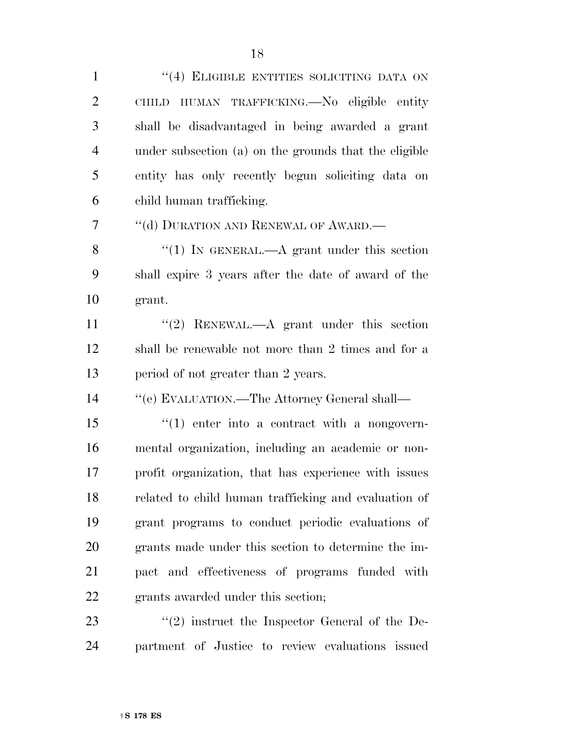1 "(4) ELIGIBLE ENTITIES SOLICITING DATA ON CHILD HUMAN TRAFFICKING.—No eligible entity shall be disadvantaged in being awarded a grant under subsection (a) on the grounds that the eligible entity has only recently begun soliciting data on child human trafficking.

7 "(d) DURATION AND RENEWAL OF AWARD.—

8 "(1) IN GENERAL.—A grant under this section shall expire 3 years after the date of award of the grant.

11 ''(2) RENEWAL.—A grant under this section shall be renewable not more than 2 times and for a 13 period of not greater than 2 years.

''(e) EVALUATION.—The Attorney General shall—

 $\frac{1}{2}$  (1) enter into a contract with a nongovern- mental organization, including an academic or non- profit organization, that has experience with issues related to child human trafficking and evaluation of grant programs to conduct periodic evaluations of grants made under this section to determine the im- pact and effectiveness of programs funded with grants awarded under this section;

23 ''(2) instruct the Inspector General of the De-partment of Justice to review evaluations issued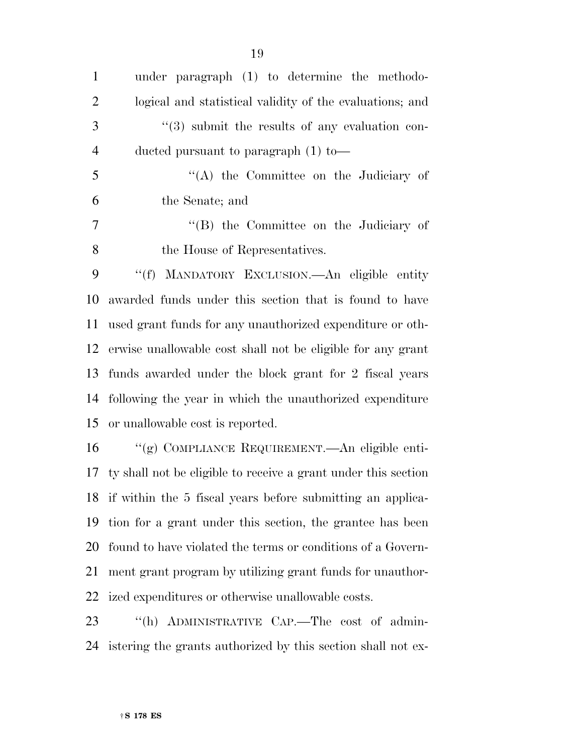| $\mathbf{1}$   | under paragraph (1) to determine the methodo-                                                                                                                                                                                        |
|----------------|--------------------------------------------------------------------------------------------------------------------------------------------------------------------------------------------------------------------------------------|
| $\overline{2}$ | logical and statistical validity of the evaluations; and                                                                                                                                                                             |
| 3              | $\cdot\cdot$ (3) submit the results of any evaluation con-                                                                                                                                                                           |
| $\overline{4}$ | ducted pursuant to paragraph $(1)$ to —                                                                                                                                                                                              |
| 5              | $\lq\lq$ the Committee on the Judiciary of                                                                                                                                                                                           |
| 6              | the Senate; and                                                                                                                                                                                                                      |
| $\tau$         | "(B) the Committee on the Judiciary of                                                                                                                                                                                               |
| 8              | the House of Representatives.                                                                                                                                                                                                        |
| 9              | "(f) MANDATORY EXCLUSION. An eligible entity                                                                                                                                                                                         |
| 10             | awarded funds under this section that is found to have                                                                                                                                                                               |
| 11             | used grant funds for any unauthorized expenditure or oth-                                                                                                                                                                            |
| 12             | erwise unallowable cost shall not be eligible for any grant                                                                                                                                                                          |
| 13             | funds awarded under the block grant for 2 fiscal years                                                                                                                                                                               |
| 14             | following the year in which the unauthorized expenditure                                                                                                                                                                             |
| 15             | or unallowable cost is reported.                                                                                                                                                                                                     |
| 16             | "(g) COMPLIANCE REQUIREMENT.—An eligible enti-                                                                                                                                                                                       |
| 17             | ty shall not be eligible to receive a grant under this section                                                                                                                                                                       |
| 18             | if within the 5 fiscal years before submitting an applica-                                                                                                                                                                           |
| 19             | tion for a grant under this section, the grantee has been                                                                                                                                                                            |
| $\sim$ $\sim$  | $\mathbf{a}$ and $\mathbf{a}$ are the second contract of the second contract of the second contract of the second contract of the second contract of the second contract of the second contract of the second contract of the second |

 found to have violated the terms or conditions of a Govern- ment grant program by utilizing grant funds for unauthor-ized expenditures or otherwise unallowable costs.

 ''(h) ADMINISTRATIVE CAP.—The cost of admin-istering the grants authorized by this section shall not ex-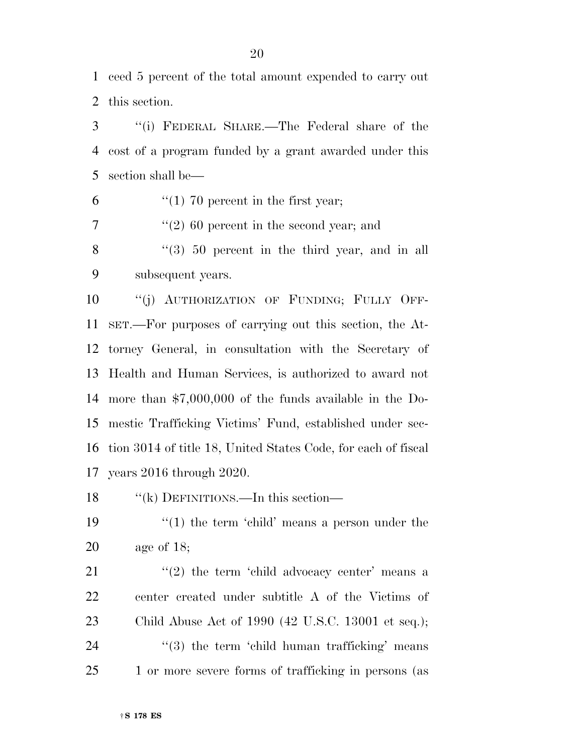ceed 5 percent of the total amount expended to carry out this section.

 ''(i) FEDERAL SHARE.—The Federal share of the cost of a program funded by a grant awarded under this section shall be—

6  $\frac{1}{1}$  (1) 70 percent in the first year;

 $\frac{7}{2}$  (2) 60 percent in the second year; and

8 "(3) 50 percent in the third year, and in all subsequent years.

10 "(j) AUTHORIZATION OF FUNDING; FULLY OFF- SET.—For purposes of carrying out this section, the At- torney General, in consultation with the Secretary of Health and Human Services, is authorized to award not more than \$7,000,000 of the funds available in the Do- mestic Trafficking Victims' Fund, established under sec- tion 3014 of title 18, United States Code, for each of fiscal years 2016 through 2020.

''(k) DEFINITIONS.—In this section—

19  $\frac{1}{2}$  (1) the term 'child' means a person under the age of 18;

 $(2)$  the term 'child advocacy center' means a center created under subtitle A of the Victims of Child Abuse Act of 1990 (42 U.S.C. 13001 et seq.);  $(3)$  the term 'child human trafficking' means 25 1 or more severe forms of trafficking in persons (as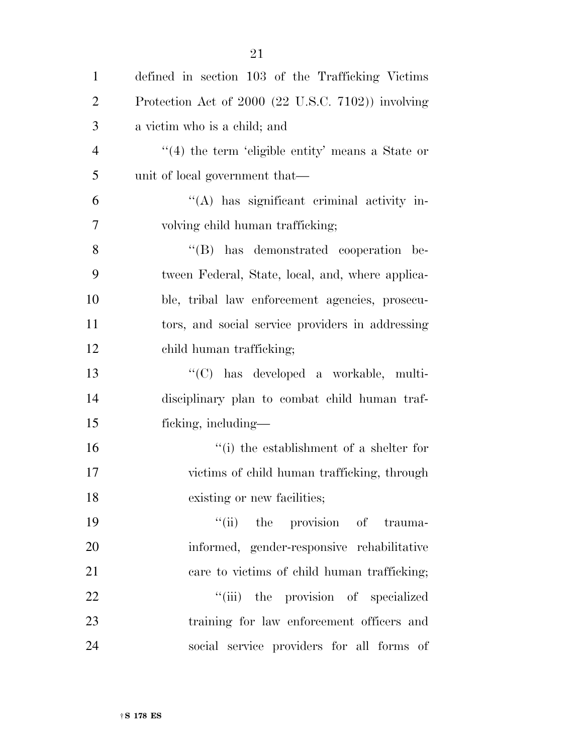| $\mathbf{1}$   | defined in section 103 of the Trafficking Victims    |
|----------------|------------------------------------------------------|
| $\overline{2}$ | Protection Act of 2000 (22 U.S.C. 7102)) involving   |
| 3              | a victim who is a child; and                         |
| $\overline{4}$ | $\lq(4)$ the term 'eligible entity' means a State or |
| 5              | unit of local government that—                       |
| 6              | "(A) has significant criminal activity in-           |
| $\overline{7}$ | volving child human trafficking;                     |
| 8              | "(B) has demonstrated cooperation be-                |
| 9              | tween Federal, State, local, and, where applica-     |
| 10             | ble, tribal law enforcement agencies, prosecu-       |
| 11             | tors, and social service providers in addressing     |
| 12             | child human trafficking;                             |
| 13             | "(C) has developed a workable, multi-                |
| 14             | disciplinary plan to combat child human traf-        |
| 15             | ficking, including—                                  |
| 16             | "(i) the establishment of a shelter for              |
| 17             | victims of child human trafficking, through          |
| 18             | existing or new facilities;                          |
| 19             | "(ii) the provision of trauma-                       |
| 20             | informed, gender-responsive rehabilitative           |
| 21             | care to victims of child human trafficking;          |
| 22             | "(iii) the provision of specialized                  |
| 23             | training for law enforcement officers and            |
| 24             | social service providers for all forms of            |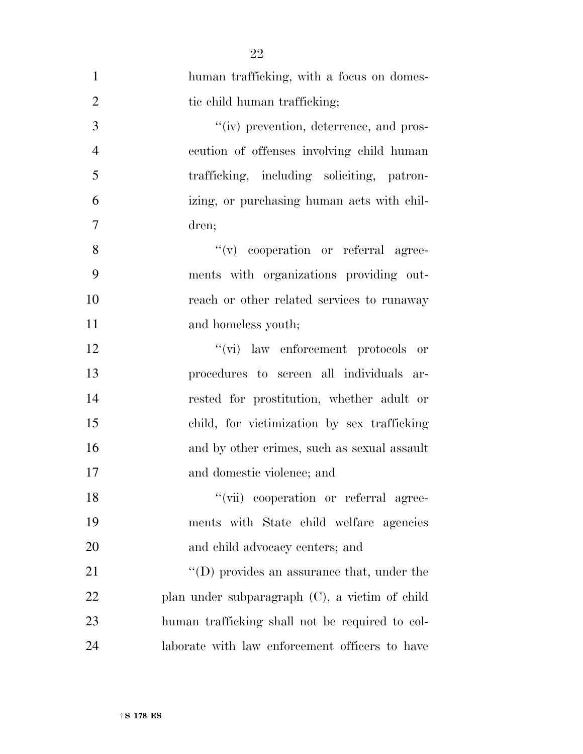| $\mathbf{1}$   | human trafficking, with a focus on domes-       |
|----------------|-------------------------------------------------|
| $\overline{2}$ | tic child human trafficking;                    |
| 3              | "(iv) prevention, deterrence, and pros-         |
| $\overline{4}$ | ecution of offenses involving child human       |
| 5              | trafficking, including soliciting, patron-      |
| 6              | izing, or purchasing human acts with chil-      |
| 7              | dren;                                           |
| 8              | "(v) cooperation or referral agree-             |
| 9              | ments with organizations providing out-         |
| 10             | reach or other related services to runaway      |
| 11             | and homeless youth;                             |
| 12             | "(vi) law enforcement protocols<br>or           |
| 13             | procedures to screen all individuals ar-        |
| 14             | rested for prostitution, whether adult or       |
| 15             | child, for victimization by sex trafficking     |
| 16             | and by other crimes, such as sexual assault     |
| 17             | and domestic violence; and                      |
| 18             | "(vii) cooperation or referral agree-           |
| 19             | ments with State child welfare agencies         |
| 20             | and child advocacy centers; and                 |
| 21             | "(D) provides an assurance that, under the      |
| 22             | plan under subparagraph (C), a victim of child  |
| 23             | human trafficking shall not be required to col- |
| 24             | laborate with law enforcement officers to have  |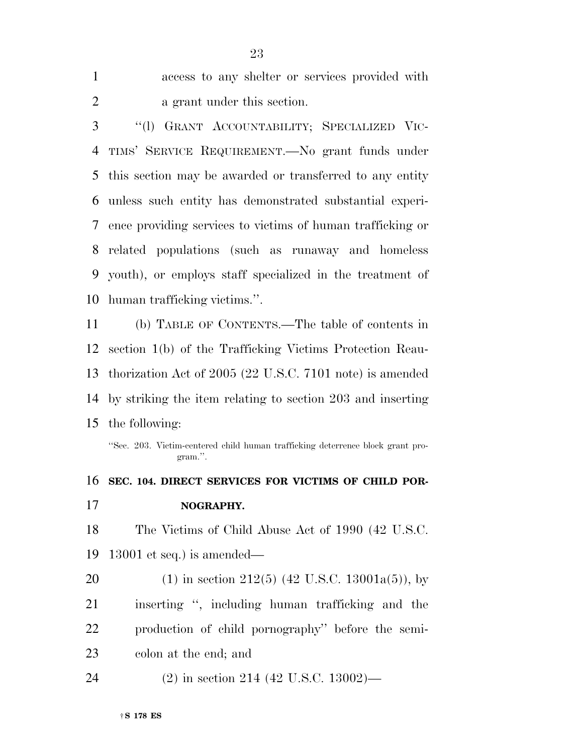| access to any shelter or services provided with |
|-------------------------------------------------|
| a grant under this section.                     |

 ''(l) GRANT ACCOUNTABILITY; SPECIALIZED VIC- TIMS' SERVICE REQUIREMENT.—No grant funds under this section may be awarded or transferred to any entity unless such entity has demonstrated substantial experi- ence providing services to victims of human trafficking or related populations (such as runaway and homeless youth), or employs staff specialized in the treatment of human trafficking victims.''.

 (b) TABLE OF CONTENTS.—The table of contents in section 1(b) of the Trafficking Victims Protection Reau- thorization Act of 2005 (22 U.S.C. 7101 note) is amended by striking the item relating to section 203 and inserting the following:

''Sec. 203. Victim-centered child human trafficking deterrence block grant program.''.

 **SEC. 104. DIRECT SERVICES FOR VICTIMS OF CHILD POR- NOGRAPHY.**  The Victims of Child Abuse Act of 1990 (42 U.S.C. 13001 et seq.) is amended— 20 (1) in section 212(5) (42 U.S.C. 13001a(5)), by inserting '', including human trafficking and the production of child pornography'' before the semi- colon at the end; and (2) in section 214 (42 U.S.C. 13002)—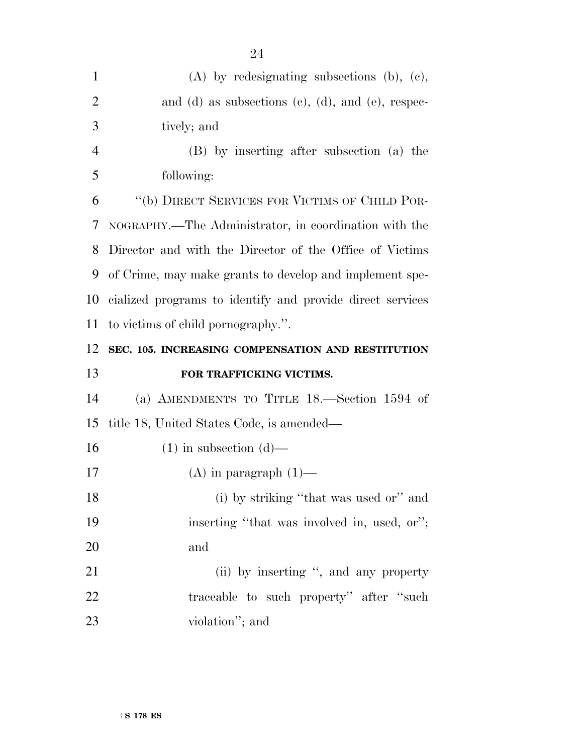| $\mathbf{1}$   | $(A)$ by redesignating subsections $(b)$ , $(c)$ ,        |
|----------------|-----------------------------------------------------------|
| $\overline{2}$ | and (d) as subsections (c), (d), and (e), respec-         |
| 3              | tively; and                                               |
| $\overline{4}$ | (B) by inserting after subsection (a) the                 |
| 5              | following:                                                |
| 6              | "(b) DIRECT SERVICES FOR VICTIMS OF CHILD POR-            |
| 7              | NOGRAPHY.—The Administrator, in coordination with the     |
| 8              | Director and with the Director of the Office of Victims   |
| 9              | of Crime, may make grants to develop and implement spe-   |
| 10             | cialized programs to identify and provide direct services |
| 11             | to victims of child pornography.".                        |
| 12             | SEC. 105. INCREASING COMPENSATION AND RESTITUTION         |
| 13             | FOR TRAFFICKING VICTIMS.                                  |
| 14             | (a) AMENDMENTS TO TITLE $18$ —Section 1594 of             |
|                |                                                           |
| 15             | title 18, United States Code, is amended—                 |
| 16             | $(1)$ in subsection $(d)$ —                               |
|                | $(A)$ in paragraph $(1)$ —                                |
| 17<br>18       | (i) by striking "that was used or" and                    |
| 19             | inserting "that was involved in, used, or";               |
| 20             | and                                                       |
| 21             | (ii) by inserting ", and any property                     |
| 22             | traceable to such property" after "such                   |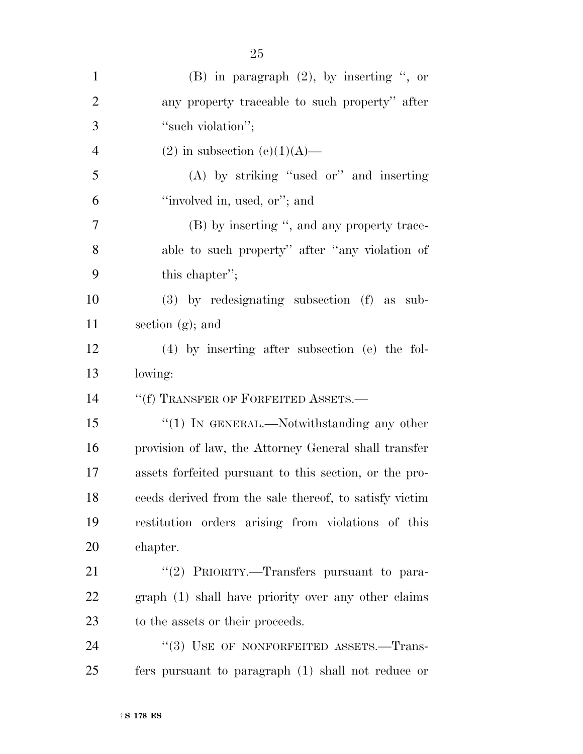| $\mathbf{1}$   | $(B)$ in paragraph $(2)$ , by inserting ", or          |
|----------------|--------------------------------------------------------|
| $\overline{2}$ | any property traceable to such property" after         |
| 3              | "such violation";                                      |
| $\overline{4}$ | $(2)$ in subsection $(e)(1)(A)$ —                      |
| 5              | $(A)$ by striking "used or" and inserting              |
| 6              | "involved in, used, or"; and                           |
| 7              | (B) by inserting ", and any property trace-            |
| 8              | able to such property" after "any violation of         |
| 9              | this chapter";                                         |
| 10             | $(3)$ by redesignating subsection $(f)$ as sub-        |
| 11             | section $(g)$ ; and                                    |
| 12             | $(4)$ by inserting after subsection (e) the fol-       |
|                |                                                        |
| 13             | lowing:                                                |
| 14             | "(f) TRANSFER OF FORFEITED ASSETS.-                    |
| 15             | "(1) IN GENERAL.—Notwithstanding any other             |
| 16             | provision of law, the Attorney General shall transfer  |
| 17             | assets forfeited pursuant to this section, or the pro- |
| 18             | ceeds derived from the sale thereof, to satisfy victim |
| 19             | restitution orders arising from violations of this     |
| 20             | chapter.                                               |
| 21             | "(2) PRIORITY.—Transfers pursuant to para-             |
| 22             | graph (1) shall have priority over any other claims    |
| 23             | to the assets or their proceeds.                       |
| 24             | "(3) USE OF NONFORFEITED ASSETS.—Trans-                |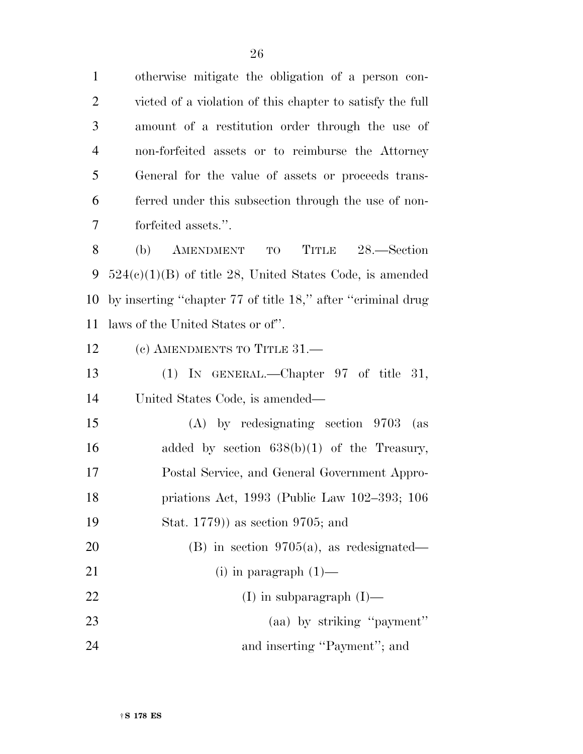otherwise mitigate the obligation of a person con- victed of a violation of this chapter to satisfy the full amount of a restitution order through the use of non-forfeited assets or to reimburse the Attorney General for the value of assets or proceeds trans- ferred under this subsection through the use of non-forfeited assets.''.

 (b) AMENDMENT TO TITLE 28.—Section 524(c)(1)(B) of title 28, United States Code, is amended by inserting ''chapter 77 of title 18,'' after ''criminal drug laws of the United States or of''.

12 (c) AMENDMENTS TO TITLE 31.—

 (1) IN GENERAL.—Chapter 97 of title 31, United States Code, is amended—

 (A) by redesignating section 9703 (as added by section 638(b)(1) of the Treasury, Postal Service, and General Government Appro- priations Act, 1993 (Public Law 102–393; 106 Stat. 1779)) as section 9705; and

 (B) in section 9705(a), as redesignated— 21 (i) in paragraph  $(1)$ — 22 (I) in subparagraph  $(I)$ — (aa) by striking ''payment'' 24 and inserting "Payment"; and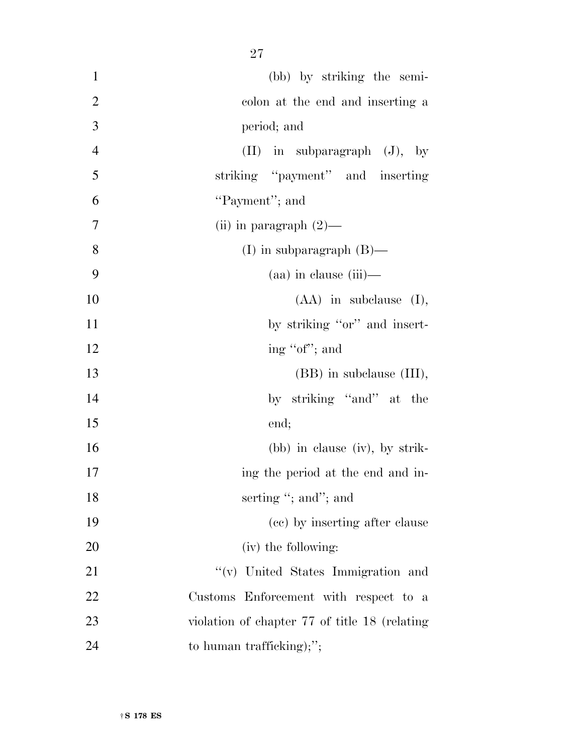| $\mathbf{1}$   | (bb) by striking the semi-                    |
|----------------|-----------------------------------------------|
| $\overline{2}$ | colon at the end and inserting a              |
| $\mathfrak{Z}$ | period; and                                   |
| $\overline{4}$ | $(II)$ in subparagraph $(J)$ , by             |
| 5              | striking "payment" and inserting              |
| 6              | "Payment"; and                                |
| $\tau$         | (ii) in paragraph $(2)$ —                     |
| 8              | (I) in subparagraph $(B)$ —                   |
| 9              | $(aa)$ in clause $(iii)$ —                    |
| 10             | $(AA)$ in subclause $(I)$ ,                   |
| 11             | by striking "or" and insert-                  |
| 12             | ing "of"; and                                 |
| 13             | (BB) in subclause (III),                      |
| 14             | by striking "and" at the                      |
| 15             | end;                                          |
| 16             | (bb) in clause (iv), by strik-                |
| 17             | ing the period at the end and in-             |
| 18             | serting "; and"; and                          |
| 19             | (cc) by inserting after clause                |
| 20             | (iv) the following:                           |
| 21             | "(v) United States Immigration and            |
| 22             | Customs Enforcement with respect to a         |
| 23             | violation of chapter 77 of title 18 (relating |
| 24             | to human trafficking);";                      |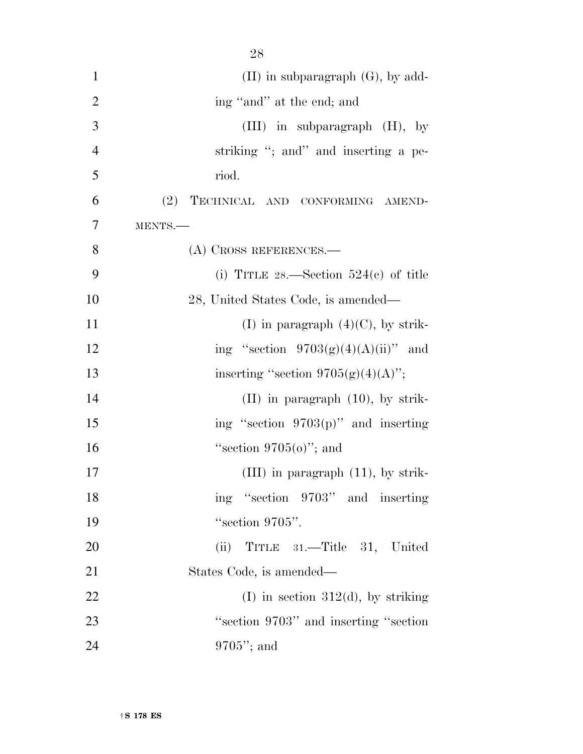| $\mathbf{1}$   | $(II)$ in subparagraph $(G)$ , by add-  |
|----------------|-----------------------------------------|
| $\overline{2}$ | ing "and" at the end; and               |
| 3              | $(III)$ in subparagraph $(H)$ , by      |
| $\overline{4}$ | striking "; and" and inserting a pe-    |
| 5              | riod.                                   |
| 6              | (2)<br>TECHNICAL AND CONFORMING AMEND-  |
| 7              | MENTS.-                                 |
| 8              | $(A)$ CROSS REFERENCES.—                |
|                |                                         |
| 9              | (i) TITLE 28.—Section $524(c)$ of title |
| 10             | 28, United States Code, is amended—     |
| 11             | (I) in paragraph $(4)(C)$ , by strik-   |
| 12             | ing "section $9703(g)(4)(A)(ii)$ " and  |
| 13             | inserting "section $9705(g)(4)(A)$ ";   |
| 14             | $(II)$ in paragraph $(10)$ , by strik-  |
| 15             | ing "section 9703(p)" and inserting     |
| 16             | "section $9705(0)$ "; and               |
| 17             | $(III)$ in paragraph $(11)$ , by strik- |
| 18             | ing "section 9703" and inserting        |
| 19             | "section 9705".                         |
| 20             | TITLE 31.—Title 31, United<br>(ii)      |
| 21             | States Code, is amended—                |
|                |                                         |
| 22             | (I) in section 312(d), by striking      |
| 23             | "section 9703" and inserting "section"  |
| 24             | $9705$ "; and                           |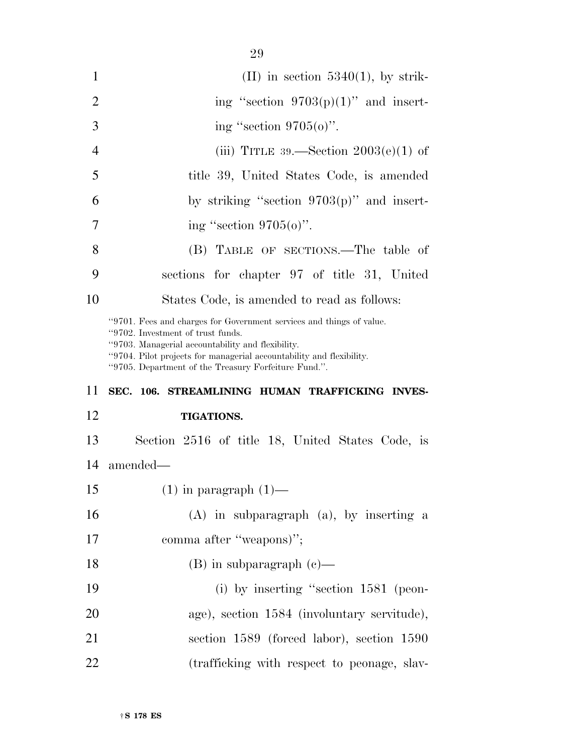| 1              | $(II)$ in section 5340(1), by strik-                                                                                                                                                                                                                                                           |
|----------------|------------------------------------------------------------------------------------------------------------------------------------------------------------------------------------------------------------------------------------------------------------------------------------------------|
| 2              | ing "section $9703(p)(1)$ " and insert-                                                                                                                                                                                                                                                        |
| 3              | ing "section $9705(0)$ ".                                                                                                                                                                                                                                                                      |
| $\overline{4}$ | (iii) TITLE 39.—Section $2003(e)(1)$ of                                                                                                                                                                                                                                                        |
| $\overline{5}$ | title 39, United States Code, is amended                                                                                                                                                                                                                                                       |
| 6              | by striking "section $9703(p)$ " and insert-                                                                                                                                                                                                                                                   |
| 7              | ing "section $9705(0)$ ".                                                                                                                                                                                                                                                                      |
| 8              | (B) TABLE OF SECTIONS.—The table of                                                                                                                                                                                                                                                            |
| 9              | sections for chapter 97 of title 31, United                                                                                                                                                                                                                                                    |
| 10             | States Code, is amended to read as follows:                                                                                                                                                                                                                                                    |
|                | "9701. Fees and charges for Government services and things of value.<br>"9702. Investment of trust funds.<br>"9703. Managerial accountability and flexibility.<br>"9704. Pilot projects for managerial accountability and flexibility.<br>"9705. Department of the Treasury Forfeiture Fund.". |

#### **SEC. 106. STREAMLINING HUMAN TRAFFICKING INVES-**

#### **TIGATIONS.**

 Section 2516 of title 18, United States Code, is amended—

15  $(1)$  in paragraph  $(1)$ —

 (A) in subparagraph (a), by inserting a 17 comma after "weapons)";

- (B) in subparagraph (c)—
- (i) by inserting ''section 1581 (peon- age), section 1584 (involuntary servitude), section 1589 (forced labor), section 1590 (trafficking with respect to peonage, slav-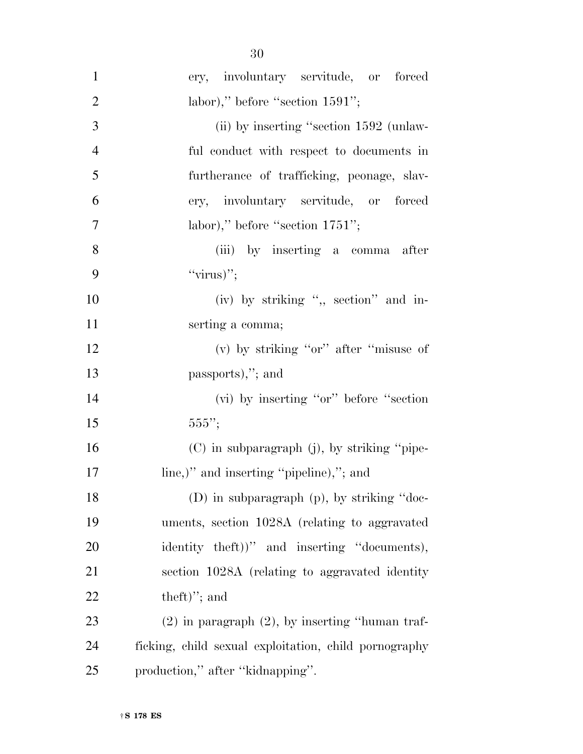| $\mathbf{1}$   | ery, involuntary servitude, or forced                 |
|----------------|-------------------------------------------------------|
| $\overline{2}$ | labor)," before "section 1591";                       |
| 3              | (ii) by inserting "section 1592 (unlaw-               |
| $\overline{4}$ | ful conduct with respect to documents in              |
| 5              | furtherance of trafficking, peonage, slav-            |
| 6              | ery, involuntary servitude, or forced                 |
| $\overline{7}$ | labor)," before "section 1751";                       |
| 8              | (iii) by inserting a comma after                      |
| 9              | " $\langle \text{virus} \rangle$ ";                   |
| 10             | (iv) by striking ", section" and in-                  |
| 11             | serting a comma;                                      |
| 12             | (v) by striking "or" after "misuse of                 |
| 13             | passports),"; and                                     |
| 14             | (vi) by inserting "or" before "section"               |
| 15             | 555";                                                 |
| 16             | (C) in subparagraph (j), by striking "pipe-           |
| 17             | line,)" and inserting "pipeline),"; and               |
| 18             | (D) in subparagraph (p), by striking "doc-            |
| 19             | uments, section 1028A (relating to aggravated         |
| 20             | identity theft))" and inserting "documents),          |
| 21             | section 1028A (relating to aggravated identity        |
| 22             | $theft$ "; and                                        |
| 23             | $(2)$ in paragraph $(2)$ , by inserting "human traf-  |
| 24             | ficking, child sexual exploitation, child pornography |
| 25             | production," after "kidnapping".                      |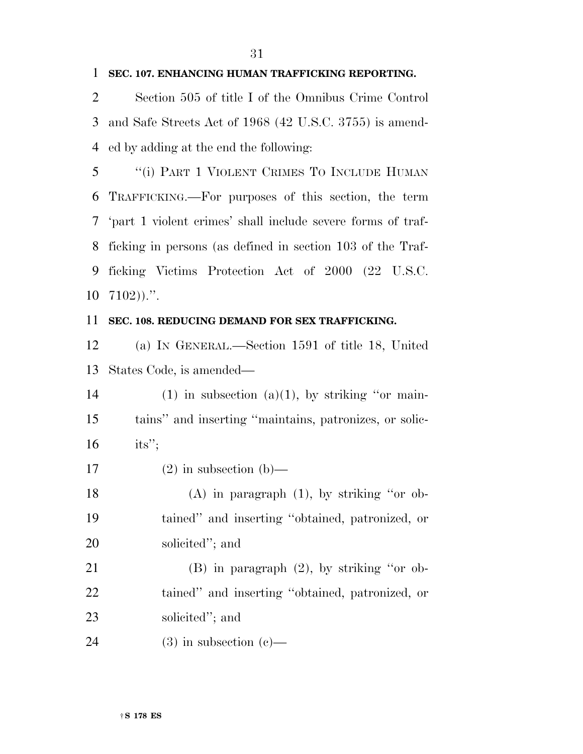#### **SEC. 107. ENHANCING HUMAN TRAFFICKING REPORTING.**

 Section 505 of title I of the Omnibus Crime Control and Safe Streets Act of 1968 (42 U.S.C. 3755) is amend-ed by adding at the end the following:

 ''(i) PART 1 VIOLENT CRIMES TO INCLUDE HUMAN TRAFFICKING.—For purposes of this section, the term 'part 1 violent crimes' shall include severe forms of traf- ficking in persons (as defined in section 103 of the Traf- ficking Victims Protection Act of 2000 (22 U.S.C.  $7102$ )).".

#### **SEC. 108. REDUCING DEMAND FOR SEX TRAFFICKING.**

 (a) IN GENERAL.—Section 1591 of title 18, United States Code, is amended—

| 14 | $(1)$ in subsection $(a)(1)$ , by striking "or main-   |
|----|--------------------------------------------------------|
| 15 | tains" and inserting "maintains, patronizes, or solic- |
| 16 | $its$ ":                                               |
|    |                                                        |

 (A) in paragraph (1), by striking ''or ob- tained'' and inserting ''obtained, patronized, or solicited''; and

 (B) in paragraph (2), by striking ''or ob- tained'' and inserting ''obtained, patronized, or solicited''; and

24 (3) in subsection  $(c)$ —

17 (2) in subsection (b)—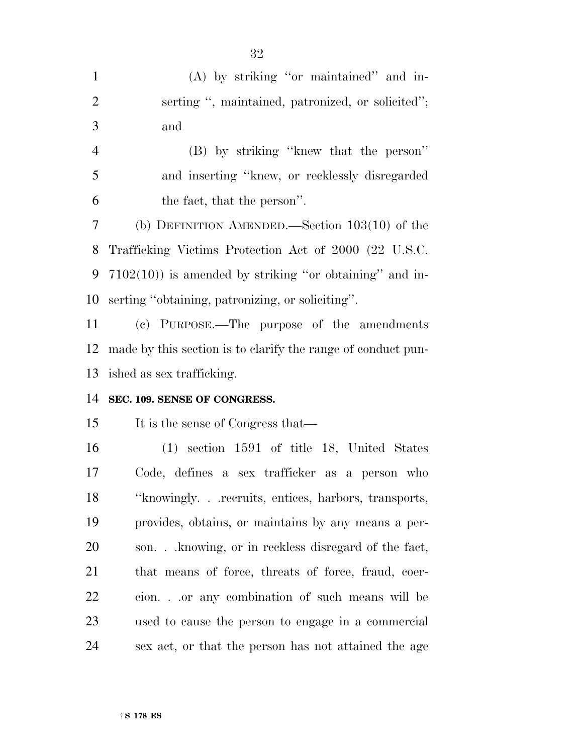| $\mathbf{1}$   | (A) by striking "or maintained" and in-                      |
|----------------|--------------------------------------------------------------|
| $\overline{2}$ | serting ", maintained, patronized, or solicited";            |
| 3              | and                                                          |
| $\overline{4}$ | (B) by striking "knew that the person"                       |
| 5              | and inserting "knew, or recklessly disregarded               |
| 6              | the fact, that the person".                                  |
| $\tau$         | (b) DEFINITION AMENDED.—Section $103(10)$ of the             |
| 8              | Trafficking Victims Protection Act of 2000 (22 U.S.C.        |
| 9              | $7102(10)$ ) is amended by striking "or obtaining" and in-   |
| 10             | serting "obtaining, patronizing, or soliciting".             |
| 11             | (c) PURPOSE.—The purpose of the amendments                   |
| 12             | made by this section is to clarify the range of conduct pun- |
| 13             | ished as sex trafficking.                                    |
| 14             | SEC. 109. SENSE OF CONGRESS.                                 |
| 15             | It is the sense of Congress that—                            |
| 16             | $(1)$ section 1591 of title 18, United States                |
| 17             | Code, defines a sex trafficker as a person who               |
| 18             | "knowingly. recruits, entices, harbors, transports,          |
| 19             | provides, obtains, or maintains by any means a per-          |
| 20             | son knowing, or in reckless disregard of the fact,           |
| 21             | that means of force, threats of force, fraud, coer-          |
| 22             | cion.or any combination of such means will be                |
| 23             | used to cause the person to engage in a commercial           |
| 24             | sex act, or that the person has not attained the age         |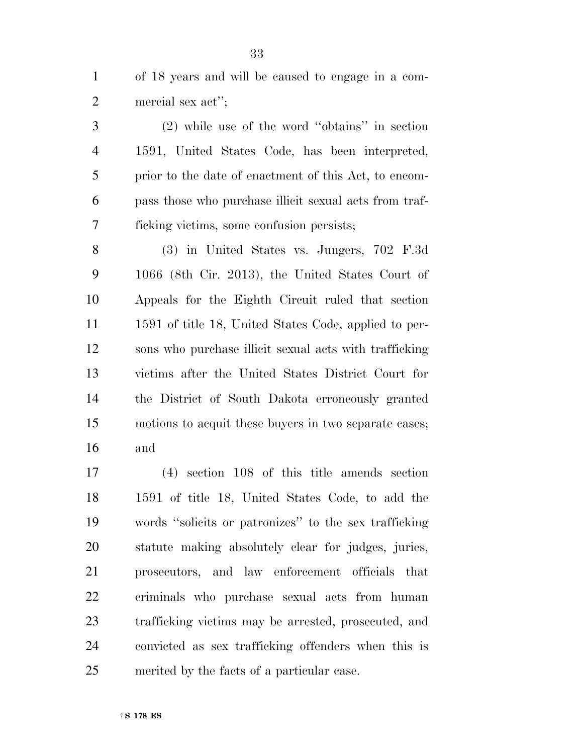of 18 years and will be caused to engage in a com-mercial sex act'';

 (2) while use of the word ''obtains'' in section 1591, United States Code, has been interpreted, prior to the date of enactment of this Act, to encom- pass those who purchase illicit sexual acts from traf-ficking victims, some confusion persists;

 (3) in United States vs. Jungers, 702 F.3d 1066 (8th Cir. 2013), the United States Court of Appeals for the Eighth Circuit ruled that section 1591 of title 18, United States Code, applied to per- sons who purchase illicit sexual acts with trafficking victims after the United States District Court for the District of South Dakota erroneously granted motions to acquit these buyers in two separate cases; and

 (4) section 108 of this title amends section 1591 of title 18, United States Code, to add the words ''solicits or patronizes'' to the sex trafficking statute making absolutely clear for judges, juries, prosecutors, and law enforcement officials that criminals who purchase sexual acts from human trafficking victims may be arrested, prosecuted, and convicted as sex trafficking offenders when this is merited by the facts of a particular case.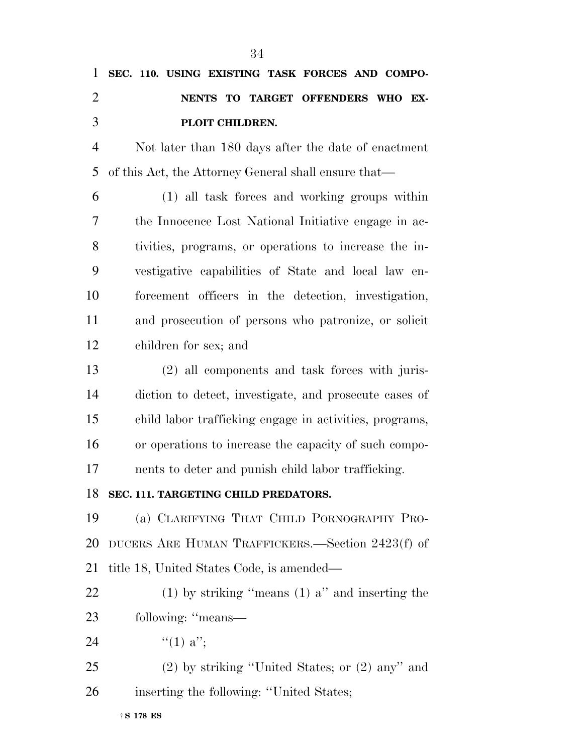| 1              | SEC. 110. USING EXISTING TASK FORCES AND COMPO-         |
|----------------|---------------------------------------------------------|
| $\overline{2}$ | NENTS TO TARGET OFFENDERS WHO EX-                       |
| 3              | PLOIT CHILDREN.                                         |
| $\overline{4}$ | Not later than 180 days after the date of enactment     |
| 5              | of this Act, the Attorney General shall ensure that—    |
| 6              | (1) all task forces and working groups within           |
| 7              | the Innocence Lost National Initiative engage in ac-    |
| 8              | tivities, programs, or operations to increase the in-   |
| 9              | vestigative capabilities of State and local law en-     |
| 10             | forcement officers in the detection, investigation,     |
| 11             | and prosecution of persons who patronize, or solicit    |
| 12             | children for sex; and                                   |
| 13             | (2) all components and task forces with juris-          |
| 14             | diction to detect, investigate, and prosecute cases of  |
| 15             | child labor trafficking engage in activities, programs, |
| 16             | or operations to increase the capacity of such compo-   |
| 17             | nents to deter and punish child labor trafficking.      |
| 18             | SEC. 111. TARGETING CHILD PREDATORS.                    |
| 19             | (a) CLARIFYING THAT CHILD PORNOGRAPHY PRO-              |
| 20             | DUCERS ARE HUMAN TRAFFICKERS.—Section 2423(f) of        |
| 21             | title 18, United States Code, is amended—               |
| 22             | (1) by striking "means (1) $a$ " and inserting the      |
| 23             | following: "means-                                      |
| 24             | "(1) $a$ ";                                             |
| 25             | $(2)$ by striking "United States; or $(2)$ any" and     |
| 26             | inserting the following: "United States;                |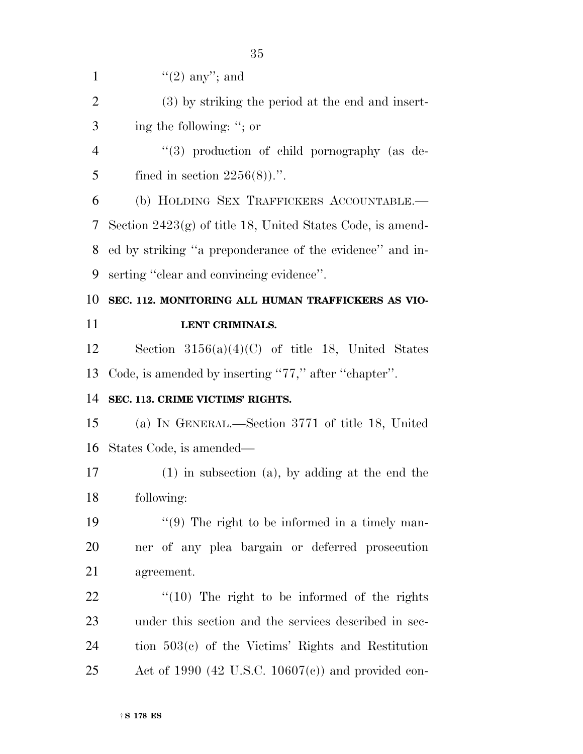$\lq(2)$  any''; and (3) by striking the period at the end and insert- ing the following: ''; or  $(3)$  production of child pornography (as de-5 fined in section  $2256(8)$ .". (b) HOLDING SEX TRAFFICKERS ACCOUNTABLE.— Section 2423(g) of title 18, United States Code, is amend- ed by striking ''a preponderance of the evidence'' and in- serting ''clear and convincing evidence''. **SEC. 112. MONITORING ALL HUMAN TRAFFICKERS AS VIO- LENT CRIMINALS.**  Section 3156(a)(4)(C) of title 18, United States Code, is amended by inserting ''77,'' after ''chapter''. **SEC. 113. CRIME VICTIMS' RIGHTS.**  (a) IN GENERAL.—Section 3771 of title 18, United States Code, is amended— (1) in subsection (a), by adding at the end the following:  $\frac{1}{2}$  (9) The right to be informed in a timely man- ner of any plea bargain or deferred prosecution agreement.  $\frac{1}{2}$  (10) The right to be informed of the rights under this section and the services described in sec- tion 503(c) of the Victims' Rights and Restitution Act of 1990 (42 U.S.C. 10607(c)) and provided con-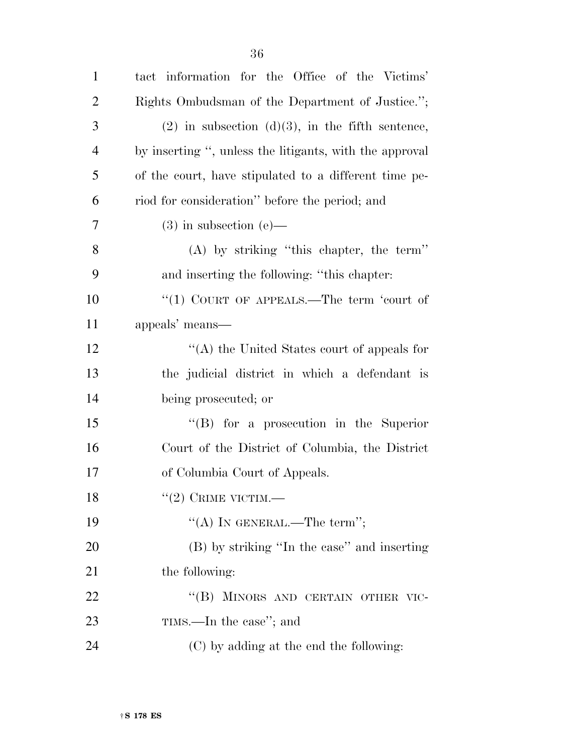| $\mathbf{1}$   | tact information for the Office of the Victims'         |
|----------------|---------------------------------------------------------|
| $\overline{2}$ | Rights Ombudsman of the Department of Justice.";        |
| 3              | $(2)$ in subsection $(d)(3)$ , in the fifth sentence,   |
| $\overline{4}$ | by inserting ", unless the litigants, with the approval |
| 5              | of the court, have stipulated to a different time pe-   |
| 6              | riod for consideration" before the period; and          |
| 7              | $(3)$ in subsection $(e)$ —                             |
| 8              | $(A)$ by striking "this chapter, the term"              |
| 9              | and inserting the following: "this chapter:             |
| 10             | "(1) COURT OF APPEALS.—The term 'court of               |
| 11             | appeals' means—                                         |
| 12             | "(A) the United States court of appeals for             |
| 13             | the judicial district in which a defendant is           |
| 14             | being prosecuted; or                                    |
| 15             | $\lq\lq (B)$ for a prosecution in the Superior          |
| 16             | Court of the District of Columbia, the District         |
| 17             | of Columbia Court of Appeals.                           |
| 18             | $``(2)$ CRIME VICTIM.—                                  |
| 19             | "(A) IN GENERAL.—The term";                             |
| 20             | (B) by striking "In the case" and inserting             |
| 21             | the following:                                          |
| 22             | "(B) MINORS AND CERTAIN OTHER VIC-                      |
| 23             | TIMS.—In the case"; and                                 |
| 24             | (C) by adding at the end the following:                 |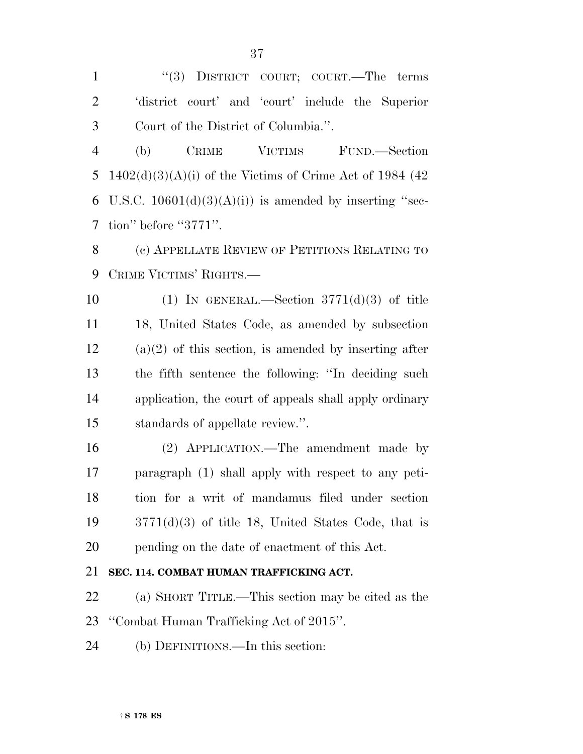''(3) DISTRICT COURT; COURT.—The terms 'district court' and 'court' include the Superior Court of the District of Columbia.''.

 (b) CRIME VICTIMS FUND.—Section 5 1402(d)(3)(A)(i) of the Victims of Crime Act of 1984 (42 6 U.S.C.  $10601(d)(3)(A(i))$  is amended by inserting "sec-tion'' before ''3771''.

 (c) APPELLATE REVIEW OF PETITIONS RELATING TO CRIME VICTIMS' RIGHTS.—

 $(1)$  IN GENERAL.—Section 3771(d)(3) of title 18, United States Code, as amended by subsection (a)(2) of this section, is amended by inserting after the fifth sentence the following: ''In deciding such application, the court of appeals shall apply ordinary standards of appellate review.''.

 (2) APPLICATION.—The amendment made by paragraph (1) shall apply with respect to any peti- tion for a writ of mandamus filed under section 3771(d)(3) of title 18, United States Code, that is pending on the date of enactment of this Act.

# **SEC. 114. COMBAT HUMAN TRAFFICKING ACT.**

 (a) SHORT TITLE.—This section may be cited as the ''Combat Human Trafficking Act of 2015''.

(b) DEFINITIONS.—In this section: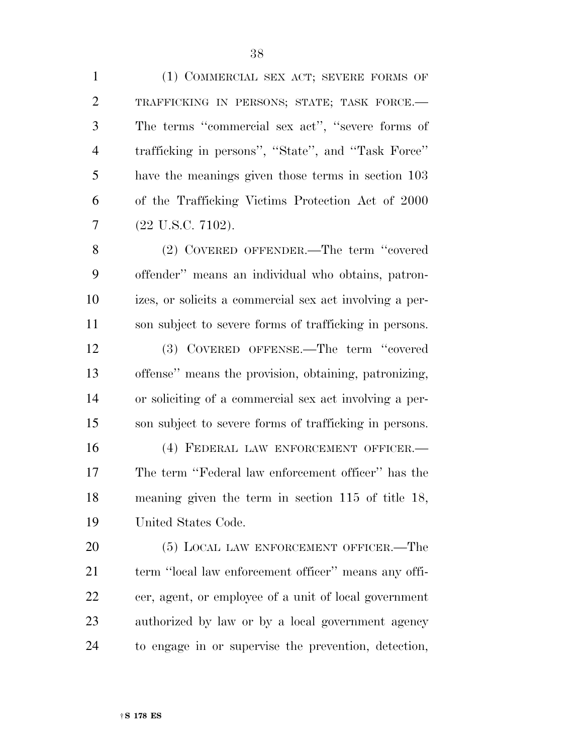(1) COMMERCIAL SEX ACT; SEVERE FORMS OF TRAFFICKING IN PERSONS; STATE; TASK FORCE.— The terms ''commercial sex act'', ''severe forms of trafficking in persons'', ''State'', and ''Task Force'' have the meanings given those terms in section 103 of the Trafficking Victims Protection Act of 2000 (22 U.S.C. 7102).

 (2) COVERED OFFENDER.—The term ''covered offender'' means an individual who obtains, patron- izes, or solicits a commercial sex act involving a per-son subject to severe forms of trafficking in persons.

 (3) COVERED OFFENSE.—The term ''covered offense'' means the provision, obtaining, patronizing, or soliciting of a commercial sex act involving a per-son subject to severe forms of trafficking in persons.

 (4) FEDERAL LAW ENFORCEMENT OFFICER.— The term ''Federal law enforcement officer'' has the meaning given the term in section 115 of title 18, United States Code.

20 (5) LOCAL LAW ENFORCEMENT OFFICER.—The 21 term "local law enforcement officer" means any offi- cer, agent, or employee of a unit of local government authorized by law or by a local government agency to engage in or supervise the prevention, detection,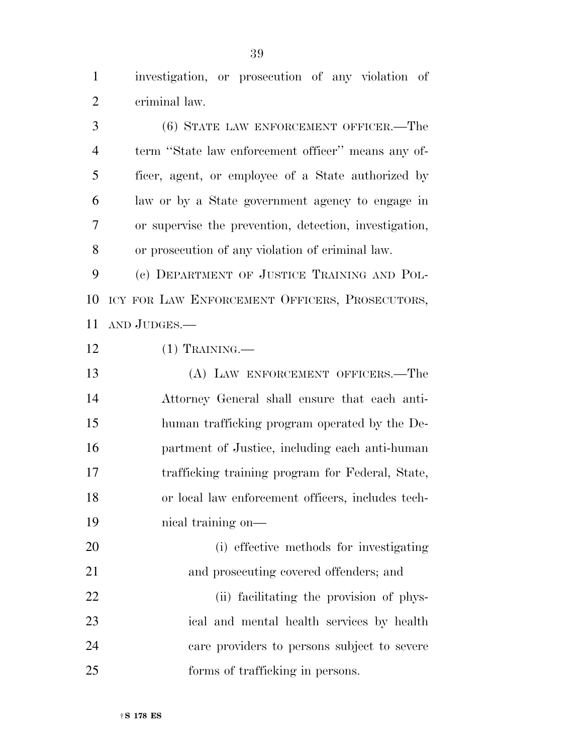investigation, or prosecution of any violation of criminal law.

 (6) STATE LAW ENFORCEMENT OFFICER.—The term ''State law enforcement officer'' means any of- ficer, agent, or employee of a State authorized by law or by a State government agency to engage in or supervise the prevention, detection, investigation, or prosecution of any violation of criminal law.

 (c) DEPARTMENT OF JUSTICE TRAINING AND POL- ICY FOR LAW ENFORCEMENT OFFICERS, PROSECUTORS, AND JUDGES.—

(1) TRAINING.—

 (A) LAW ENFORCEMENT OFFICERS.—The Attorney General shall ensure that each anti- human trafficking program operated by the De- partment of Justice, including each anti-human trafficking training program for Federal, State, or local law enforcement officers, includes tech-nical training on—

 (i) effective methods for investigating and prosecuting covered offenders; and

22 (ii) facilitating the provision of phys- ical and mental health services by health care providers to persons subject to severe forms of trafficking in persons.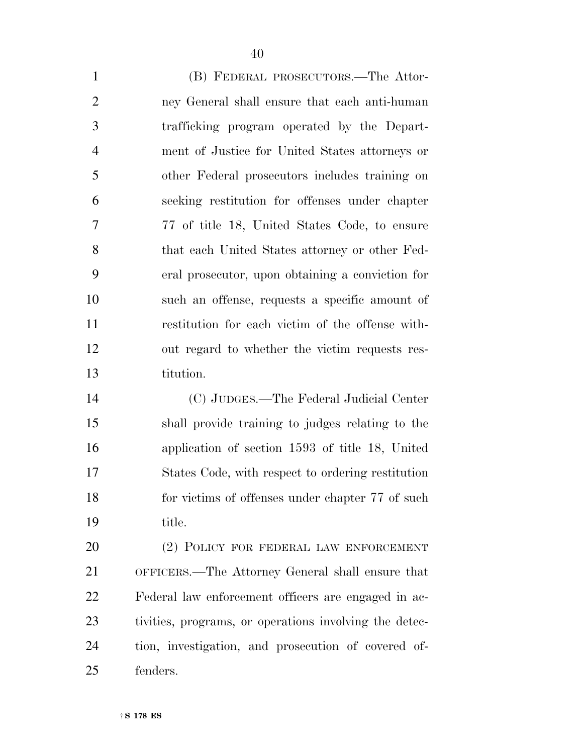(B) FEDERAL PROSECUTORS.—The Attor- ney General shall ensure that each anti-human trafficking program operated by the Depart- ment of Justice for United States attorneys or other Federal prosecutors includes training on seeking restitution for offenses under chapter 77 of title 18, United States Code, to ensure that each United States attorney or other Fed- eral prosecutor, upon obtaining a conviction for such an offense, requests a specific amount of restitution for each victim of the offense with- out regard to whether the victim requests res- titution. (C) JUDGES.—The Federal Judicial Center

 shall provide training to judges relating to the application of section 1593 of title 18, United States Code, with respect to ordering restitution for victims of offenses under chapter 77 of such title.

 (2) POLICY FOR FEDERAL LAW ENFORCEMENT OFFICERS.—The Attorney General shall ensure that Federal law enforcement officers are engaged in ac- tivities, programs, or operations involving the detec- tion, investigation, and prosecution of covered of-fenders.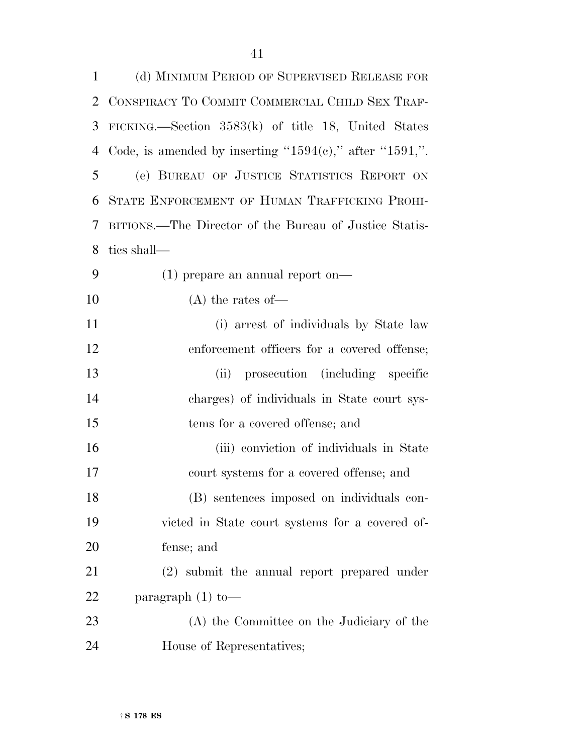| 1  | (d) MINIMUM PERIOD OF SUPERVISED RELEASE FOR                    |
|----|-----------------------------------------------------------------|
| 2  | CONSPIRACY TO COMMIT COMMERCIAL CHILD SEX TRAF-                 |
| 3  | FICKING.—Section $3583(k)$ of title 18, United States           |
| 4  | Code, is amended by inserting " $1594(e)$ ," after " $1591$ ,". |
| 5  | (e) BUREAU OF JUSTICE STATISTICS REPORT ON                      |
| 6  | STATE ENFORCEMENT OF HUMAN TRAFFICKING PROHI-                   |
| 7  | BITIONS.—The Director of the Bureau of Justice Statis-          |
| 8  | tics shall—                                                     |
| 9  | $(1)$ prepare an annual report on—                              |
| 10 | $(A)$ the rates of —                                            |
| 11 | (i) arrest of individuals by State law                          |
| 12 | enforcement officers for a covered offense;                     |
| 13 | prosecution (including specific<br>(ii)                         |
| 14 | charges) of individuals in State court sys-                     |
| 15 | tems for a covered offense; and                                 |
| 16 | (iii) conviction of individuals in State                        |
| 17 | court systems for a covered offense; and                        |
| 18 | (B) sentences imposed on individuals con-                       |
| 19 | victed in State court systems for a covered of-                 |
| 20 | fense; and                                                      |
| 21 | (2) submit the annual report prepared under                     |
| 22 | paragraph $(1)$ to —                                            |
| 23 | (A) the Committee on the Judiciary of the                       |
| 24 | House of Representatives;                                       |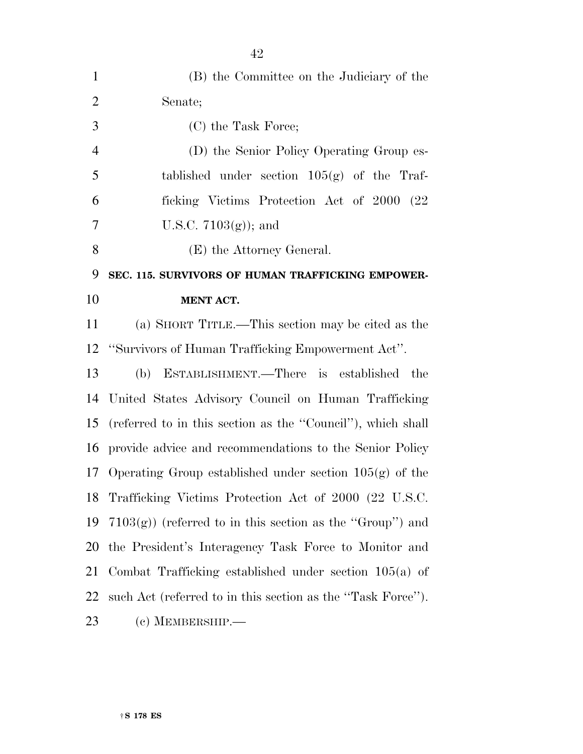| $\mathbf{1}$   | (B) the Committee on the Judiciary of the                    |
|----------------|--------------------------------------------------------------|
| $\overline{2}$ | Senate;                                                      |
| 3              | (C) the Task Force;                                          |
| $\overline{4}$ | (D) the Senior Policy Operating Group es-                    |
| 5              | tablished under section $105(g)$ of the Traf-                |
| 6              | ficking Victims Protection Act of 2000 (22)                  |
| 7              | U.S.C. $7103(g)$ ; and                                       |
| 8              | (E) the Attorney General.                                    |
| 9              | SEC. 115. SURVIVORS OF HUMAN TRAFFICKING EMPOWER-            |
| 10             | <b>MENT ACT.</b>                                             |
| 11             | (a) SHORT TITLE.—This section may be cited as the            |
| 12             | "Survivors of Human Trafficking Empowerment Act".            |
| 13             | (b) ESTABLISHMENT.—There is established<br>the               |
| 14             | United States Advisory Council on Human Trafficking          |
| 15             | (referred to in this section as the "Council"), which shall  |
| 16             | provide advice and recommendations to the Senior Policy      |
| 17             | Operating Group established under section $105(g)$ of the    |
| 18             | Trafficking Victims Protection Act of 2000 (22 U.S.C.        |
| 19             | $7103(g)$ ) (referred to in this section as the "Group") and |
| 20             | the President's Interagency Task Force to Monitor and        |
| 21             | Combat Trafficking established under section $105(a)$ of     |
| 22             | such Act (referred to in this section as the "Task Force").  |
| 23             | $(c)$ MEMBERSHIP.—                                           |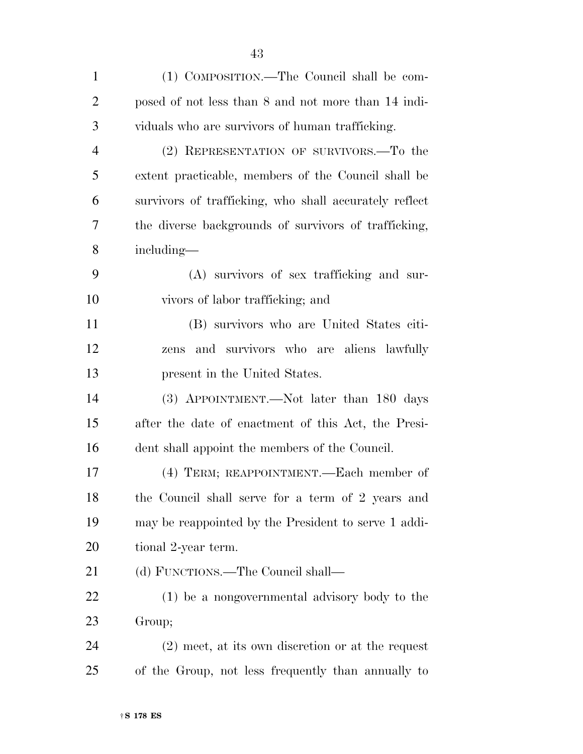| $\mathbf{1}$   | (1) COMPOSITION.—The Council shall be com-             |
|----------------|--------------------------------------------------------|
| $\overline{2}$ | posed of not less than 8 and not more than 14 indi-    |
| 3              | viduals who are survivors of human trafficking.        |
| $\overline{4}$ | (2) REPRESENTATION OF SURVIVORS.-To the                |
| 5              | extent practicable, members of the Council shall be    |
| 6              | survivors of trafficking, who shall accurately reflect |
| 7              | the diverse backgrounds of survivors of trafficking,   |
| 8              | including—                                             |
| 9              | (A) survivors of sex trafficking and sur-              |
| 10             | vivors of labor trafficking; and                       |
| 11             | (B) survivors who are United States citi-              |
| 12             | and survivors who are aliens lawfully<br>zens          |
| 13             | present in the United States.                          |
| 14             | (3) APPOINTMENT.—Not later than 180 days               |
| 15             | after the date of enactment of this Act, the Presi-    |
| 16             | dent shall appoint the members of the Council.         |
| 17             | (4) TERM; REAPPOINTMENT.—Each member of                |
| 18             | the Council shall serve for a term of 2 years and      |
| 19             | may be reappointed by the President to serve 1 addi-   |
| <b>20</b>      | tional 2-year term.                                    |
| 21             | (d) FUNCTIONS.—The Council shall—                      |
| <u>22</u>      | (1) be a nongovernmental advisory body to the          |
| 23             | Group;                                                 |
| 24             | $(2)$ meet, at its own discretion or at the request    |
| 25             | of the Group, not less frequently than annually to     |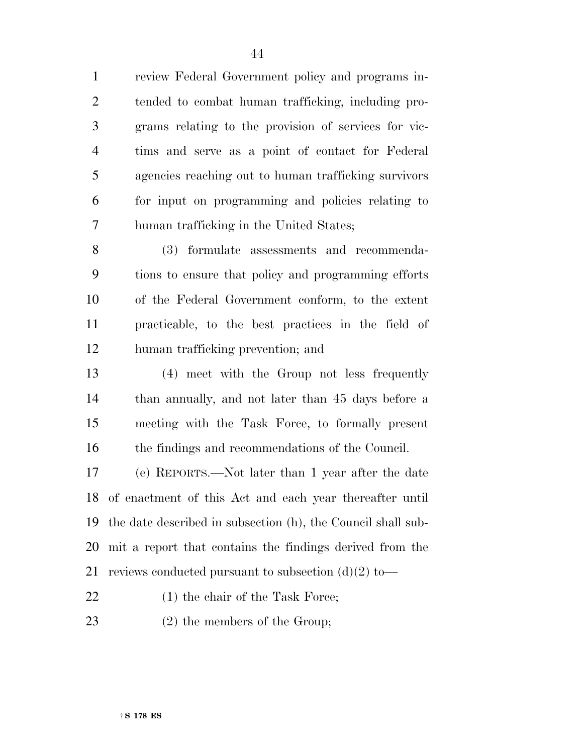review Federal Government policy and programs in- tended to combat human trafficking, including pro- grams relating to the provision of services for vic- tims and serve as a point of contact for Federal agencies reaching out to human trafficking survivors for input on programming and policies relating to human trafficking in the United States;

 (3) formulate assessments and recommenda- tions to ensure that policy and programming efforts of the Federal Government conform, to the extent practicable, to the best practices in the field of human trafficking prevention; and

 (4) meet with the Group not less frequently than annually, and not later than 45 days before a meeting with the Task Force, to formally present the findings and recommendations of the Council.

 (e) REPORTS.—Not later than 1 year after the date of enactment of this Act and each year thereafter until the date described in subsection (h), the Council shall sub- mit a report that contains the findings derived from the 21 reviews conducted pursuant to subsection  $(d)(2)$  to

- 22 (1) the chair of the Task Force;
- (2) the members of the Group;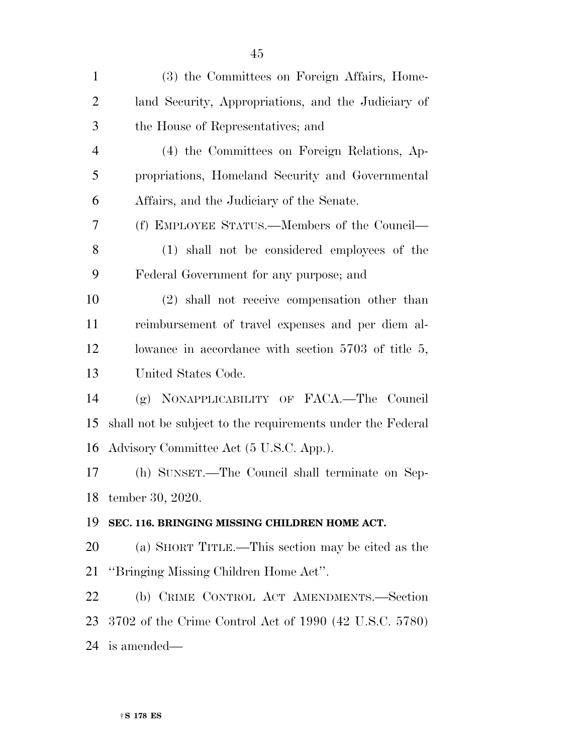| $\mathbf{1}$   | (3) the Committees on Foreign Affairs, Home-               |
|----------------|------------------------------------------------------------|
| $\overline{2}$ | land Security, Appropriations, and the Judiciary of        |
| 3              | the House of Representatives; and                          |
| $\overline{4}$ | (4) the Committees on Foreign Relations, Ap-               |
| 5              | propriations, Homeland Security and Governmental           |
| 6              | Affairs, and the Judiciary of the Senate.                  |
| 7              | (f) EMPLOYEE STATUS.—Members of the Council—               |
| 8              | (1) shall not be considered employees of the               |
| 9              | Federal Government for any purpose; and                    |
| 10             | (2) shall not receive compensation other than              |
| 11             | reimbursement of travel expenses and per diem al-          |
| 12             | lowance in accordance with section $5703$ of title 5,      |
| 13             | United States Code.                                        |
| 14             | (g) NONAPPLICABILITY OF FACA.—The Council                  |
| 15             | shall not be subject to the requirements under the Federal |
| 16             | Advisory Committee Act (5 U.S.C. App.).                    |
| 17             | (h) SUNSET.—The Council shall terminate on Sep-            |
|                | 18 tember 30, 2020.                                        |
| 19             | SEC. 116. BRINGING MISSING CHILDREN HOME ACT.              |
| 20             | (a) SHORT TITLE.—This section may be cited as the          |
| 21             | "Bringing Missing Children Home Act".                      |
| 22             | (b) CRIME CONTROL ACT AMENDMENTS.-Section                  |
| 23             | 3702 of the Crime Control Act of 1990 (42 U.S.C. 5780)     |
| 24             | is amended—                                                |
|                |                                                            |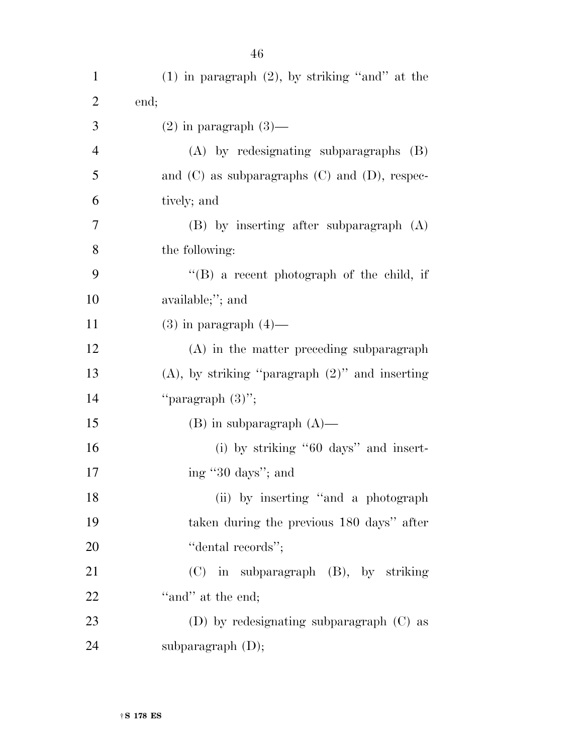| $\mathbf{1}$   | $(1)$ in paragraph $(2)$ , by striking "and" at the  |
|----------------|------------------------------------------------------|
| $\overline{2}$ | end;                                                 |
| 3              | $(2)$ in paragraph $(3)$ —                           |
| 4              | $(A)$ by redesignating subparagraphs $(B)$           |
| 5              | and $(C)$ as subparagraphs $(C)$ and $(D)$ , respec- |
| 6              | tively; and                                          |
| 7              | $(B)$ by inserting after subparagraph $(A)$          |
| 8              | the following:                                       |
| 9              | $\lq\lq (B)$ a recent photograph of the child, if    |
| 10             | available;"; and                                     |
| 11             | $(3)$ in paragraph $(4)$ —                           |
| 12             | (A) in the matter preceding subparagraph             |
| 13             | $(A)$ , by striking "paragraph $(2)$ " and inserting |
| 14             | "paragraph $(3)$ ";                                  |
| 15             | $(B)$ in subparagraph $(A)$ —                        |
| 16             | (i) by striking " $60 \text{ days}$ " and insert-    |
| 17             | ing "30 days"; and                                   |
| 18             | (ii) by inserting "and a photograph"                 |
| 19             | taken during the previous 180 days" after            |
| 20             | "dental records";                                    |
| 21             | (C) in subparagraph (B), by striking                 |
| 22             | "and" at the end;                                    |
| 23             | (D) by redesignating subparagraph $(C)$ as           |
| 24             | subparagraph (D);                                    |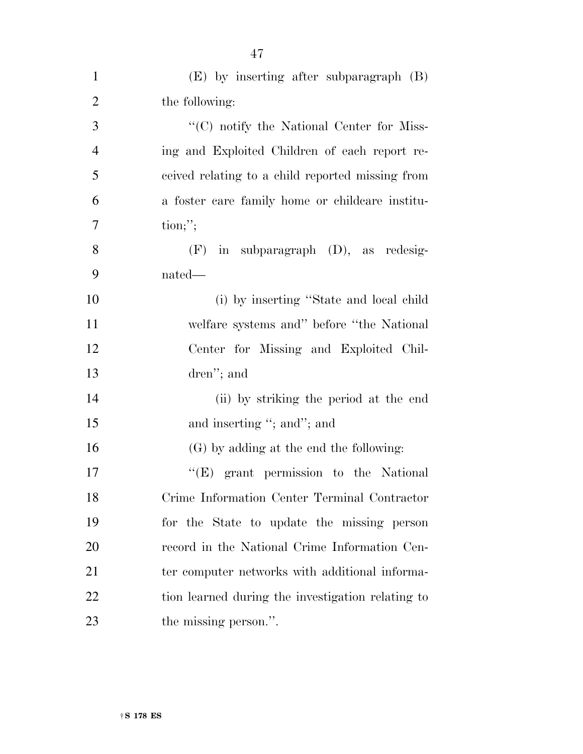| $\mathbf{1}$   | $(E)$ by inserting after subparagraph $(B)$       |
|----------------|---------------------------------------------------|
| $\overline{2}$ | the following:                                    |
| 3              | "(C) notify the National Center for Miss-         |
| $\overline{4}$ | ing and Exploited Children of each report re-     |
| 5              | ceived relating to a child reported missing from  |
| 6              | a foster care family home or childcare institu-   |
| 7              | $\text{tion};$ ";                                 |
| 8              | $(F)$ in subparagraph $(D)$ , as redesig-         |
| 9              | nated—                                            |
| 10             | (i) by inserting "State and local child           |
| 11             | welfare systems and" before "the National"        |
| 12             | Center for Missing and Exploited Chil-            |
| 13             | dren"; and                                        |
| 14             | (ii) by striking the period at the end            |
| 15             | and inserting "; and"; and                        |
| 16             | (G) by adding at the end the following:           |
| 17             | $\lq\lq(E)$ grant permission to the National      |
| 18             | Crime Information Center Terminal Contractor      |
| 19             | for the State to update the missing person        |
| 20             | record in the National Crime Information Cen-     |
| 21             | ter computer networks with additional informa-    |
| 22             | tion learned during the investigation relating to |
| 23             | the missing person.".                             |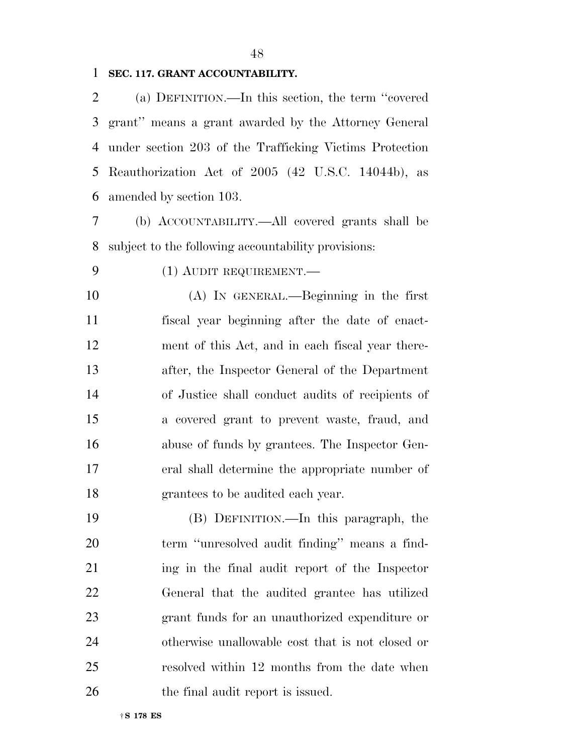#### **SEC. 117. GRANT ACCOUNTABILITY.**

 (a) DEFINITION.—In this section, the term ''covered grant'' means a grant awarded by the Attorney General under section 203 of the Trafficking Victims Protection Reauthorization Act of 2005 (42 U.S.C. 14044b), as amended by section 103.

 (b) ACCOUNTABILITY.—All covered grants shall be subject to the following accountability provisions:

# (1) AUDIT REQUIREMENT.—

 (A) IN GENERAL.—Beginning in the first fiscal year beginning after the date of enact- ment of this Act, and in each fiscal year there- after, the Inspector General of the Department of Justice shall conduct audits of recipients of a covered grant to prevent waste, fraud, and abuse of funds by grantees. The Inspector Gen- eral shall determine the appropriate number of grantees to be audited each year.

 (B) DEFINITION.—In this paragraph, the term ''unresolved audit finding'' means a find- ing in the final audit report of the Inspector General that the audited grantee has utilized grant funds for an unauthorized expenditure or otherwise unallowable cost that is not closed or resolved within 12 months from the date when 26 the final audit report is issued.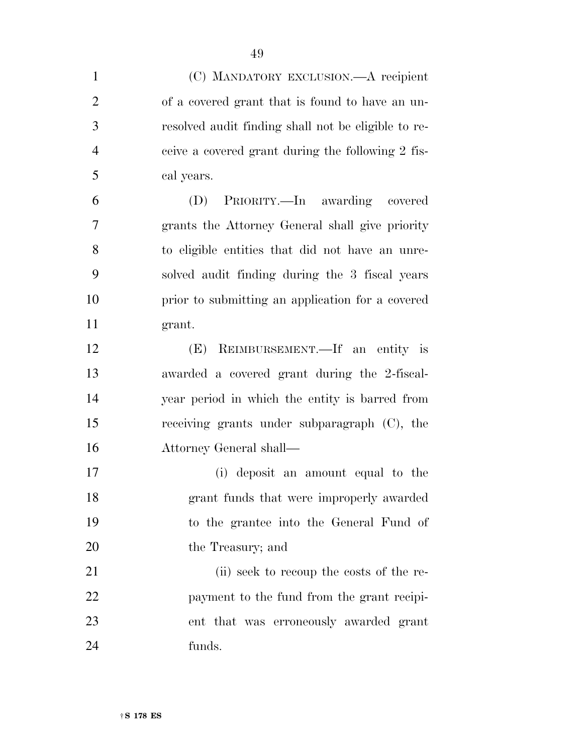| $\mathbf{1}$   | (C) MANDATORY EXCLUSION.—A recipient                |
|----------------|-----------------------------------------------------|
| $\overline{2}$ | of a covered grant that is found to have an un-     |
| 3              | resolved audit finding shall not be eligible to re- |
| $\overline{4}$ | ceive a covered grant during the following 2 fis-   |
| 5              | cal years.                                          |
| 6              | PRIORITY.—In awarding covered<br>(D)                |
| 7              | grants the Attorney General shall give priority     |
| 8              | to eligible entities that did not have an unre-     |
| 9              | solved audit finding during the 3 fiscal years      |
| 10             | prior to submitting an application for a covered    |
| 11             | grant.                                              |
| 12             | (E) REIMBURSEMENT.—If an entity is                  |
| 13             | awarded a covered grant during the 2-fiscal-        |
| 14             | year period in which the entity is barred from      |
| 15             | receiving grants under subparagraph (C), the        |
| 16             | Attorney General shall—                             |
| 17             | (i) deposit an amount equal to the                  |
| 18             | grant funds that were improperly awarded            |
| 19             | to the grantee into the General Fund of             |
| 20             | the Treasury; and                                   |
| 21             | (ii) seek to recoup the costs of the re-            |
| 22             | payment to the fund from the grant recipi-          |
| 23             | ent that was erroneously awarded grant              |
| 24             | funds.                                              |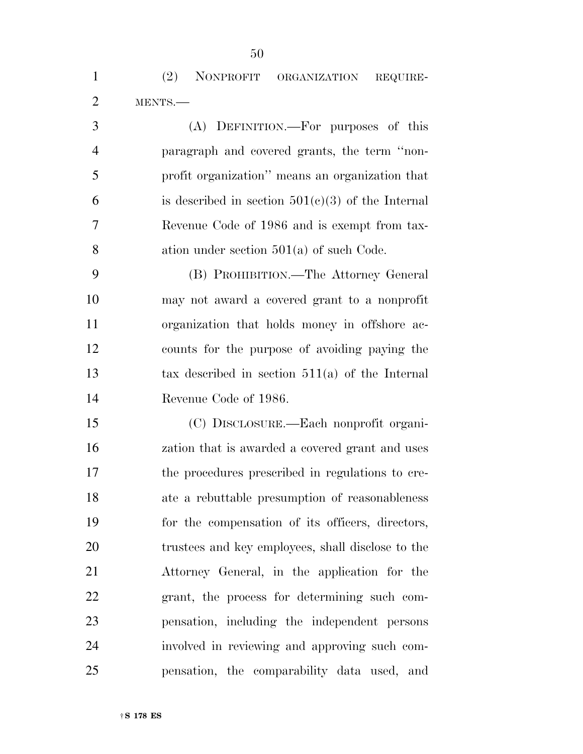(2) NONPROFIT ORGANIZATION REQUIRE-MENTS.—

 (A) DEFINITION.—For purposes of this paragraph and covered grants, the term ''non- profit organization'' means an organization that 6 is described in section  $501(c)(3)$  of the Internal Revenue Code of 1986 and is exempt from tax- ation under section 501(a) of such Code. (B) PROHIBITION.—The Attorney General

 may not award a covered grant to a nonprofit organization that holds money in offshore ac- counts for the purpose of avoiding paying the tax described in section 511(a) of the Internal Revenue Code of 1986.

 (C) DISCLOSURE.—Each nonprofit organi- zation that is awarded a covered grant and uses the procedures prescribed in regulations to cre- ate a rebuttable presumption of reasonableness for the compensation of its officers, directors, trustees and key employees, shall disclose to the Attorney General, in the application for the grant, the process for determining such com- pensation, including the independent persons involved in reviewing and approving such com-pensation, the comparability data used, and

†**S 178 ES**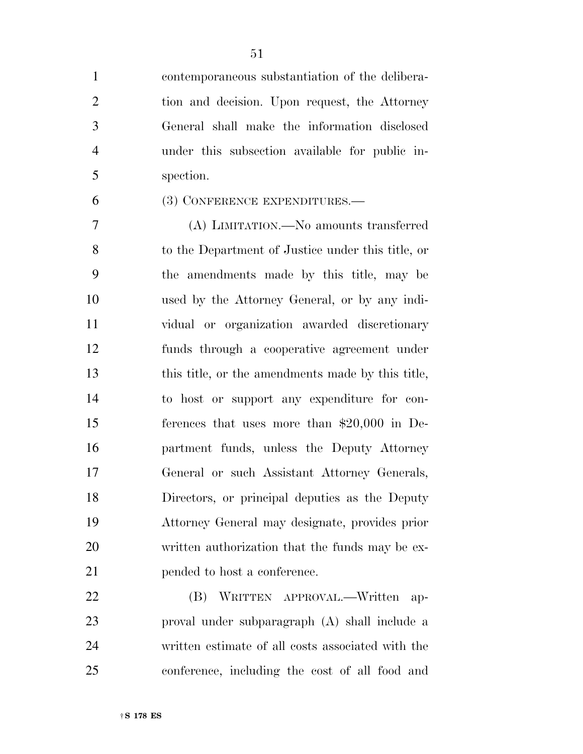contemporaneous substantiation of the delibera- tion and decision. Upon request, the Attorney General shall make the information disclosed under this subsection available for public in-spection.

# (3) CONFERENCE EXPENDITURES.—

 (A) LIMITATION.—No amounts transferred to the Department of Justice under this title, or the amendments made by this title, may be used by the Attorney General, or by any indi- vidual or organization awarded discretionary funds through a cooperative agreement under this title, or the amendments made by this title, to host or support any expenditure for con- ferences that uses more than \$20,000 in De- partment funds, unless the Deputy Attorney General or such Assistant Attorney Generals, Directors, or principal deputies as the Deputy Attorney General may designate, provides prior written authorization that the funds may be ex-pended to host a conference.

 (B) WRITTEN APPROVAL.—Written ap- proval under subparagraph (A) shall include a written estimate of all costs associated with the conference, including the cost of all food and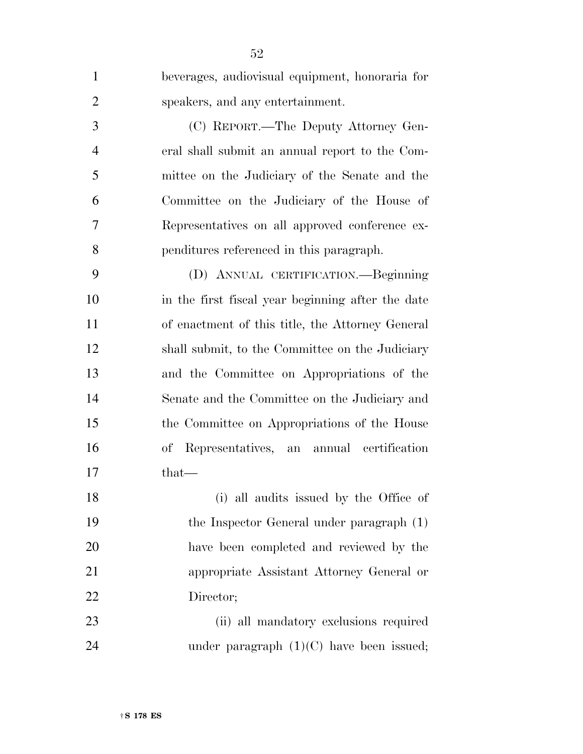| $\mathbf{1}$   | beverages, audiovisual equipment, honoraria for   |
|----------------|---------------------------------------------------|
| $\overline{2}$ | speakers, and any entertainment.                  |
| 3              | (C) REPORT.—The Deputy Attorney Gen-              |
| $\overline{4}$ | eral shall submit an annual report to the Com-    |
| 5              | mittee on the Judiciary of the Senate and the     |
| 6              | Committee on the Judiciary of the House of        |
| 7              | Representatives on all approved conference ex-    |
| 8              | penditures referenced in this paragraph.          |
| 9              | (D) ANNUAL CERTIFICATION.—Beginning               |
| 10             | in the first fiscal year beginning after the date |
| 11             | of enactment of this title, the Attorney General  |
| 12             | shall submit, to the Committee on the Judiciary   |
| 13             | and the Committee on Appropriations of the        |
| 14             | Senate and the Committee on the Judiciary and     |
| 15             | the Committee on Appropriations of the House      |
| 16             | Representatives, an annual certification<br>of    |
| 17             | $that-$                                           |
| 18             | (i) all audits issued by the Office of            |
| 19             | the Inspector General under paragraph (1)         |
| 20             | have been completed and reviewed by the           |
| 21             | appropriate Assistant Attorney General or         |
| 22             | Director;                                         |
| 23             | (ii) all mandatory exclusions required            |
| 24             | under paragraph $(1)(C)$ have been issued;        |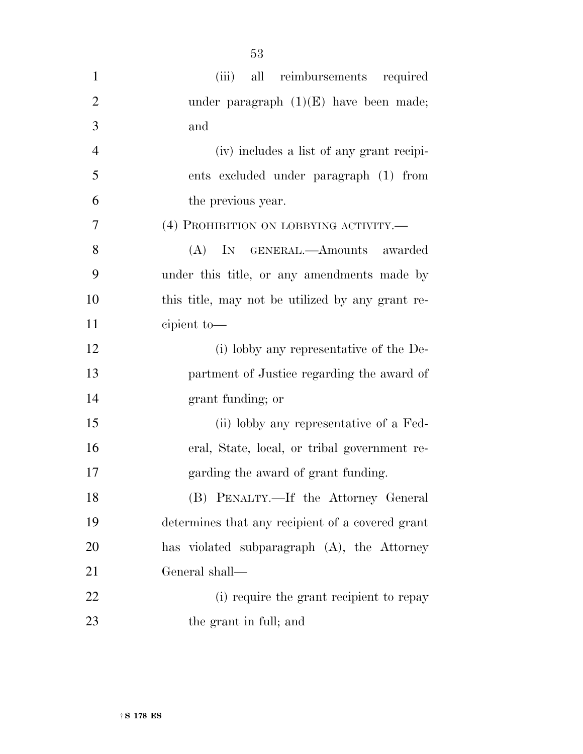| $\mathbf{1}$   | (iii) all reimbursements required                |
|----------------|--------------------------------------------------|
| $\mathbf{2}$   | under paragraph $(1)(E)$ have been made;         |
| $\mathfrak{Z}$ | and                                              |
| $\overline{4}$ | (iv) includes a list of any grant recipi-        |
| 5              | ents excluded under paragraph (1) from           |
| 6              | the previous year.                               |
| $\overline{7}$ | (4) PROHIBITION ON LOBBYING ACTIVITY.            |
| 8              | (A) IN GENERAL.—Amounts awarded                  |
| 9              | under this title, or any amendments made by      |
| 10             | this title, may not be utilized by any grant re- |
| 11             | cipient to-                                      |
| 12             | (i) lobby any representative of the De-          |
| 13             | partment of Justice regarding the award of       |
| 14             | grant funding; or                                |
| 15             | (ii) lobby any representative of a Fed-          |
| 16             | eral, State, local, or tribal government re-     |
| 17             | garding the award of grant funding.              |
| 18             | (B) PENALTY.—If the Attorney General             |
| 19             | determines that any recipient of a covered grant |
| 20             | has violated subparagraph (A), the Attorney      |
| 21             | General shall-                                   |
| 22             | (i) require the grant recipient to repay         |
| 23             | the grant in full; and                           |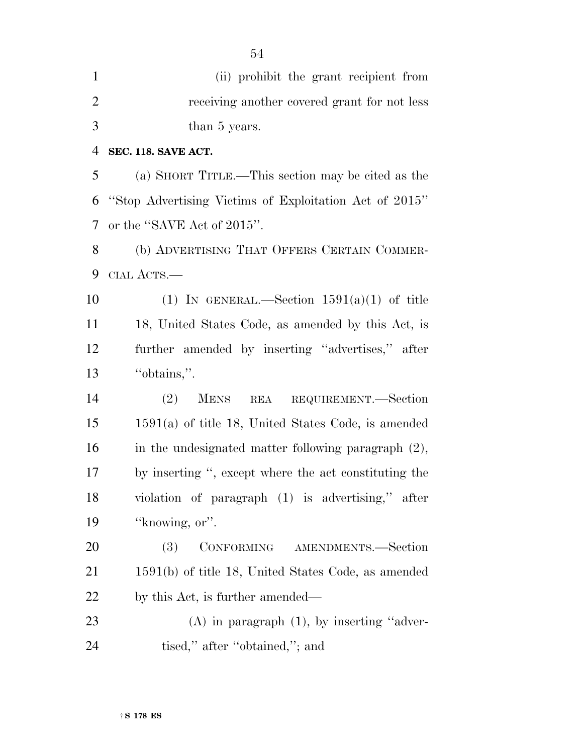| $\mathbf{1}$   | (ii) prohibit the grant recipient from                 |
|----------------|--------------------------------------------------------|
| $\overline{2}$ | receiving another covered grant for not less           |
| 3              | than 5 years.                                          |
| 4              | SEC. 118. SAVE ACT.                                    |
| 5              | (a) SHORT TITLE.—This section may be cited as the      |
| 6              | "Stop Advertising Victims of Exploitation Act of 2015" |
| 7              | or the "SAVE Act of 2015".                             |
| 8              | (b) ADVERTISING THAT OFFERS CERTAIN COMMER-            |
| 9              | CIAL ACTS.—                                            |
| 10             | (1) IN GENERAL.—Section $1591(a)(1)$ of title          |
| 11             | 18, United States Code, as amended by this Act, is     |
| 12             | further amended by inserting "advertises," after       |
| 13             | "obtains,".                                            |
| 14             | (2)<br><b>MENS</b><br>REA REQUIREMENT.—Section         |
| 15             | $1591(a)$ of title 18, United States Code, is amended  |
| 16             | in the undesignated matter following paragraph $(2)$ , |
| 17             | by inserting ", except where the act constituting the  |
| 18             | violation of paragraph (1) is advertising," after      |
| 19             | "knowing, or".                                         |
| 20             | CONFORMING AMENDMENTS.-Section<br>(3)                  |
| 21             | $1591(b)$ of title 18, United States Code, as amended  |
| 22             | by this Act, is further amended—                       |
| 23             | $(A)$ in paragraph $(1)$ , by inserting "adver-        |
| 24             | tised," after "obtained,"; and                         |

†**S 178 ES**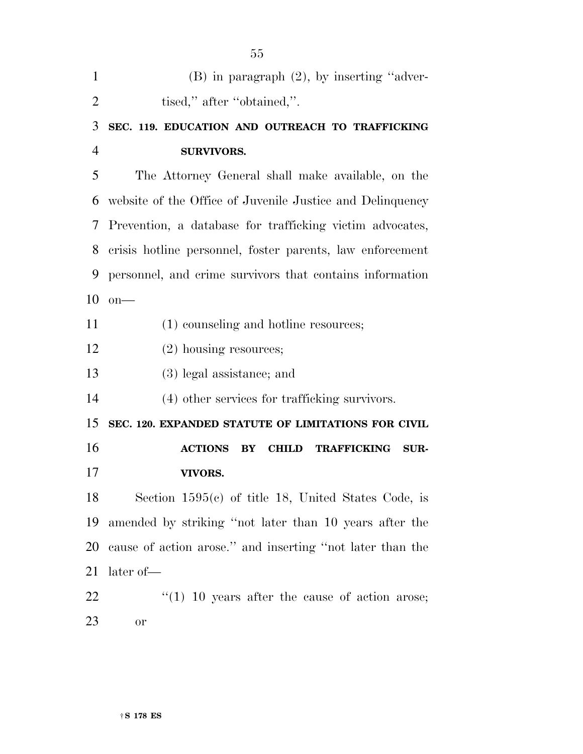| $\mathbf{1}$   | (B) in paragraph (2), by inserting "adver-                |
|----------------|-----------------------------------------------------------|
| $\overline{2}$ | tised," after "obtained,".                                |
| 3              | SEC. 119. EDUCATION AND OUTREACH TO TRAFFICKING           |
| $\overline{4}$ | <b>SURVIVORS.</b>                                         |
| 5              | The Attorney General shall make available, on the         |
| 6              | website of the Office of Juvenile Justice and Delinquency |
| 7              | Prevention, a database for trafficking victim advocates,  |
| 8              | crisis hotline personnel, foster parents, law enforcement |
| 9              | personnel, and crime survivors that contains information  |
| 10             | $on$ —                                                    |
| 11             | (1) counseling and hotline resources;                     |
| 12             | $(2)$ housing resources;                                  |
| 13             | (3) legal assistance; and                                 |
| 14             | (4) other services for trafficking survivors.             |
| 15             | SEC. 120. EXPANDED STATUTE OF LIMITATIONS FOR CIVIL       |
| 16             | <b>ACTIONS</b><br><b>CHILD TRAFFICKING</b><br>BY<br>SUR-  |
| 17             | VIVORS.                                                   |
| 18             | Section $1595(c)$ of title 18, United States Code, is     |
| 19             | amended by striking "not later than 10 years after the    |
| 20             | cause of action arose." and inserting "not later than the |
| 21             | later of-                                                 |
| 22             | $\lq(1)$ 10 years after the cause of action arose;        |
| 23             | or                                                        |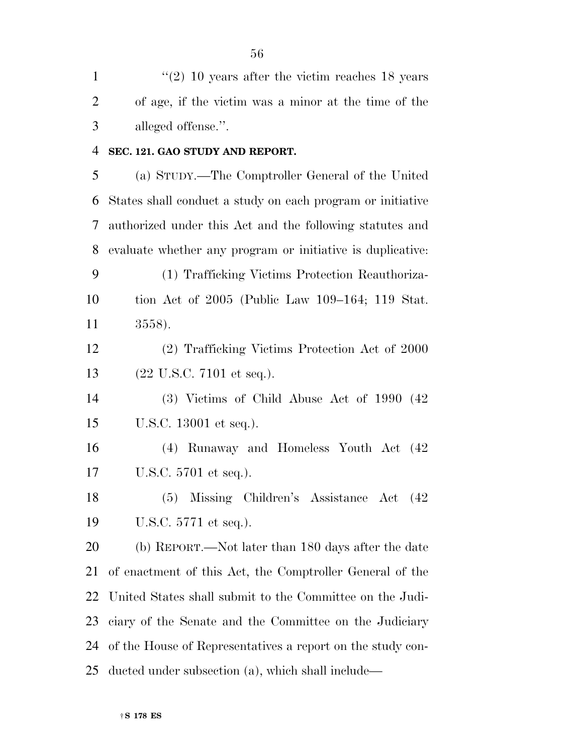1 ''(2) 10 years after the victim reaches 18 years of age, if the victim was a minor at the time of the alleged offense.''.

**SEC. 121. GAO STUDY AND REPORT.** 

 (a) STUDY.—The Comptroller General of the United States shall conduct a study on each program or initiative authorized under this Act and the following statutes and evaluate whether any program or initiative is duplicative:

 (1) Trafficking Victims Protection Reauthoriza- tion Act of 2005 (Public Law 109–164; 119 Stat. 3558).

 (2) Trafficking Victims Protection Act of 2000 (22 U.S.C. 7101 et seq.).

 (3) Victims of Child Abuse Act of 1990 (42 U.S.C. 13001 et seq.).

 (4) Runaway and Homeless Youth Act (42 U.S.C. 5701 et seq.).

 (5) Missing Children's Assistance Act (42 U.S.C. 5771 et seq.).

 (b) REPORT.—Not later than 180 days after the date of enactment of this Act, the Comptroller General of the United States shall submit to the Committee on the Judi- ciary of the Senate and the Committee on the Judiciary of the House of Representatives a report on the study con-ducted under subsection (a), which shall include—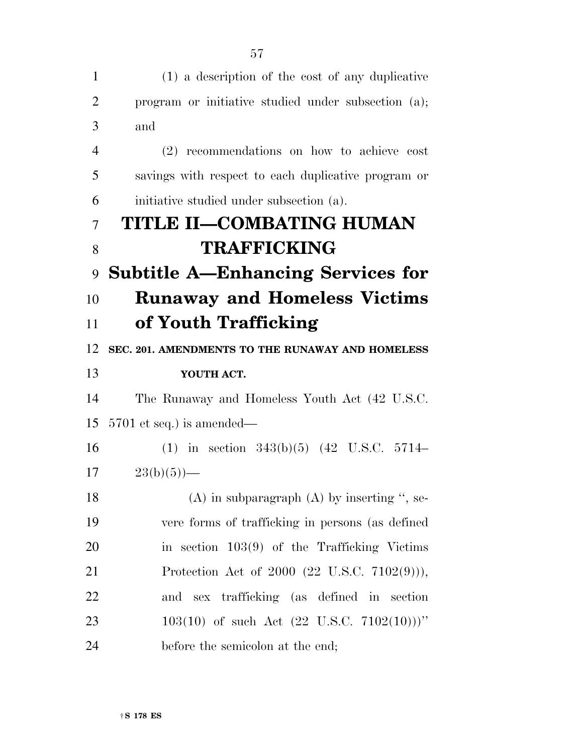| $\mathbf{1}$   | (1) a description of the cost of any duplicative          |
|----------------|-----------------------------------------------------------|
| 2              | program or initiative studied under subsection (a);       |
| 3              | and                                                       |
| $\overline{4}$ | (2) recommendations on how to achieve cost                |
| 5              | savings with respect to each duplicative program or       |
| 6              | initiative studied under subsection (a).                  |
| 7              | TITLE II-COMBATING HUMAN                                  |
| 8              | <b>TRAFFICKING</b>                                        |
| 9              | <b>Subtitle A-Enhancing Services for</b>                  |
| 10             | <b>Runaway and Homeless Victims</b>                       |
| 11             | of Youth Trafficking                                      |
| 12             | SEC. 201. AMENDMENTS TO THE RUNAWAY AND HOMELESS          |
| 13             | YOUTH ACT.                                                |
| 14             | The Runaway and Homeless Youth Act (42 U.S.C.             |
| 15             | $5701$ et seq.) is amended—                               |
| 16             | (1) in section $343(b)(5)$ (42 U.S.C. 5714–               |
| 17             | $23(b)(5)$ —                                              |
| 18             | $(A)$ in subparagraph $(A)$ by inserting ", se-           |
| 19             | vere forms of trafficking in persons (as defined          |
| 20             | in section $103(9)$ of the Trafficking Victims            |
| 21             | Protection Act of $2000$ $(22 \text{ U.S.C. } 7102(9))),$ |
| 22             | and sex trafficking (as defined in section                |
| 23             | 103(10) of such Act (22 U.S.C. 7102(10)))"                |
| 24             | before the semicolon at the end;                          |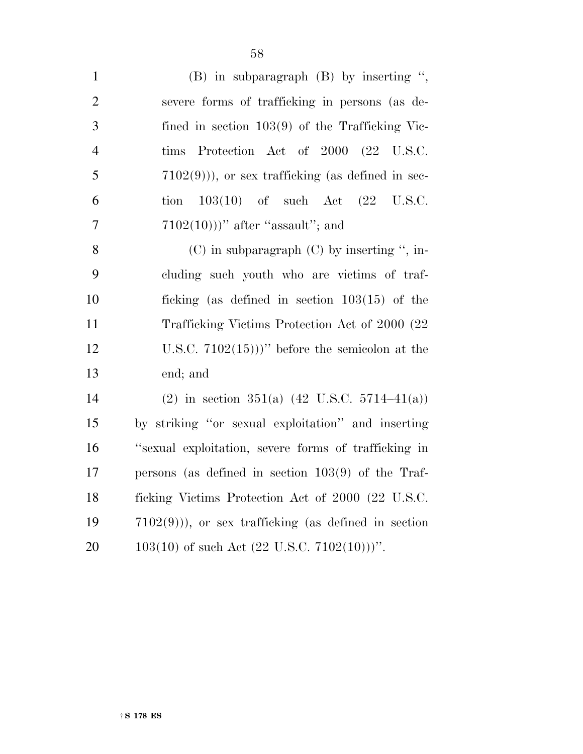| $\mathbf{1}$   | $(B)$ in subparagraph $(B)$ by inserting ",               |
|----------------|-----------------------------------------------------------|
| $\overline{2}$ | severe forms of trafficking in persons (as de-            |
| 3              | fined in section $103(9)$ of the Trafficking Vic-         |
| $\overline{4}$ | tims Protection Act of 2000 (22 U.S.C.                    |
| 5              | $(7102(9))$ , or sex trafficking (as defined in sec-      |
| 6              | $103(10)$ of such Act $(22 \text{ U.S.C.})$<br>tion       |
| $\overline{7}$ | $(7102(10)))$ " after "assault"; and                      |
| 8              | $(C)$ in subparagraph $(C)$ by inserting ", in-           |
| 9              | cluding such youth who are victims of traf-               |
| 10             | ficking (as defined in section $103(15)$ of the           |
| 11             | Trafficking Victims Protection Act of 2000 (22)           |
| 12             | U.S.C. $7102(15)$ )'' before the semicolon at the         |
| 13             | end; and                                                  |
| 14             | (2) in section 351(a) $(42 \text{ U.S.C. } 5714-41(a))$   |
| 15             | by striking "or sexual exploitation" and inserting        |
| 16             | "sexual exploitation, severe forms of trafficking in      |
| 17             | persons (as defined in section $103(9)$ of the Traf-      |
| 18             | ficking Victims Protection Act of 2000 (22 U.S.C.         |
| 19             | $(7102(9))$ , or sex trafficking (as defined in section   |
| 20             | $103(10)$ of such Act $(22 \text{ U.S.C. } 7102(10)))$ ". |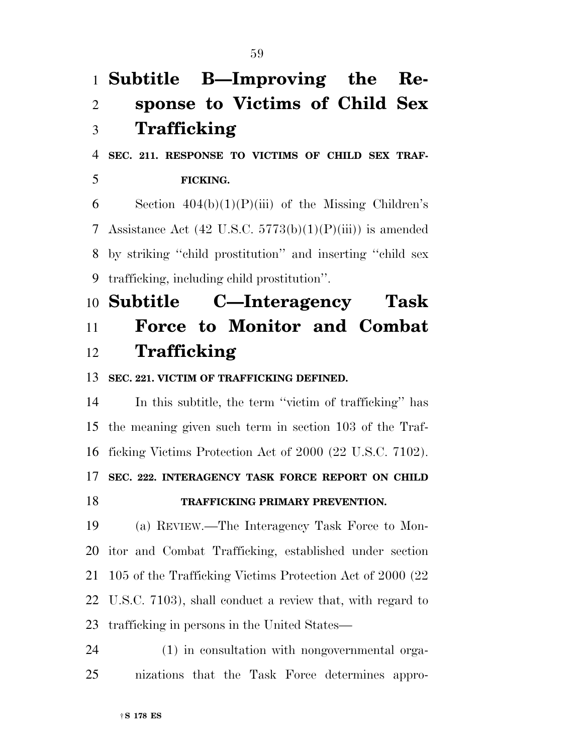†**S 178 ES Trafficking SEC. 211. RESPONSE TO VICTIMS OF CHILD SEX TRAF- FICKING.**  6 Section  $404(b)(1)(P(iii)$  of the Missing Children's 7 Assistance Act  $(42 \text{ U.S.C. } 5773(b)(1)(P(iii))$  is amended by striking ''child prostitution'' and inserting ''child sex trafficking, including child prostitution''. **Subtitle C—Interagency Task Force to Monitor and Combat Trafficking SEC. 221. VICTIM OF TRAFFICKING DEFINED.**  In this subtitle, the term ''victim of trafficking'' has the meaning given such term in section 103 of the Traf- ficking Victims Protection Act of 2000 (22 U.S.C. 7102). **SEC. 222. INTERAGENCY TASK FORCE REPORT ON CHILD TRAFFICKING PRIMARY PREVENTION.**  (a) REVIEW.—The Interagency Task Force to Mon- itor and Combat Trafficking, established under section 105 of the Trafficking Victims Protection Act of 2000 (22 U.S.C. 7103), shall conduct a review that, with regard to trafficking in persons in the United States— (1) in consultation with nongovernmental orga-nizations that the Task Force determines appro-

**Subtitle B—Improving the Re-**

**sponse to Victims of Child Sex**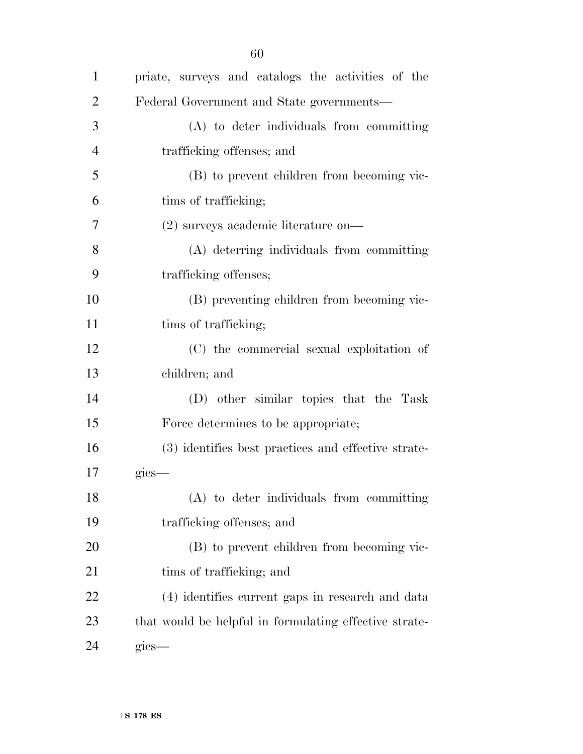| $\mathbf{1}$   | priate, surveys and catalogs the activities of the     |
|----------------|--------------------------------------------------------|
| $\overline{2}$ | Federal Government and State governments—              |
| 3              | (A) to deter individuals from committing               |
| $\overline{4}$ | trafficking offenses; and                              |
| 5              | (B) to prevent children from becoming vic-             |
| 6              | tims of trafficking;                                   |
| 7              | $(2)$ surveys academic literature on-                  |
| 8              | (A) deterring individuals from committing              |
| 9              | trafficking offenses;                                  |
| 10             | (B) preventing children from becoming vic-             |
| 11             | time of trafficking;                                   |
| 12             | (C) the commercial sexual exploitation of              |
| 13             | children; and                                          |
| 14             | (D) other similar topics that the Task                 |
| 15             | Force determines to be appropriate;                    |
| 16             | (3) identifies best practices and effective strate-    |
| 17             | gies-                                                  |
| 18             | (A) to deter individuals from committing               |
| 19             | trafficking offenses; and                              |
| 20             | (B) to prevent children from becoming vic-             |
| 21             | tims of trafficking; and                               |
| 22             | (4) identifies current gaps in research and data       |
| 23             | that would be helpful in formulating effective strate- |
| 24             | gies—                                                  |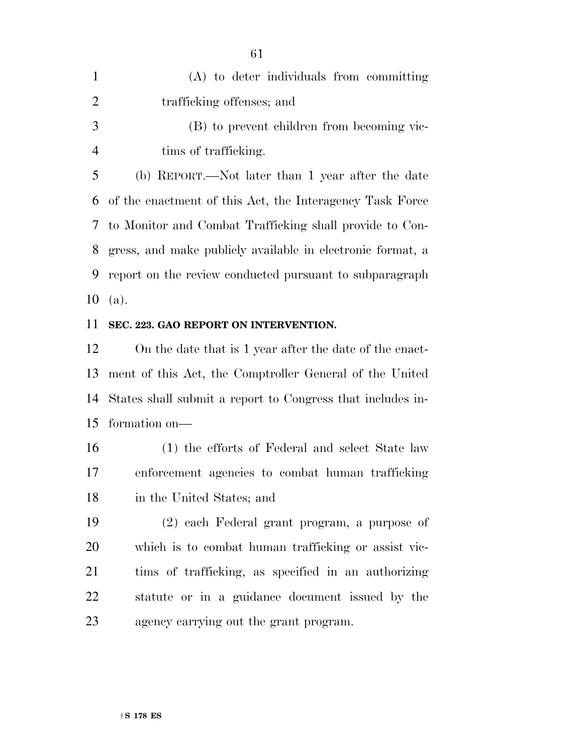| 1              | (A) to deter individuals from committing                   |
|----------------|------------------------------------------------------------|
| 2              | trafficking offenses; and                                  |
| 3              | (B) to prevent children from becoming vic-                 |
| $\overline{4}$ | tims of trafficking.                                       |
| 5              | (b) REPORT.—Not later than 1 year after the date           |
| 6              | of the enactment of this Act, the Interagency Task Force   |
|                | 7 to Monitor and Combat Trafficking shall provide to Con-  |
| 8              | gress, and make publicly available in electronic format, a |
| 9              | report on the review conducted pursuant to subparagraph    |
|                | 10 (a).                                                    |

#### **SEC. 223. GAO REPORT ON INTERVENTION.**

 On the date that is 1 year after the date of the enact- ment of this Act, the Comptroller General of the United States shall submit a report to Congress that includes in-formation on—

 (1) the efforts of Federal and select State law enforcement agencies to combat human trafficking in the United States; and

 (2) each Federal grant program, a purpose of which is to combat human trafficking or assist vic- tims of trafficking, as specified in an authorizing statute or in a guidance document issued by the agency carrying out the grant program.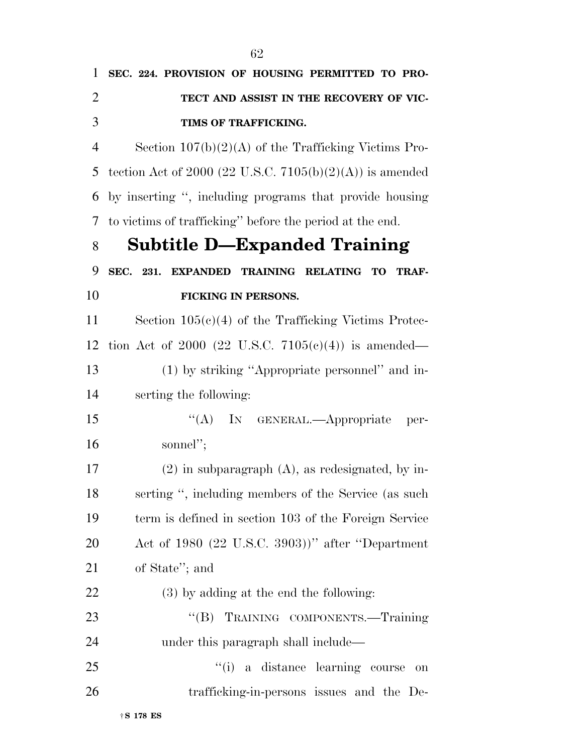| 1              | SEC. 224. PROVISION OF HOUSING PERMITTED TO PRO-         |
|----------------|----------------------------------------------------------|
| $\overline{2}$ | TECT AND ASSIST IN THE RECOVERY OF VIC-                  |
| 3              | TIMS OF TRAFFICKING.                                     |
| $\overline{4}$ | Section $107(b)(2)(A)$ of the Trafficking Victims Pro-   |
| 5              | tection Act of 2000 (22 U.S.C. 7105(b)(2)(A)) is amended |
| 6              | by inserting ", including programs that provide housing  |
| 7              | to victims of trafficking" before the period at the end. |
| 8              | <b>Subtitle D-Expanded Training</b>                      |
| 9              | SEC. 231. EXPANDED TRAINING RELATING TO<br><b>TRAF-</b>  |
| 10             | <b>FICKING IN PERSONS.</b>                               |
| 11             | Section $105(c)(4)$ of the Trafficking Victims Protec-   |
| 12             | tion Act of 2000 (22 U.S.C. 7105(c)(4)) is amended—      |
| 13             | (1) by striking "Appropriate personnel" and in-          |
| 14             | serting the following:                                   |
| 15             | "(A) IN GENERAL.—Appropriate<br>per-                     |
| 16             | sonnel";                                                 |
| 17             | $(2)$ in subparagraph $(A)$ , as redesignated, by in-    |
| 18             | serting ", including members of the Service (as such     |
| 19             | term is defined in section 103 of the Foreign Service    |
| 20             | Act of 1980 (22 U.S.C. 3903))" after "Department"        |
| 21             | of State"; and                                           |
| 22             | $(3)$ by adding at the end the following:                |
| 23             | "(B) TRAINING COMPONENTS.-Training                       |
| 24             | under this paragraph shall include—                      |
| 25             | "(i) a distance learning course<br>on                    |
| 26             | trafficking-in-persons issues and the De-                |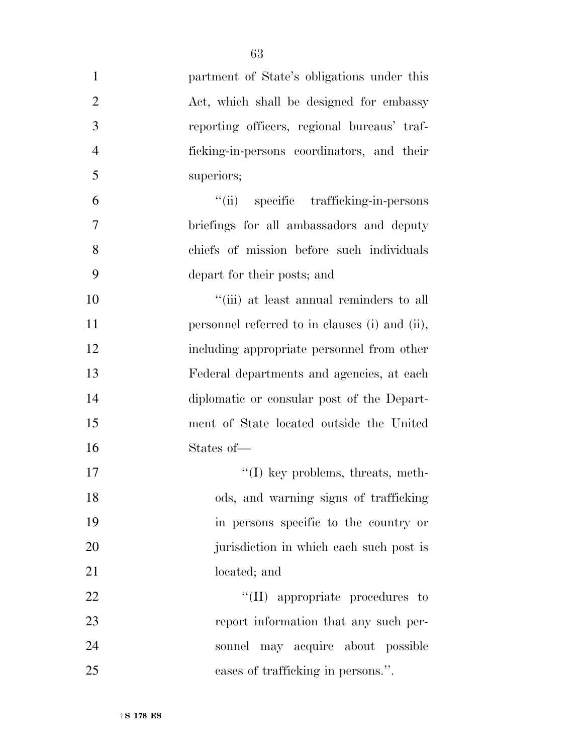| $\mathbf{1}$   | partment of State's obligations under this     |
|----------------|------------------------------------------------|
| $\overline{2}$ | Act, which shall be designed for embassy       |
| 3              | reporting officers, regional bureaus' traf-    |
| $\overline{4}$ | ficking-in-persons coordinators, and their     |
| 5              | superiors;                                     |
| 6              | "(ii) specific trafficking-in-persons          |
| 7              | briefings for all ambassadors and deputy       |
| 8              | chiefs of mission before such individuals      |
| 9              | depart for their posts; and                    |
| 10             | "(iii) at least annual reminders to all        |
| 11             | personnel referred to in clauses (i) and (ii), |
| 12             | including appropriate personnel from other     |
| 13             | Federal departments and agencies, at each      |
| 14             | diplomatic or consular post of the Depart-     |
| 15             | ment of State located outside the United       |
| 16             | States of-                                     |
| 17             | $\lq\lq$ (I) key problems, threats, meth-      |
| 18             | ods, and warning signs of trafficking          |
| 19             | in persons specific to the country or          |
| 20             | jurisdiction in which each such post is        |
| 21             | located; and                                   |
| 22             | $\lq\lq$ (II) appropriate procedures to        |
| 23             | report information that any such per-          |
| 24             | sonnel may acquire about possible              |
| 25             | cases of trafficking in persons.".             |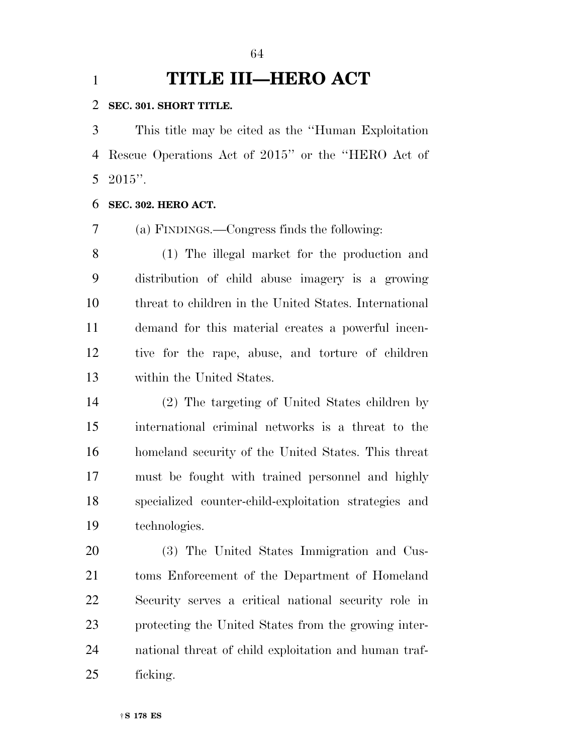# **TITLE III—HERO ACT**

#### **SEC. 301. SHORT TITLE.**

 This title may be cited as the ''Human Exploitation Rescue Operations Act of 2015'' or the ''HERO Act of 2015''.

### **SEC. 302. HERO ACT.**

(a) FINDINGS.—Congress finds the following:

 (1) The illegal market for the production and distribution of child abuse imagery is a growing threat to children in the United States. International demand for this material creates a powerful incen- tive for the rape, abuse, and torture of children within the United States.

 (2) The targeting of United States children by international criminal networks is a threat to the homeland security of the United States. This threat must be fought with trained personnel and highly specialized counter-child-exploitation strategies and technologies.

 (3) The United States Immigration and Cus- toms Enforcement of the Department of Homeland Security serves a critical national security role in protecting the United States from the growing inter- national threat of child exploitation and human traf-ficking.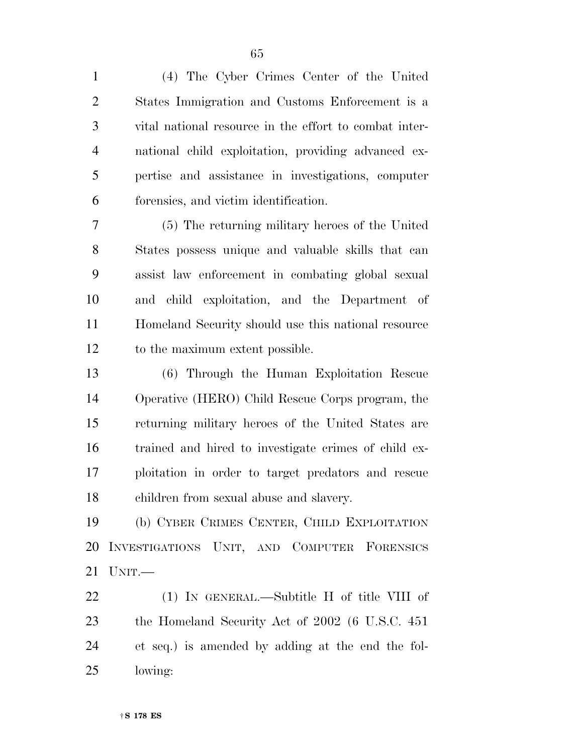(4) The Cyber Crimes Center of the United States Immigration and Customs Enforcement is a vital national resource in the effort to combat inter- national child exploitation, providing advanced ex- pertise and assistance in investigations, computer forensics, and victim identification.

 (5) The returning military heroes of the United States possess unique and valuable skills that can assist law enforcement in combating global sexual and child exploitation, and the Department of Homeland Security should use this national resource to the maximum extent possible.

 (6) Through the Human Exploitation Rescue Operative (HERO) Child Rescue Corps program, the returning military heroes of the United States are trained and hired to investigate crimes of child ex- ploitation in order to target predators and rescue children from sexual abuse and slavery.

 (b) CYBER CRIMES CENTER, CHILD EXPLOITATION INVESTIGATIONS UNIT, AND COMPUTER FORENSICS UNIT.—

 (1) IN GENERAL.—Subtitle H of title VIII of the Homeland Security Act of 2002 (6 U.S.C. 451 et seq.) is amended by adding at the end the fol-lowing: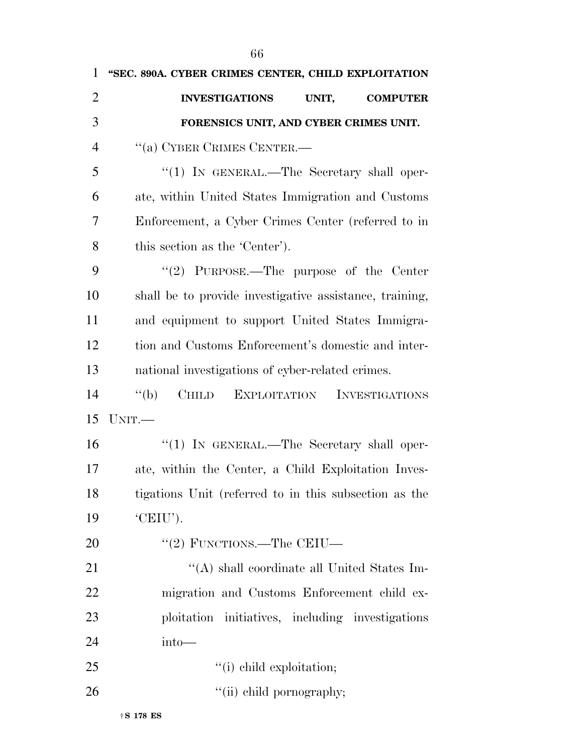| $\mathbf{1}$   | "SEC. 890A. CYBER CRIMES CENTER, CHILD EXPLOITATION                       |
|----------------|---------------------------------------------------------------------------|
| $\overline{2}$ | <b>INVESTIGATIONS</b><br>UNIT,<br><b>COMPUTER</b>                         |
| 3              | FORENSICS UNIT, AND CYBER CRIMES UNIT.                                    |
| $\overline{4}$ | "(a) CYBER CRIMES CENTER.—                                                |
| 5              | $\lq(1)$ In GENERAL.—The Secretary shall oper-                            |
| 6              | ate, within United States Immigration and Customs                         |
| 7              | Enforcement, a Cyber Crimes Center (referred to in                        |
| 8              | this section as the 'Center').                                            |
| 9              | "(2) PURPOSE.—The purpose of the Center                                   |
| 10             | shall be to provide investigative assistance, training,                   |
| 11             | and equipment to support United States Immigra-                           |
| 12             | tion and Customs Enforcement's domestic and inter-                        |
| 13             | national investigations of cyber-related crimes.                          |
| 14             | $\lq (b)$<br><b>CHILD</b><br><b>EXPLOITATION</b><br><b>INVESTIGATIONS</b> |
| 15             | UNIT.                                                                     |
| 16             | " $(1)$ IN GENERAL.—The Secretary shall oper-                             |
| 17             | ate, within the Center, a Child Exploitation Inves-                       |
| 18             | tigations Unit (referred to in this subsection as the                     |
| 19             | 'CEIU').                                                                  |
| 20             | "(2) FUNCTIONS.—The CEIU—                                                 |
| 21             | "(A) shall coordinate all United States Im-                               |
| 22             | migration and Customs Enforcement child ex-                               |
| 23             | ploitation initiatives, including investigations                          |
| 24             | $into$ —                                                                  |
| 25             | "(i) child exploitation;                                                  |
| 26             | "(ii) child pornography;                                                  |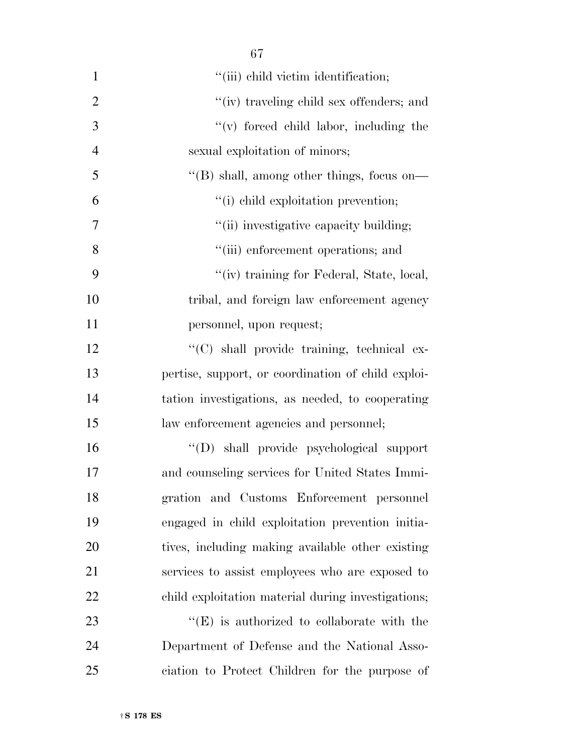| $\mathbf{1}$   | "(iii) child victim identification;                |
|----------------|----------------------------------------------------|
| $\overline{2}$ | "(iv) traveling child sex offenders; and           |
| 3              | "(v) forced child labor, including the             |
| $\overline{4}$ | sexual exploitation of minors;                     |
| 5              | "(B) shall, among other things, focus on—          |
| 6              | "(i) child exploitation prevention;                |
| $\tau$         | "(ii) investigative capacity building;             |
| 8              | "(iii) enforcement operations; and                 |
| 9              | "(iv) training for Federal, State, local,          |
| 10             | tribal, and foreign law enforcement agency         |
| 11             | personnel, upon request;                           |
| 12             | "(C) shall provide training, technical ex-         |
| 13             | pertise, support, or coordination of child exploi- |
| 14             | tation investigations, as needed, to cooperating   |
| 15             | law enforcement agencies and personnel;            |
| 16             | "(D) shall provide psychological support           |
| 17             | and counseling services for United States Immi-    |
| 18             | gration and Customs Enforcement personnel          |
| 19             | engaged in child exploitation prevention initia-   |
| 20             | tives, including making available other existing   |
| 21             | services to assist employees who are exposed to    |
| 22             | child exploitation material during investigations; |
| 23             | $\lq\lq(E)$ is authorized to collaborate with the  |
| 24             | Department of Defense and the National Asso-       |
| 25             | ciation to Protect Children for the purpose of     |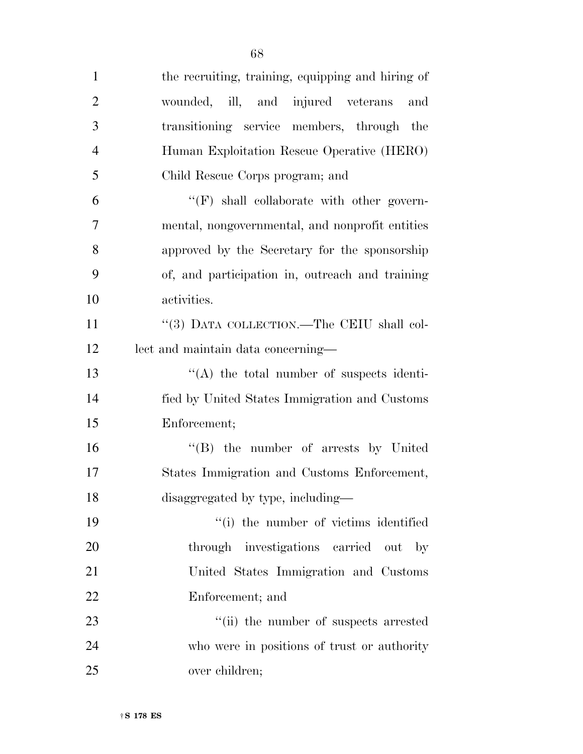| $\mathbf{1}$   | the recruiting, training, equipping and hiring of      |
|----------------|--------------------------------------------------------|
| $\overline{2}$ | wounded, ill, and injured veterans<br>and              |
| 3              | transitioning service members, through the             |
| $\overline{4}$ | Human Exploitation Rescue Operative (HERO)             |
| 5              | Child Rescue Corps program; and                        |
| 6              | $\lq\lq(F)$ shall collaborate with other govern-       |
| 7              | mental, nongovernmental, and nonprofit entities        |
| 8              | approved by the Secretary for the sponsorship          |
| 9              | of, and participation in, outreach and training        |
| 10             | activities.                                            |
| 11             | "(3) DATA COLLECTION.—The CEIU shall col-              |
| 12             | lect and maintain data concerning-                     |
| 13             | $\lq\lq$ the total number of suspects identi-          |
| 14             | fied by United States Immigration and Customs          |
| 15             | Enforcement;                                           |
| 16             | "(B) the number of arrests by United                   |
| 17             | States Immigration and Customs Enforcement,            |
| 18             | disaggregated by type, including—                      |
| 19             | "(i) the number of victims identified                  |
| 20             | through investigations carried<br>- out<br>$_{\rm by}$ |
| 21             | United States Immigration and Customs                  |
| 22             | Enforcement; and                                       |
| 23             | "(ii) the number of suspects arrested                  |
| 24             | who were in positions of trust or authority            |
| 25             | over children;                                         |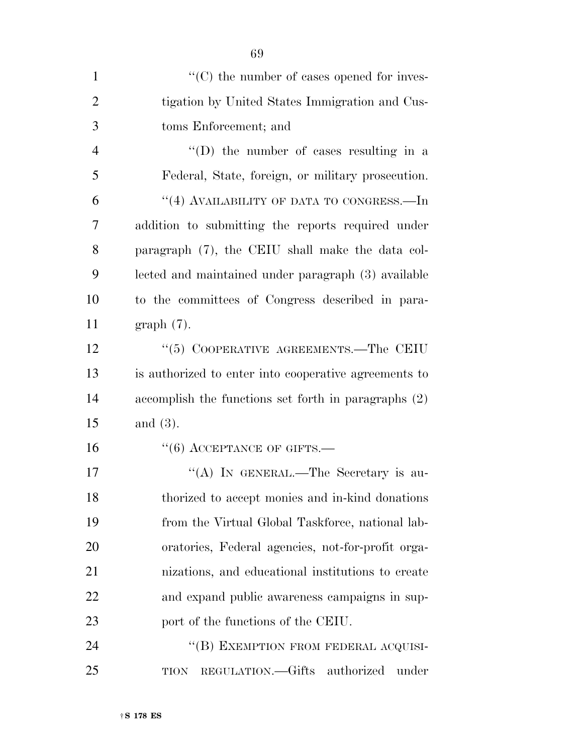| $\mathbf{1}$   | "(C) the number of cases opened for inves-            |
|----------------|-------------------------------------------------------|
| $\overline{2}$ | tigation by United States Immigration and Cus-        |
| 3              | toms Enforcement; and                                 |
| 4              | $\lq\lq$ the number of cases resulting in a           |
| 5              | Federal, State, foreign, or military prosecution.     |
| 6              | "(4) AVAILABILITY OF DATA TO CONGRESS.—In             |
| 7              | addition to submitting the reports required under     |
| 8              | paragraph (7), the CEIU shall make the data col-      |
| 9              | lected and maintained under paragraph (3) available   |
| 10             | to the committees of Congress described in para-      |
| 11             | $graph(7)$ .                                          |
| 12             | "(5) COOPERATIVE AGREEMENTS.—The CEIU                 |
| 13             | is authorized to enter into cooperative agreements to |
| 14             | accomplish the functions set forth in paragraphs (2)  |
| 15             | and $(3)$ .                                           |
| 16             | $``(6)$ ACCEPTANCE OF GIFTS.—                         |
| 17             | "(A) IN GENERAL.—The Secretary is au-                 |
| 18             | thorized to accept monies and in-kind donations       |
| 19             | from the Virtual Global Taskforce, national lab-      |
| 20             | oratories, Federal agencies, not-for-profit orga-     |
| 21             | nizations, and educational institutions to create     |
| <u>22</u>      | and expand public awareness campaigns in sup-         |
| 23             | port of the functions of the CEIU.                    |
| 24             | "(B) EXEMPTION FROM FEDERAL ACQUISI-                  |
| 25             | REGULATION.—Gifts authorized<br>under<br><b>TION</b>  |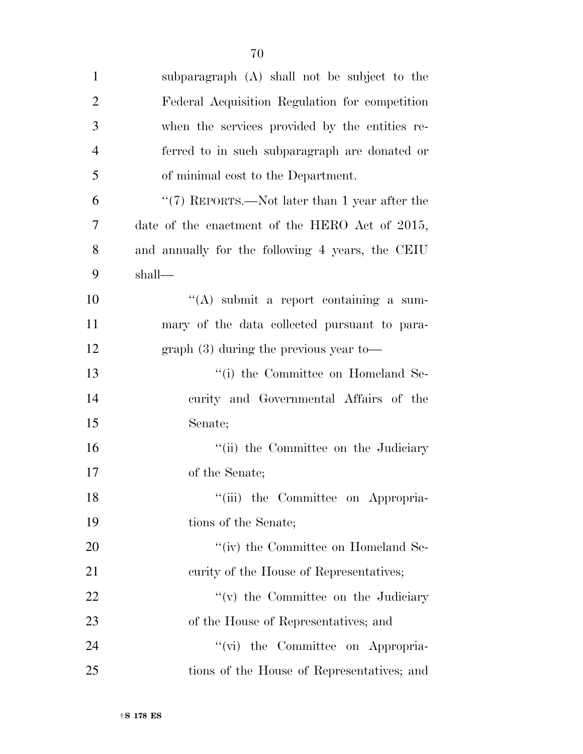| $\mathbf{1}$   | subparagraph (A) shall not be subject to the     |
|----------------|--------------------------------------------------|
| $\overline{2}$ | Federal Acquisition Regulation for competition   |
| 3              | when the services provided by the entities re-   |
| $\overline{4}$ | ferred to in such subparagraph are donated or    |
| 5              | of minimal cost to the Department.               |
| 6              | " $(7)$ REPORTS.—Not later than 1 year after the |
| 7              | date of the enactment of the HERO Act of 2015,   |
| 8              | and annually for the following 4 years, the CEIU |
| 9              | shall—                                           |
| 10             | "(A) submit a report containing a sum-           |
| 11             | mary of the data collected pursuant to para-     |
| 12             | $graph(3)$ during the previous year to-          |
| 13             | "(i) the Committee on Homeland Se-               |
| 14             | curity and Governmental Affairs of the           |
| 15             | Senate;                                          |
| 16             | "(ii) the Committee on the Judiciary             |
| 17             | of the Senate;                                   |
| 18             | "(iii) the Committee on Appropria-               |
| 19             | tions of the Senate;                             |
| 20             | "(iv) the Committee on Homeland Se-              |
| 21             | curity of the House of Representatives;          |
| 22             | $f'(v)$ the Committee on the Judiciary           |
| 23             | of the House of Representatives; and             |
| 24             | the Committee on Appropria-<br>$``(\text{vi})$   |
| 25             | tions of the House of Representatives; and       |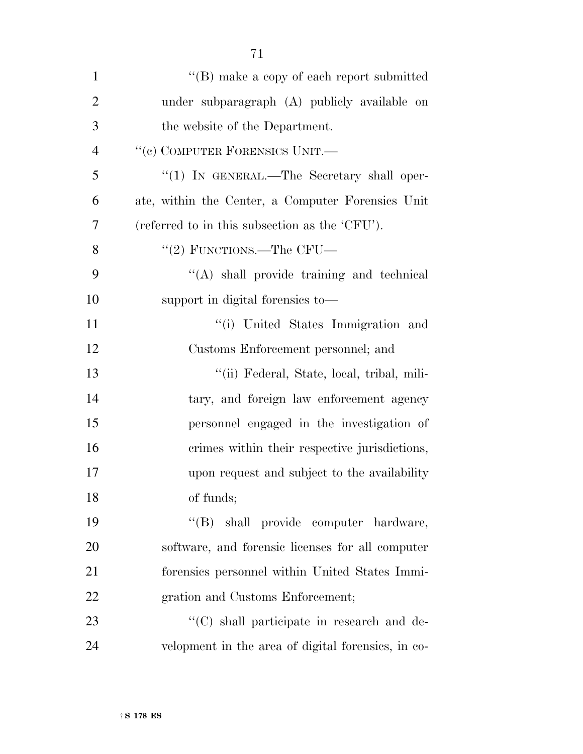| $\mathbf{1}$   | "(B) make a copy of each report submitted          |
|----------------|----------------------------------------------------|
| $\overline{2}$ | under subparagraph (A) publicly available on       |
| 3              | the website of the Department.                     |
| $\overline{4}$ | "(c) COMPUTER FORENSICS UNIT.-                     |
| 5              | " $(1)$ IN GENERAL.—The Secretary shall oper-      |
| 6              | ate, within the Center, a Computer Forensics Unit  |
| 7              | (referred to in this subsection as the 'CFU').     |
| 8              | "(2) FUNCTIONS.—The CFU—                           |
| 9              | $\lq\lq$ shall provide training and technical      |
| 10             | support in digital forensies to-                   |
| 11             | "(i) United States Immigration and                 |
| 12             | Customs Enforcement personnel; and                 |
| 13             | "(ii) Federal, State, local, tribal, mili-         |
| 14             | tary, and foreign law enforcement agency           |
| 15             | personnel engaged in the investigation of          |
| 16             | crimes within their respective jurisdictions,      |
| 17             | upon request and subject to the availability       |
| 18             | of funds;                                          |
| 19             | "(B) shall provide computer hardware,              |
| 20             | software, and forensic licenses for all computer   |
| 21             | forensics personnel within United States Immi-     |
| 22             | gration and Customs Enforcement;                   |
| 23             | "(C) shall participate in research and de-         |
| 24             | velopment in the area of digital forensies, in co- |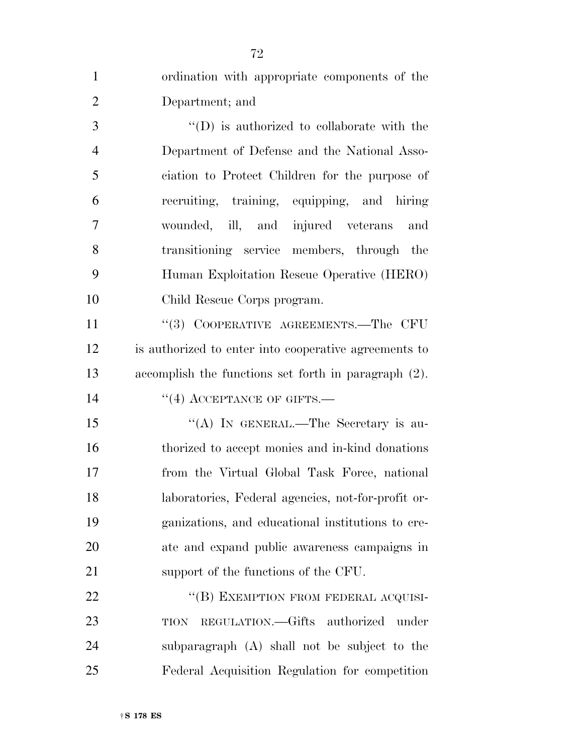| $\mathbf{1}$   | ordination with appropriate components of the         |
|----------------|-------------------------------------------------------|
| $\overline{2}$ | Department; and                                       |
| 3              | "(D) is authorized to collaborate with the            |
| $\overline{4}$ | Department of Defense and the National Asso-          |
| 5              | ciation to Protect Children for the purpose of        |
| 6              | recruiting, training, equipping, and hiring           |
| $\tau$         | wounded, ill, and injured veterans and                |
| 8              | transitioning service members, through the            |
| 9              | Human Exploitation Rescue Operative (HERO)            |
| 10             | Child Rescue Corps program.                           |
| 11             | "(3) COOPERATIVE AGREEMENTS.—The CFU                  |
| 12             | is authorized to enter into cooperative agreements to |
| 13             | accomplish the functions set forth in paragraph (2).  |
| 14             | $\cdot$ (4) ACCEPTANCE OF GIFTS.—                     |
| 15             | "(A) IN GENERAL.—The Secretary is au-                 |
| 16             | thorized to accept monies and in-kind donations       |
| 17             | from the Virtual Global Task Force, national          |
| 18             | laboratories, Federal agencies, not-for-profit or-    |
| 19             | ganizations, and educational institutions to cre-     |
| 20             | ate and expand public awareness campaigns in          |
| 21             | support of the functions of the CFU.                  |
| 22             | "(B) EXEMPTION FROM FEDERAL ACQUISI-                  |
| 23             | REGULATION.—Gifts authorized under<br>TION            |
| 24             | subparagraph (A) shall not be subject to the          |
| 25             | Federal Acquisition Regulation for competition        |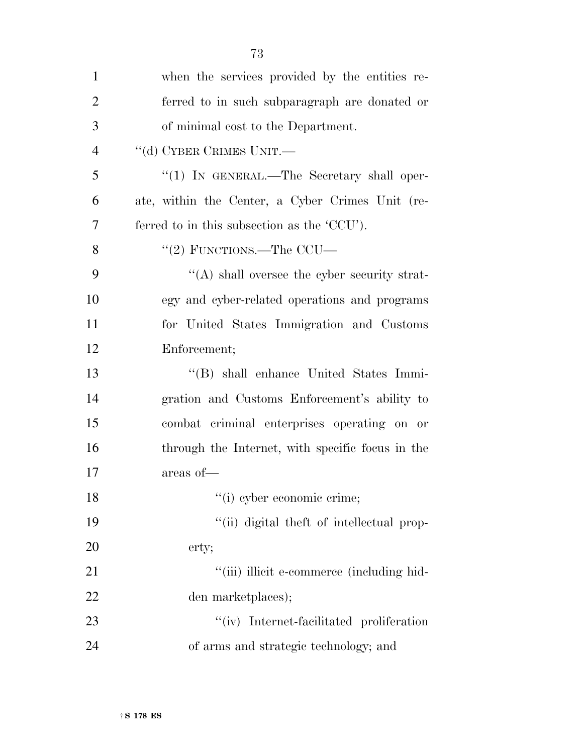| $\mathbf{1}$   | when the services provided by the entities re-   |
|----------------|--------------------------------------------------|
| $\overline{2}$ | ferred to in such subparagraph are donated or    |
| 3              | of minimal cost to the Department.               |
| $\overline{4}$ | "(d) CYBER CRIMES UNIT.                          |
| 5              | "(1) IN GENERAL.—The Secretary shall oper-       |
| 6              | ate, within the Center, a Cyber Crimes Unit (re- |
| 7              | ferred to in this subsection as the 'CCU').      |
| 8              | "(2) FUNCTIONS.—The CCU—                         |
| 9              | $\lq\lq$ shall oversee the cyber security strat- |
| 10             | egy and cyber-related operations and programs    |
| 11             | for United States Immigration and Customs        |
| 12             | Enforcement;                                     |
| 13             | "(B) shall enhance United States Immi-           |
| 14             | gration and Customs Enforcement's ability to     |
| 15             | combat criminal enterprises operating on or      |
| 16             | through the Internet, with specific focus in the |
| 17             | areas of-                                        |
| 18             | "(i) cyber economic crime;                       |
| 19             | "(ii) digital theft of intellectual prop-        |
| 20             | erty;                                            |
| 21             | "(iii) illicit e-commerce (including hid-        |
| 22             | den marketplaces);                               |
| 23             | "(iv) Internet-facilitated proliferation         |
| 24             | of arms and strategic technology; and            |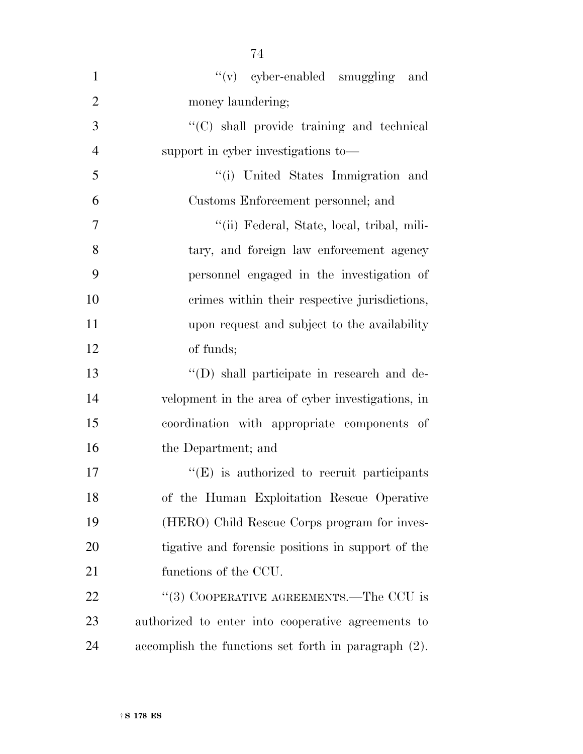| $\mathbf{1}$   | $f'(v)$ cyber-enabled smuggling<br>and               |
|----------------|------------------------------------------------------|
| $\overline{2}$ | money laundering;                                    |
| 3              | "(C) shall provide training and technical            |
| $\overline{4}$ | support in cyber investigations to—                  |
| 5              | "(i) United States Immigration and                   |
| 6              | Customs Enforcement personnel; and                   |
| $\overline{7}$ | "(ii) Federal, State, local, tribal, mili-           |
| 8              | tary, and foreign law enforcement agency             |
| 9              | personnel engaged in the investigation of            |
| 10             | crimes within their respective jurisdictions,        |
| 11             | upon request and subject to the availability         |
| 12             | of funds;                                            |
| 13             | "(D) shall participate in research and de-           |
| 14             | velopment in the area of cyber investigations, in    |
| 15             | coordination with appropriate components of          |
| 16             | the Department; and                                  |
| 17             | $\lq\lq(E)$ is authorized to recruit participants    |
| 18             | of the Human Exploitation Rescue Operative           |
| 19             | (HERO) Child Rescue Corps program for inves-         |
| 20             | tigative and forensic positions in support of the    |
| 21             | functions of the CCU.                                |
| <u>22</u>      | "(3) COOPERATIVE AGREEMENTS.—The CCU is              |
| 23             | authorized to enter into cooperative agreements to   |
| 24             | accomplish the functions set forth in paragraph (2). |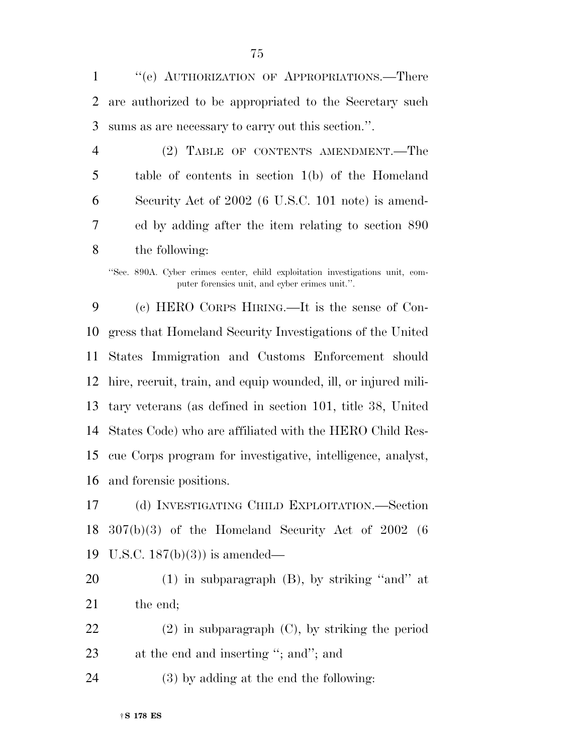''(e) AUTHORIZATION OF APPROPRIATIONS.—There are authorized to be appropriated to the Secretary such sums as are necessary to carry out this section.''.

 (2) TABLE OF CONTENTS AMENDMENT.—The table of contents in section 1(b) of the Homeland Security Act of 2002 (6 U.S.C. 101 note) is amend- ed by adding after the item relating to section 890 the following:

''Sec. 890A. Cyber crimes center, child exploitation investigations unit, computer forensics unit, and cyber crimes unit.''.

 (c) HERO CORPS HIRING.—It is the sense of Con- gress that Homeland Security Investigations of the United States Immigration and Customs Enforcement should hire, recruit, train, and equip wounded, ill, or injured mili- tary veterans (as defined in section 101, title 38, United States Code) who are affiliated with the HERO Child Res- cue Corps program for investigative, intelligence, analyst, and forensic positions.

 (d) INVESTIGATING CHILD EXPLOITATION.—Section 307(b)(3) of the Homeland Security Act of 2002 (6 U.S.C. 187(b)(3)) is amended—

20  $(1)$  in subparagraph  $(B)$ , by striking "and" at 21 the end;

 (2) in subparagraph (C), by striking the period 23 at the end and inserting "; and"; and

(3) by adding at the end the following: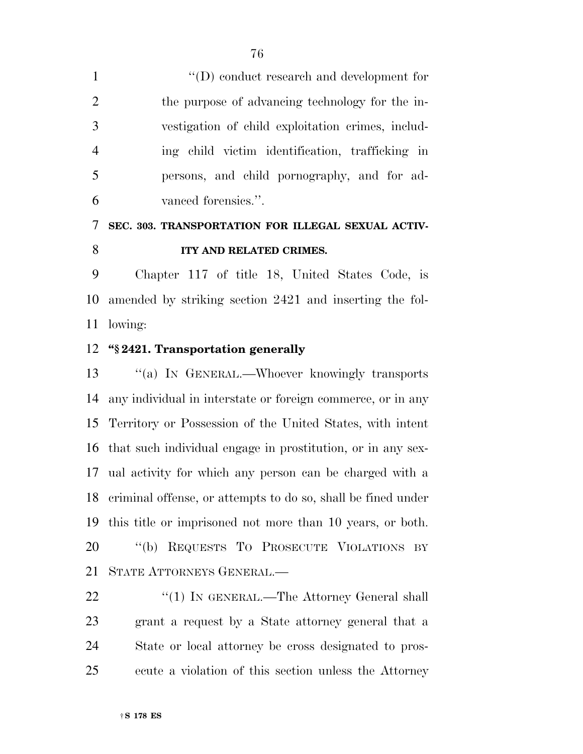$\langle \text{`}(D) \rangle$  conduct research and development for the purpose of advancing technology for the in- vestigation of child exploitation crimes, includ- ing child victim identification, trafficking in persons, and child pornography, and for ad-vanced forensics.''.

## **SEC. 303. TRANSPORTATION FOR ILLEGAL SEXUAL ACTIV-ITY AND RELATED CRIMES.**

 Chapter 117 of title 18, United States Code, is amended by striking section 2421 and inserting the fol-lowing:

#### **''§ 2421. Transportation generally**

 ''(a) IN GENERAL.—Whoever knowingly transports any individual in interstate or foreign commerce, or in any Territory or Possession of the United States, with intent that such individual engage in prostitution, or in any sex- ual activity for which any person can be charged with a criminal offense, or attempts to do so, shall be fined under this title or imprisoned not more than 10 years, or both. ''(b) REQUESTS TO PROSECUTE VIOLATIONS BY STATE ATTORNEYS GENERAL.—

22 "(1) IN GENERAL.—The Attorney General shall grant a request by a State attorney general that a State or local attorney be cross designated to pros-ecute a violation of this section unless the Attorney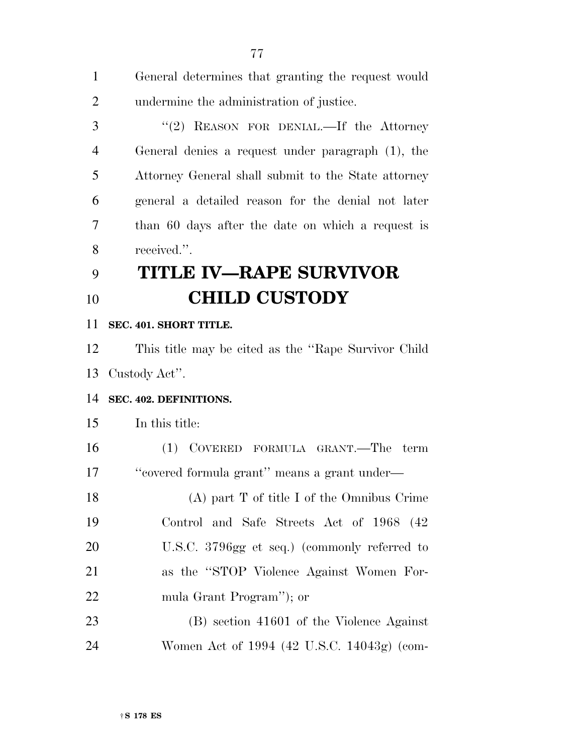General determines that granting the request would undermine the administration of justice. 3 "(2) REASON FOR DENIAL.—If the Attorney General denies a request under paragraph (1), the Attorney General shall submit to the State attorney general a detailed reason for the denial not later than 60 days after the date on which a request is received.''. **TITLE IV—RAPE SURVIVOR CHILD CUSTODY SEC. 401. SHORT TITLE.**  This title may be cited as the ''Rape Survivor Child Custody Act''. **SEC. 402. DEFINITIONS.**  In this title: (1) COVERED FORMULA GRANT.—The term

 ''covered formula grant'' means a grant under— (A) part T of title I of the Omnibus Crime Control and Safe Streets Act of 1968 (42

20 U.S.C. 3796gg et seq.) (commonly referred to as the ''STOP Violence Against Women For-mula Grant Program''); or

 (B) section 41601 of the Violence Against Women Act of 1994 (42 U.S.C. 14043g) (com-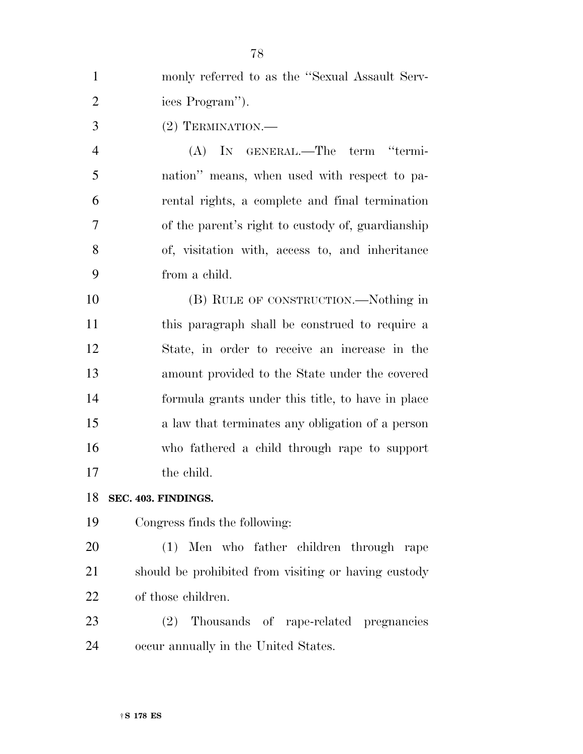| $\mathbf{1}$   | monly referred to as the "Sexual Assault Serv-    |
|----------------|---------------------------------------------------|
| $\overline{2}$ | ices Program").                                   |
| 3              | (2) TERMINATION.                                  |
| $\overline{4}$ | (A) IN GENERAL.—The term "termi-                  |
| 5              | nation" means, when used with respect to pa-      |
| 6              | rental rights, a complete and final termination   |
| 7              | of the parent's right to custody of, guardianship |
| 8              | of, visitation with, access to, and inheritance   |
| 9              | from a child.                                     |
| 10             | (B) RULE OF CONSTRUCTION.—Nothing in              |
| 11             | this paragraph shall be construed to require a    |
| 12             | State, in order to receive an increase in the     |
| 13             | amount provided to the State under the covered    |
| 14             | formula grants under this title, to have in place |
| 15             | a law that terminates any obligation of a person  |
| 16             | who fathered a child through rape to support      |
| 17             | the child.                                        |
| 10             |                                                   |

**SEC. 403. FINDINGS.** 

Congress finds the following:

 (1) Men who father children through rape should be prohibited from visiting or having custody of those children.

 (2) Thousands of rape-related pregnancies occur annually in the United States.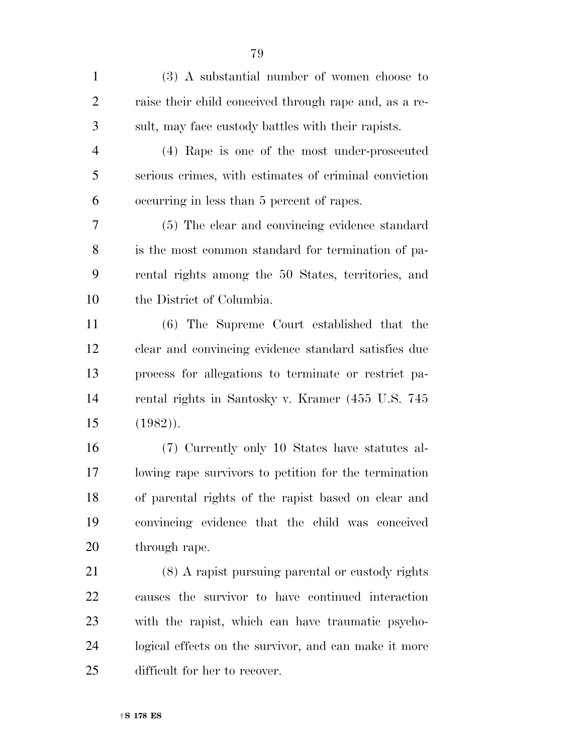(3) A substantial number of women choose to raise their child conceived through rape and, as a re-sult, may face custody battles with their rapists.

 (4) Rape is one of the most under-prosecuted serious crimes, with estimates of criminal conviction occurring in less than 5 percent of rapes.

 (5) The clear and convincing evidence standard is the most common standard for termination of pa- rental rights among the 50 States, territories, and the District of Columbia.

 (6) The Supreme Court established that the clear and convincing evidence standard satisfies due process for allegations to terminate or restrict pa- rental rights in Santosky v. Kramer (455 U.S. 745 (1982)).

 (7) Currently only 10 States have statutes al- lowing rape survivors to petition for the termination of parental rights of the rapist based on clear and convincing evidence that the child was conceived through rape.

 (8) A rapist pursuing parental or custody rights causes the survivor to have continued interaction with the rapist, which can have traumatic psycho- logical effects on the survivor, and can make it more difficult for her to recover.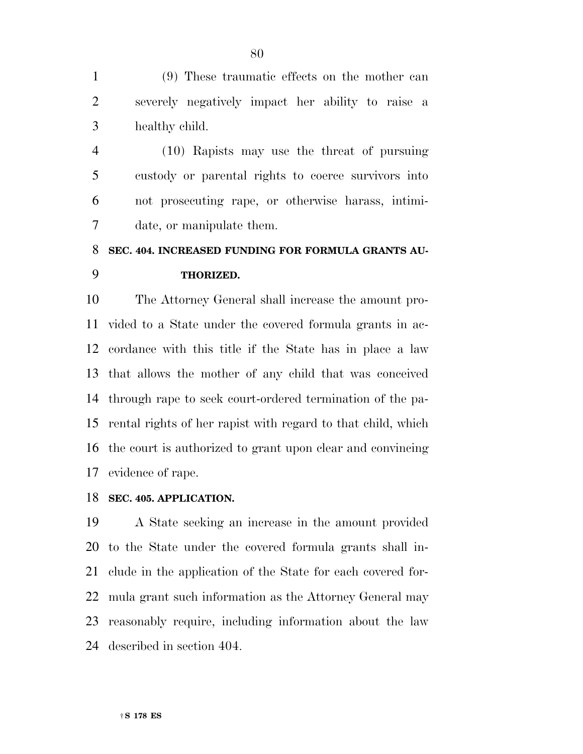(9) These traumatic effects on the mother can severely negatively impact her ability to raise a healthy child.

 (10) Rapists may use the threat of pursuing custody or parental rights to coerce survivors into not prosecuting rape, or otherwise harass, intimi-date, or manipulate them.

### **SEC. 404. INCREASED FUNDING FOR FORMULA GRANTS AU-THORIZED.**

 The Attorney General shall increase the amount pro- vided to a State under the covered formula grants in ac- cordance with this title if the State has in place a law that allows the mother of any child that was conceived through rape to seek court-ordered termination of the pa- rental rights of her rapist with regard to that child, which the court is authorized to grant upon clear and convincing evidence of rape.

#### **SEC. 405. APPLICATION.**

 A State seeking an increase in the amount provided to the State under the covered formula grants shall in- clude in the application of the State for each covered for- mula grant such information as the Attorney General may reasonably require, including information about the law described in section 404.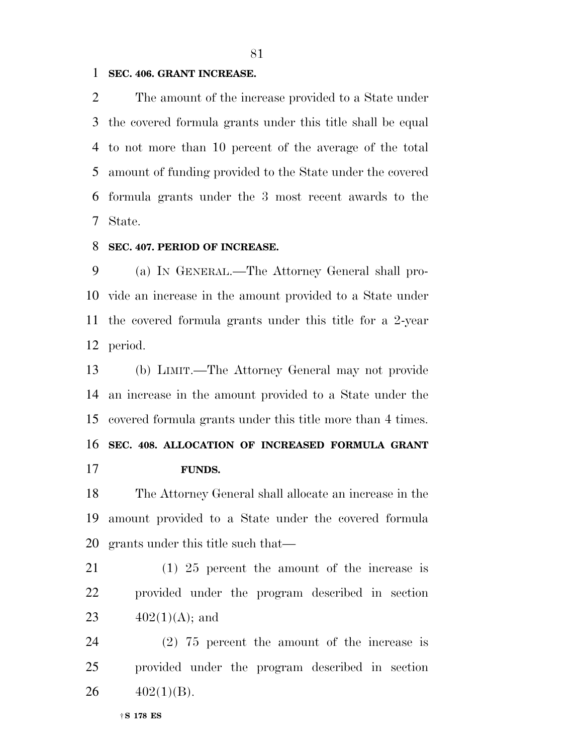#### **SEC. 406. GRANT INCREASE.**

 The amount of the increase provided to a State under the covered formula grants under this title shall be equal to not more than 10 percent of the average of the total amount of funding provided to the State under the covered formula grants under the 3 most recent awards to the State.

#### **SEC. 407. PERIOD OF INCREASE.**

 (a) IN GENERAL.—The Attorney General shall pro- vide an increase in the amount provided to a State under the covered formula grants under this title for a 2-year period.

 (b) LIMIT.—The Attorney General may not provide an increase in the amount provided to a State under the covered formula grants under this title more than 4 times. **SEC. 408. ALLOCATION OF INCREASED FORMULA GRANT FUNDS.** 

 The Attorney General shall allocate an increase in the amount provided to a State under the covered formula grants under this title such that—

 (1) 25 percent the amount of the increase is provided under the program described in section 23  $402(1)(\text{A})$ ; and

 (2) 75 percent the amount of the increase is provided under the program described in section 26  $402(1)(B)$ .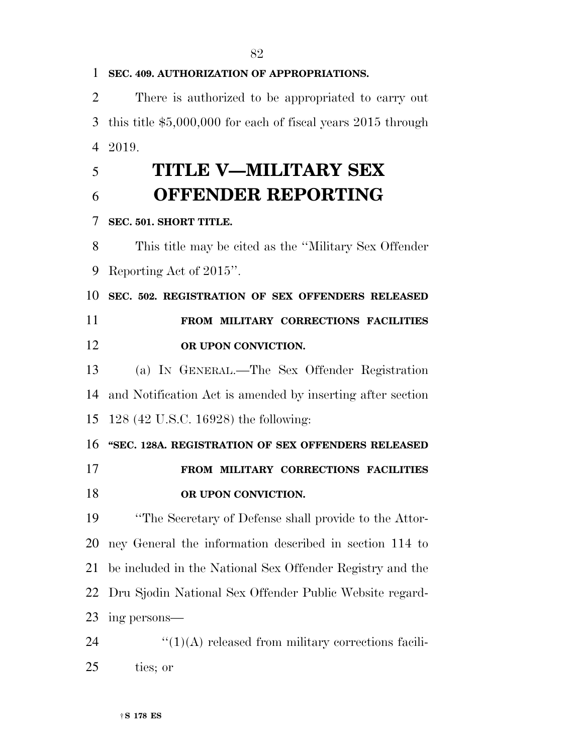**SEC. 409. AUTHORIZATION OF APPROPRIATIONS.**  There is authorized to be appropriated to carry out this title \$5,000,000 for each of fiscal years 2015 through 2019. **TITLE V—MILITARY SEX OFFENDER REPORTING SEC. 501. SHORT TITLE.**  This title may be cited as the ''Military Sex Offender Reporting Act of 2015''. **SEC. 502. REGISTRATION OF SEX OFFENDERS RELEASED FROM MILITARY CORRECTIONS FACILITIES OR UPON CONVICTION.**  (a) IN GENERAL.—The Sex Offender Registration and Notification Act is amended by inserting after section 128 (42 U.S.C. 16928) the following: **''SEC. 128A. REGISTRATION OF SEX OFFENDERS RELEASED FROM MILITARY CORRECTIONS FACILITIES OR UPON CONVICTION.**  ''The Secretary of Defense shall provide to the Attor- ney General the information described in section 114 to be included in the National Sex Offender Registry and the Dru Sjodin National Sex Offender Public Website regard- ing persons—  $\text{``(1)(A)}$  released from military corrections facili-ties; or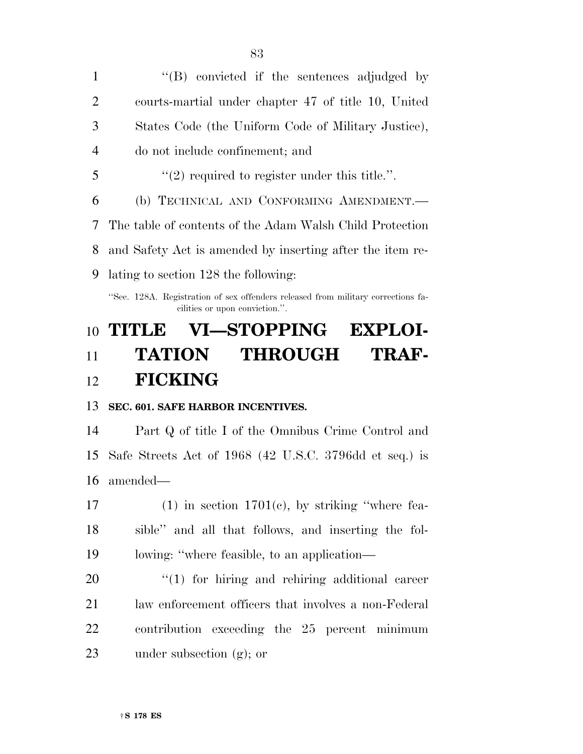| $\mathbf{1}$   | $\lq\lq(B)$ convicted if the sentences adjudged by                               |
|----------------|----------------------------------------------------------------------------------|
| $\overline{2}$ | courts-martial under chapter 47 of title 10, United                              |
| 3              | States Code (the Uniform Code of Military Justice),                              |
| $\overline{4}$ | do not include confinement; and                                                  |
| 5              | $\lq(2)$ required to register under this title.".                                |
| 6              | (b) TECHNICAL AND CONFORMING AMENDMENT.—                                         |
|                | 7 The table of contents of the Adam Walsh Child Protection                       |
| 8              | and Safety Act is amended by inserting after the item re-                        |
| 9              | lating to section 128 the following:                                             |
|                | "Sec. 128A. Registration of sex offenders released from military corrections fa- |

cilities or upon conviction.''.

## **TITLE VI—STOPPING EXPLOI-**

## **TATION THROUGH TRAF-FICKING**

#### **SEC. 601. SAFE HARBOR INCENTIVES.**

 Part Q of title I of the Omnibus Crime Control and Safe Streets Act of 1968 (42 U.S.C. 3796dd et seq.) is amended—

17 (1) in section  $1701(e)$ , by striking "where fea- sible'' and all that follows, and inserting the fol-lowing: ''where feasible, to an application—

 $\frac{1}{20}$  (1) for hiring and rehiring additional career law enforcement officers that involves a non-Federal contribution exceeding the 25 percent minimum under subsection (g); or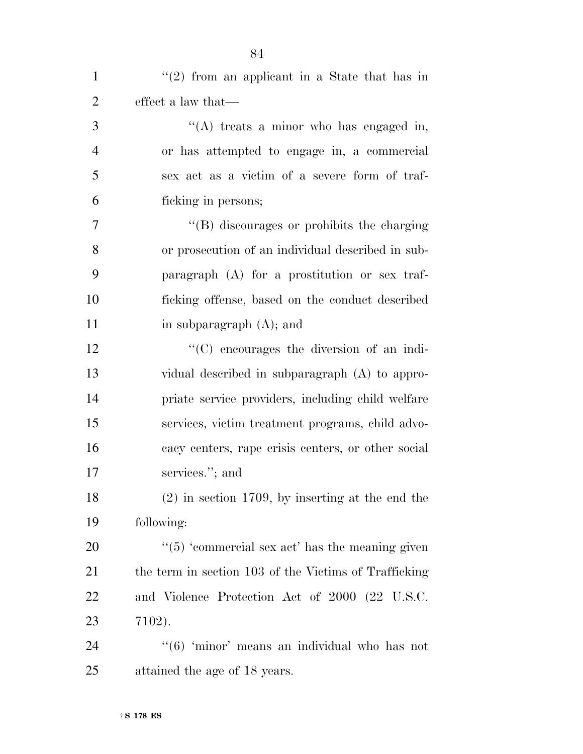|                | ОŦ                                                     |
|----------------|--------------------------------------------------------|
| $\mathbf{1}$   | $f'(2)$ from an applicant in a State that has in       |
| $\overline{2}$ | effect a law that—                                     |
| 3              | "(A) treats a minor who has engaged in,                |
| $\overline{4}$ | or has attempted to engage in, a commercial            |
| 5              | sex act as a victim of a severe form of traf-          |
| 6              | ficking in persons;                                    |
| $\overline{7}$ | "(B) discourages or prohibits the charging             |
| 8              | or prosecution of an individual described in sub-      |
| 9              | paragraph (A) for a prostitution or sex traf-          |
| 10             | ficking offense, based on the conduct described        |
| 11             | in subparagraph $(A)$ ; and                            |
| 12             | $\cdot$ (C) encourages the diversion of an indi-       |
| 13             | vidual described in subparagraph (A) to appro-         |
| 14             | priate service providers, including child welfare      |
| 15             | services, victim treatment programs, child advo-       |
| 16             | cacy centers, rape crisis centers, or other social     |
| 17             | services."; and                                        |
| 18             | $(2)$ in section 1709, by inserting at the end the     |
| 19             | following:                                             |
| 20             | $\cdot$ (5) 'commercial sex act' has the meaning given |
| 21             | the term in section 103 of the Victims of Trafficking  |
| 22             | and Violence Protection Act of 2000 (22 U.S.C.         |
| 23             | 7102).                                                 |
| 24             | "(6) 'minor' means an individual who has not           |
| 25             | attained the age of 18 years.                          |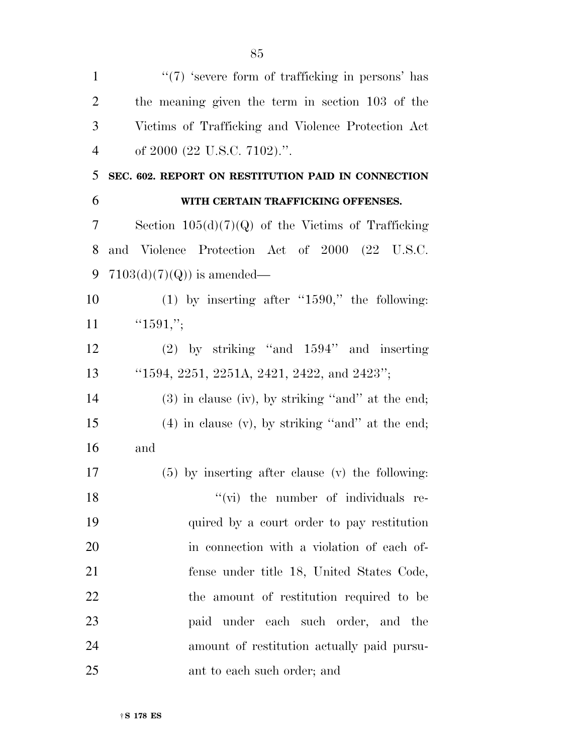| $\mathbf{1}$   | $\lq(7)$ 'severe form of trafficking in persons' has  |
|----------------|-------------------------------------------------------|
| $\overline{2}$ | the meaning given the term in section 103 of the      |
| 3              | Victims of Trafficking and Violence Protection Act    |
| $\overline{4}$ | of 2000 (22 U.S.C. 7102).".                           |
| 5              | SEC. 602. REPORT ON RESTITUTION PAID IN CONNECTION    |
| 6              | WITH CERTAIN TRAFFICKING OFFENSES.                    |
| 7              | Section $105(d)(7)(Q)$ of the Victims of Trafficking  |
| 8              | and Violence Protection Act of 2000 (22 U.S.C.        |
| 9              | $7103(d)(7)(Q)$ is amended—                           |
| 10             | $(1)$ by inserting after "1590," the following:       |
| 11             | "1591,";                                              |
| 12             | $(2)$ by striking "and $1594$ " and inserting         |
| 13             | "1594, 2251, 2251A, 2421, 2422, and 2423";            |
| 14             | $(3)$ in clause (iv), by striking "and" at the end;   |
| 15             | $(4)$ in clause $(v)$ , by striking "and" at the end; |
| 16             | and                                                   |
| 17             | $(5)$ by inserting after clause (v) the following:    |
| 18             | "(vi) the number of individuals re-                   |
| 19             | quired by a court order to pay restitution            |
| 20             | in connection with a violation of each of-            |
| 21             | fense under title 18, United States Code,             |
| 22             | the amount of restitution required to be              |
| 23             | paid under each such order, and the                   |
| 24             | amount of restitution actually paid pursu-            |
| 25             | ant to each such order; and                           |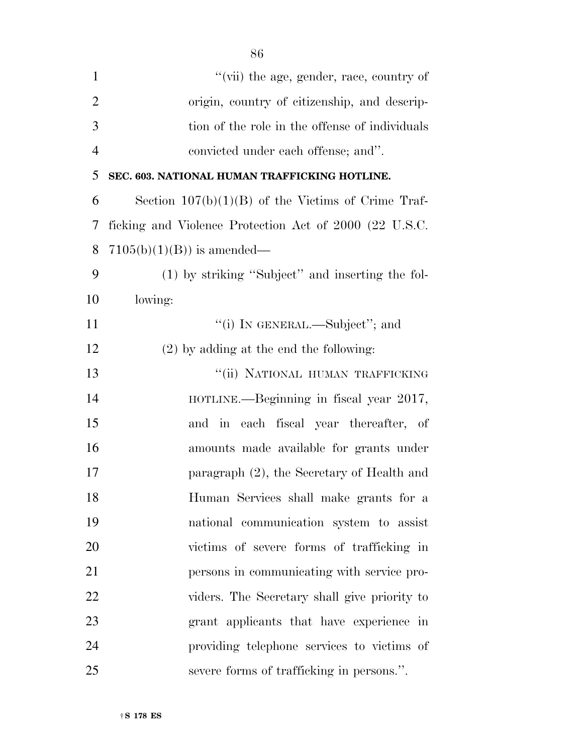| $\mathbf{1}$   | "(vii) the age, gender, race, country of               |
|----------------|--------------------------------------------------------|
| $\overline{2}$ | origin, country of citizenship, and descrip-           |
| 3              | tion of the role in the offense of individuals         |
| $\overline{4}$ | convicted under each offense; and".                    |
| 5              | SEC. 603. NATIONAL HUMAN TRAFFICKING HOTLINE.          |
| 6              | Section $107(b)(1)(B)$ of the Victims of Crime Traf-   |
| 7              | ficking and Violence Protection Act of 2000 (22 U.S.C. |
| 8              | $7105(b)(1)(B)$ is amended—                            |
| 9              | (1) by striking "Subject" and inserting the fol-       |
| 10             | lowing:                                                |
| 11             | "(i) IN GENERAL.—Subject"; and                         |
| 12             | $(2)$ by adding at the end the following:              |
| 13             | "(ii) NATIONAL HUMAN TRAFFICKING                       |
| 14             | HOTLINE.—Beginning in fiscal year 2017,                |
| 15             | and in each fiscal year thereafter, of                 |
| 16             | amounts made available for grants under                |
| 17             | paragraph (2), the Secretary of Health and             |
| 18             | Human Services shall make grants for a                 |
| 19             | national communication system to assist                |
| 20             | victims of severe forms of trafficking in              |
| 21             | persons in communicating with service pro-             |
| 22             | viders. The Secretary shall give priority to           |
| 23             | grant applicants that have experience in               |
| 24             | providing telephone services to victims of             |
| 25             | severe forms of trafficking in persons.".              |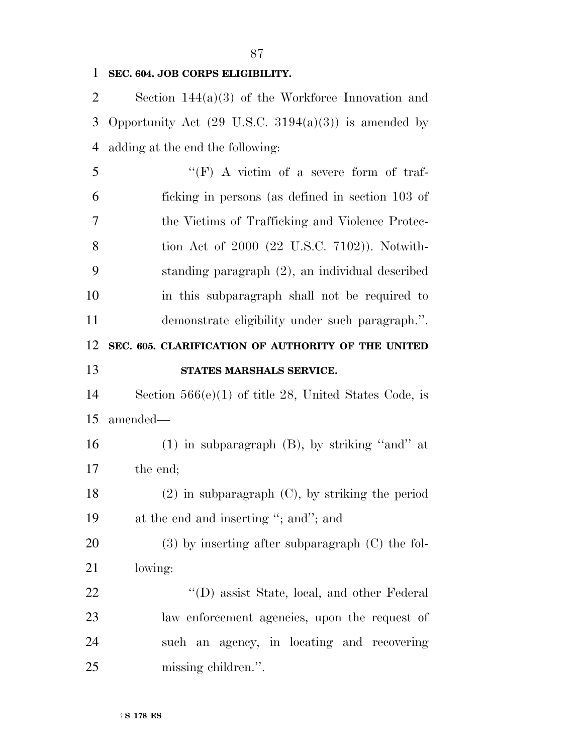#### **SEC. 604. JOB CORPS ELIGIBILITY.**

 Section 144(a)(3) of the Workforce Innovation and 3 Opportunity Act  $(29 \text{ U.S.C. } 3194(a)(3))$  is amended by adding at the end the following:

 ''(F) A victim of a severe form of traf- ficking in persons (as defined in section 103 of the Victims of Trafficking and Violence Protec- tion Act of 2000 (22 U.S.C. 7102)). Notwith- standing paragraph (2), an individual described in this subparagraph shall not be required to demonstrate eligibility under such paragraph.''. **SEC. 605. CLARIFICATION OF AUTHORITY OF THE UNITED STATES MARSHALS SERVICE.**  Section 566(e)(1) of title 28, United States Code, is amended— (1) in subparagraph (B), by striking ''and'' at the end; (2) in subparagraph (C), by striking the period at the end and inserting ''; and''; and (3) by inserting after subparagraph (C) the fol- lowing: 22 ''(D) assist State, local, and other Federal law enforcement agencies, upon the request of such an agency, in locating and recovering missing children.''.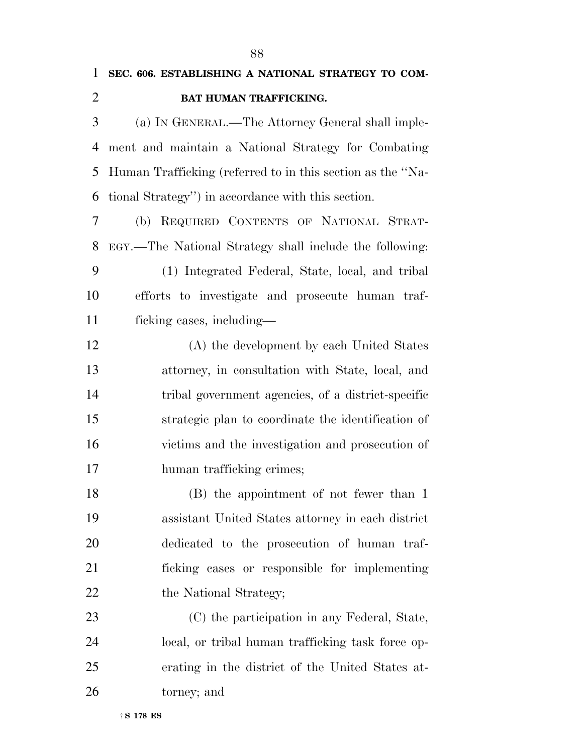| $\mathbf{1}$   | SEC. 606. ESTABLISHING A NATIONAL STRATEGY TO COM-         |
|----------------|------------------------------------------------------------|
| $\overline{2}$ | BAT HUMAN TRAFFICKING.                                     |
| 3              | (a) IN GENERAL.—The Attorney General shall imple-          |
| 4              | ment and maintain a National Strategy for Combating        |
| 5              | Human Trafficking (referred to in this section as the "Na- |
| 6              | tional Strategy") in accordance with this section.         |
| 7              | (b) REQUIRED CONTENTS OF NATIONAL STRAT-                   |
| 8              | EGY.—The National Strategy shall include the following:    |
| 9              | (1) Integrated Federal, State, local, and tribal           |
| 10             | efforts to investigate and prosecute human traf-           |
| 11             | ficking cases, including—                                  |
| 12             | (A) the development by each United States                  |
| 13             | attorney, in consultation with State, local, and           |
| 14             | tribal government agencies, of a district-specific         |
| 15             | strategic plan to coordinate the identification of         |
| 16             | victims and the investigation and prosecution of           |
| 17             | human trafficking crimes;                                  |
| 18             | (B) the appointment of not fewer than 1                    |
| 19             | assistant United States attorney in each district          |
| 20             | dedicated to the prosecution of human traf-                |
| 21             | ficking cases or responsible for implementing              |
| 22             | the National Strategy;                                     |
| 23             | (C) the participation in any Federal, State,               |
| 24             | local, or tribal human trafficking task force op-          |
| 25             | erating in the district of the United States at-           |
| 26             | torney; and                                                |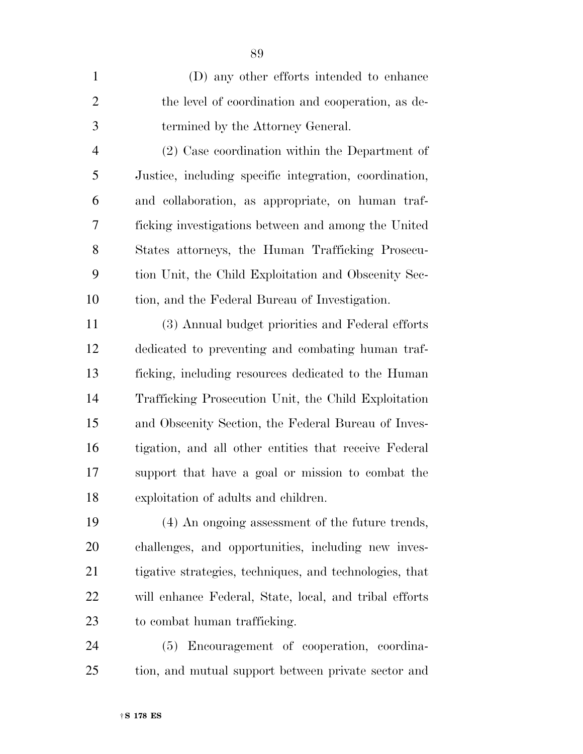(D) any other efforts intended to enhance the level of coordination and cooperation, as de-termined by the Attorney General.

 (2) Case coordination within the Department of Justice, including specific integration, coordination, and collaboration, as appropriate, on human traf- ficking investigations between and among the United States attorneys, the Human Trafficking Prosecu- tion Unit, the Child Exploitation and Obscenity Sec-tion, and the Federal Bureau of Investigation.

 (3) Annual budget priorities and Federal efforts dedicated to preventing and combating human traf- ficking, including resources dedicated to the Human Trafficking Prosecution Unit, the Child Exploitation and Obscenity Section, the Federal Bureau of Inves- tigation, and all other entities that receive Federal support that have a goal or mission to combat the exploitation of adults and children.

 (4) An ongoing assessment of the future trends, challenges, and opportunities, including new inves- tigative strategies, techniques, and technologies, that will enhance Federal, State, local, and tribal efforts to combat human trafficking.

 (5) Encouragement of cooperation, coordina-tion, and mutual support between private sector and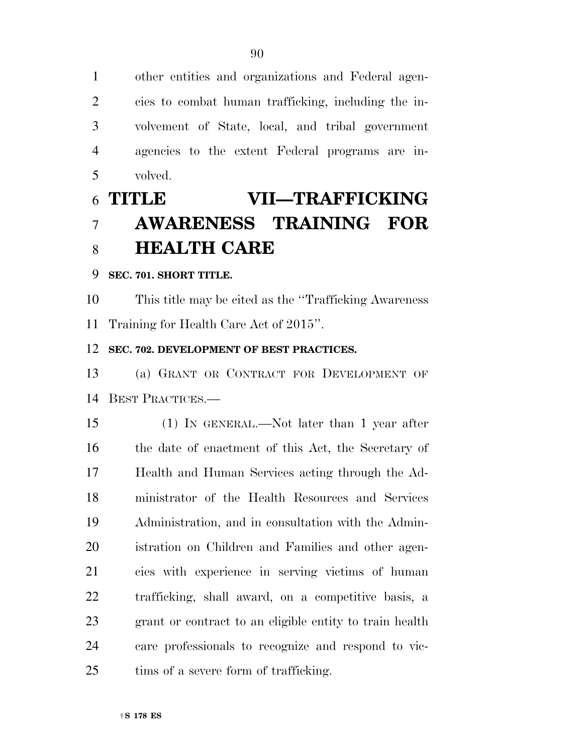other entities and organizations and Federal agen- cies to combat human trafficking, including the in- volvement of State, local, and tribal government agencies to the extent Federal programs are in-volved.

## **TITLE VII—TRAFFICKING AWARENESS TRAINING FOR HEALTH CARE**

#### **SEC. 701. SHORT TITLE.**

 This title may be cited as the ''Trafficking Awareness Training for Health Care Act of 2015''.

#### **SEC. 702. DEVELOPMENT OF BEST PRACTICES.**

 (a) GRANT OR CONTRACT FOR DEVELOPMENT OF BEST PRACTICES.—

 (1) IN GENERAL.—Not later than 1 year after 16 the date of enactment of this Act, the Secretary of Health and Human Services acting through the Ad- ministrator of the Health Resources and Services Administration, and in consultation with the Admin- istration on Children and Families and other agen- cies with experience in serving victims of human trafficking, shall award, on a competitive basis, a grant or contract to an eligible entity to train health care professionals to recognize and respond to vic-25 tims of a severe form of trafficking.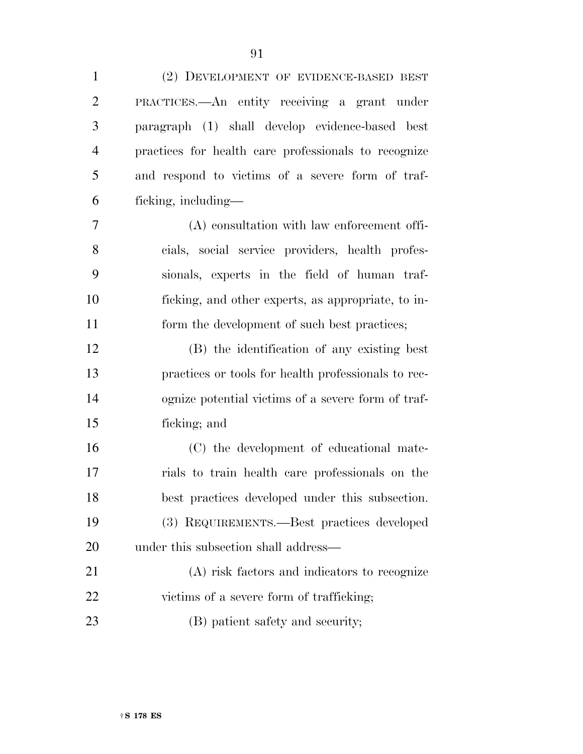(2) DEVELOPMENT OF EVIDENCE-BASED BEST

 PRACTICES.—An entity receiving a grant under paragraph (1) shall develop evidence-based best practices for health care professionals to recognize and respond to victims of a severe form of traf- ficking, including— (A) consultation with law enforcement offi- cials, social service providers, health profes- sionals, experts in the field of human traf- ficking, and other experts, as appropriate, to in-11 form the development of such best practices; (B) the identification of any existing best practices or tools for health professionals to rec- ognize potential victims of a severe form of traf- ficking; and (C) the development of educational mate- rials to train health care professionals on the best practices developed under this subsection. (3) REQUIREMENTS.—Best practices developed under this subsection shall address— (A) risk factors and indicators to recognize 22 victims of a severe form of trafficking; 23 (B) patient safety and security;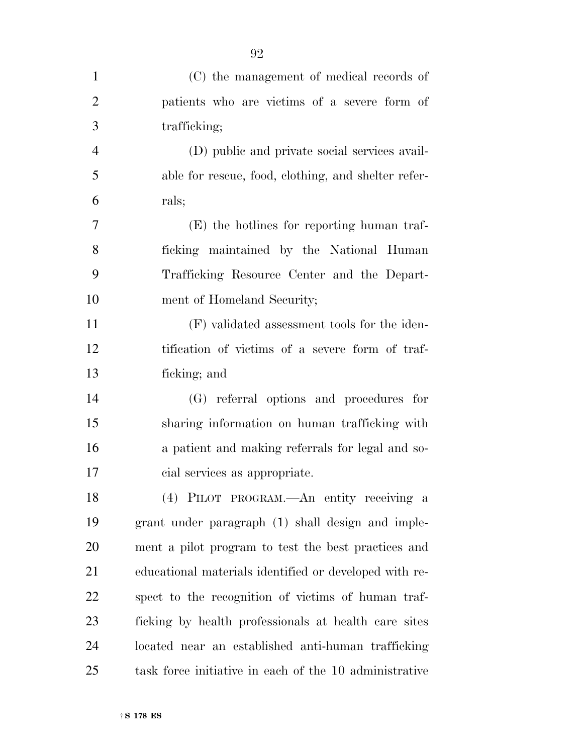| $\mathbf{1}$   | (C) the management of medical records of               |
|----------------|--------------------------------------------------------|
| $\overline{2}$ | patients who are victims of a severe form of           |
| 3              | trafficking;                                           |
| $\overline{4}$ | (D) public and private social services avail-          |
| 5              | able for rescue, food, clothing, and shelter refer-    |
| 6              | rals;                                                  |
| 7              | (E) the hotlines for reporting human traf-             |
| 8              | ficking maintained by the National Human               |
| 9              | Trafficking Resource Center and the Depart-            |
| 10             | ment of Homeland Security;                             |
| 11             | (F) validated assessment tools for the iden-           |
| 12             | tification of victims of a severe form of traf-        |
| 13             | ficking; and                                           |
| 14             | (G) referral options and procedures for                |
| 15             | sharing information on human trafficking with          |
| 16             | a patient and making referrals for legal and so-       |
| 17             | cial services as appropriate.                          |
| 18             | (4) PILOT PROGRAM.—An entity receiving a               |
| 19             | grant under paragraph (1) shall design and imple-      |
| 20             | ment a pilot program to test the best practices and    |
| 21             | educational materials identified or developed with re- |
| 22             | spect to the recognition of victims of human traf-     |
| 23             | ficking by health professionals at health care sites   |
| 24             | located near an established anti-human trafficking     |
| 25             | task force initiative in each of the 10 administrative |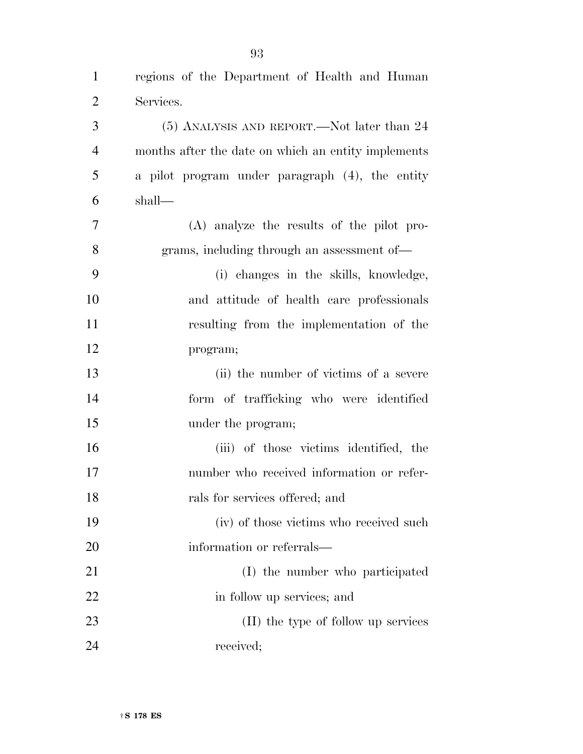| $\overline{2}$ | Services.                                           |
|----------------|-----------------------------------------------------|
| 3              | $(5)$ ANALYSIS AND REPORT.—Not later than 24        |
| $\overline{4}$ | months after the date on which an entity implements |
| 5              | a pilot program under paragraph (4), the entity     |
| 6              | shall—                                              |
| 7              | $(A)$ analyze the results of the pilot pro-         |
| 8              | grams, including through an assessment of—          |
| 9              | (i) changes in the skills, knowledge,               |
| 10             | and attitude of health care professionals           |
| 11             | resulting from the implementation of the            |
| 12             | program;                                            |
| 13             | (ii) the number of victims of a severe              |
| 14             | form of trafficking who were identified             |
| 15             | under the program;                                  |
| 16             | (iii) of those victims identified, the              |
| 17             | number who received information or refer-           |
| 18             | rals for services offered; and                      |
| 19             | (iv) of those victims who received such             |
| 20             | information or referrals—                           |
| 21             | (I) the number who participated                     |
| 22             | in follow up services; and                          |
| 23             | (II) the type of follow up services                 |
| 24             | received;                                           |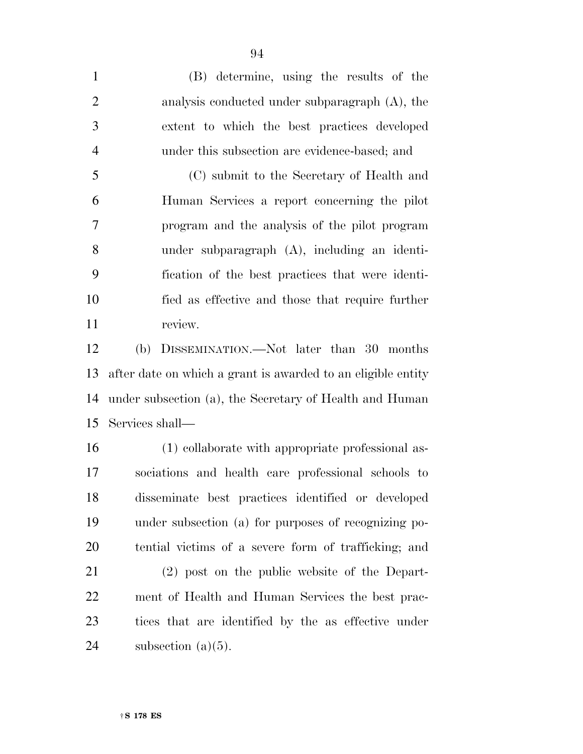(B) determine, using the results of the analysis conducted under subparagraph (A), the extent to which the best practices developed under this subsection are evidence-based; and (C) submit to the Secretary of Health and Human Services a report concerning the pilot program and the analysis of the pilot program under subparagraph (A), including an identi- fication of the best practices that were identi- fied as effective and those that require further 11 review.

 (b) DISSEMINATION.—Not later than 30 months after date on which a grant is awarded to an eligible entity under subsection (a), the Secretary of Health and Human Services shall—

 (1) collaborate with appropriate professional as- sociations and health care professional schools to disseminate best practices identified or developed under subsection (a) for purposes of recognizing po-tential victims of a severe form of trafficking; and

 (2) post on the public website of the Depart- ment of Health and Human Services the best prac- tices that are identified by the as effective under 24 subsection  $(a)(5)$ .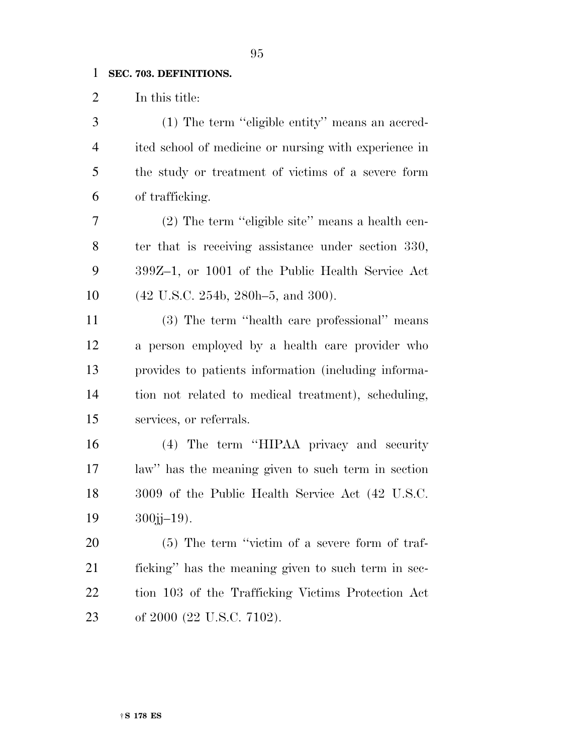#### **SEC. 703. DEFINITIONS.**

In this title:

 (1) The term ''eligible entity'' means an accred- ited school of medicine or nursing with experience in the study or treatment of victims of a severe form of trafficking.

 (2) The term ''eligible site'' means a health cen- ter that is receiving assistance under section 330, 399Z–1, or 1001 of the Public Health Service Act (42 U.S.C. 254b, 280h–5, and 300).

 (3) The term ''health care professional'' means a person employed by a health care provider who provides to patients information (including informa- tion not related to medical treatment), scheduling, services, or referrals.

 (4) The term ''HIPAA privacy and security law'' has the meaning given to such term in section 3009 of the Public Health Service Act (42 U.S.C. j $-19$ ).

 (5) The term ''victim of a severe form of traf- ficking'' has the meaning given to such term in sec- tion 103 of the Trafficking Victims Protection Act of 2000 (22 U.S.C. 7102).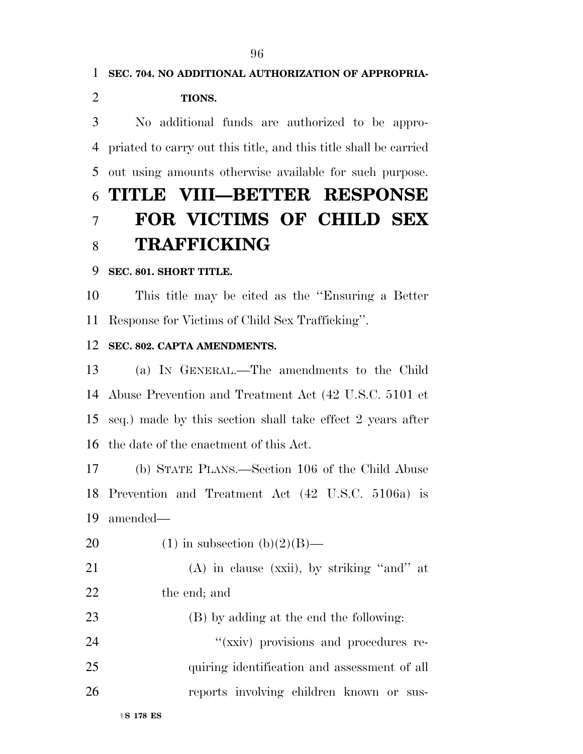**SEC. 704. NO ADDITIONAL AUTHORIZATION OF APPROPRIA- TIONS.**  No additional funds are authorized to be appro- priated to carry out this title, and this title shall be carried out using amounts otherwise available for such purpose. **TITLE VIII—BETTER RESPONSE FOR VICTIMS OF CHILD SEX TRAFFICKING** 

#### **SEC. 801. SHORT TITLE.**

 This title may be cited as the ''Ensuring a Better Response for Victims of Child Sex Trafficking''.

#### **SEC. 802. CAPTA AMENDMENTS.**

 (a) IN GENERAL.—The amendments to the Child Abuse Prevention and Treatment Act (42 U.S.C. 5101 et seq.) made by this section shall take effect 2 years after the date of the enactment of this Act.

 (b) STATE PLANS.—Section 106 of the Child Abuse Prevention and Treatment Act (42 U.S.C. 5106a) is amended—

- 20 (1) in subsection  $(b)(2)(B)$ —
- (A) in clause (xxii), by striking ''and'' at the end; and

 (B) by adding at the end the following:  $\frac{1}{2}$   $\frac{1}{2}$   $\frac{1}{2}$   $\frac{1}{2}$   $\frac{1}{2}$   $\frac{1}{2}$   $\frac{1}{2}$   $\frac{1}{2}$   $\frac{1}{2}$   $\frac{1}{2}$   $\frac{1}{2}$   $\frac{1}{2}$   $\frac{1}{2}$   $\frac{1}{2}$   $\frac{1}{2}$   $\frac{1}{2}$   $\frac{1}{2}$   $\frac{1}{2}$   $\frac{1}{2}$   $\frac{1}{2}$   $\frac{1}{2}$   $\frac{1}{2}$ 25 quiring identification and assessment of all reports involving children known or sus-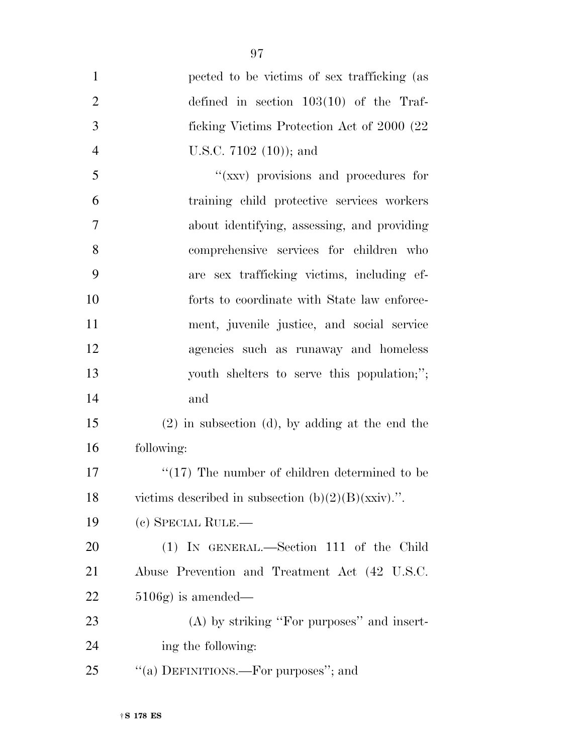| $\mathbf{1}$   | pected to be victims of sex trafficking (as           |
|----------------|-------------------------------------------------------|
| $\overline{2}$ | defined in section $103(10)$ of the Traf-             |
| 3              | ficking Victims Protection Act of 2000 (22)           |
| $\overline{4}$ | U.S.C. 7102 $(10)$ ; and                              |
| 5              | "(xxv) provisions and procedures for                  |
| 6              | training child protective services workers            |
| 7              | about identifying, assessing, and providing           |
| 8              | comprehensive services for children who               |
| 9              | are sex trafficking victims, including ef-            |
| 10             | forts to coordinate with State law enforce-           |
| 11             | ment, juvenile justice, and social service            |
| 12             | agencies such as runaway and homeless                 |
| 13             | youth shelters to serve this population;";            |
| 14             | and                                                   |
| 15             | $(2)$ in subsection (d), by adding at the end the     |
| 16             | following:                                            |
| 17             | $\lq(17)$ The number of children determined to be     |
| 18             | victims described in subsection $(b)(2)(B)(xxiv)$ .". |
| 19             | (c) SPECIAL RULE.—                                    |
| 20             | (1) IN GENERAL.—Section 111 of the Child              |
| 21             | Abuse Prevention and Treatment Act (42 U.S.C.         |
| 22             | $5106g$ is amended—                                   |
| 23             | $(A)$ by striking "For purposes" and insert-          |
| 24             | ing the following:                                    |
| 25             | "(a) DEFINITIONS.—For purposes"; and                  |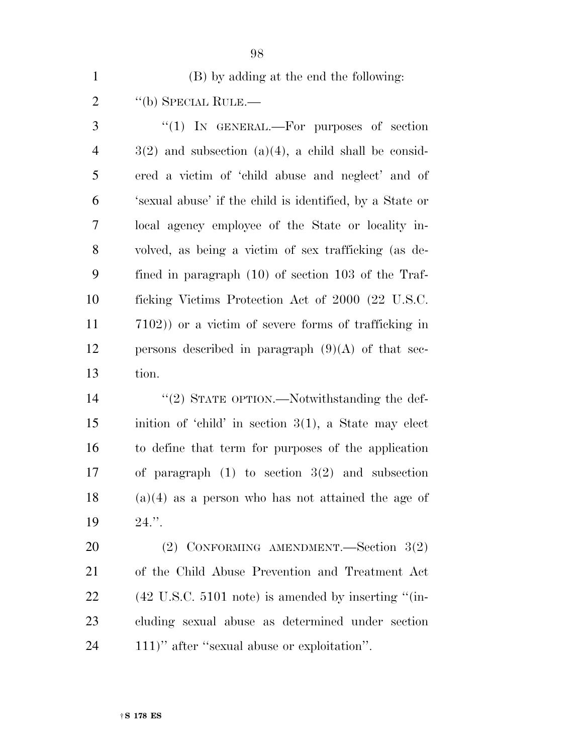(B) by adding at the end the following:

2 "(b) SPECIAL RULE.—

3 "(1) IN GENERAL.—For purposes of section  $4 \qquad \qquad 3(2)$  and subsection (a)(4), a child shall be consid- ered a victim of 'child abuse and neglect' and of 'sexual abuse' if the child is identified, by a State or local agency employee of the State or locality in- volved, as being a victim of sex trafficking (as de- fined in paragraph (10) of section 103 of the Traf- ficking Victims Protection Act of 2000 (22 U.S.C. 7102)) or a victim of severe forms of trafficking in 12 persons described in paragraph  $(9)(A)$  of that sec-tion.

 ''(2) STATE OPTION.—Notwithstanding the def- inition of 'child' in section 3(1), a State may elect to define that term for purposes of the application of paragraph (1) to section 3(2) and subsection (a)(4) as a person who has not attained the age of 24.''.

 (2) CONFORMING AMENDMENT.—Section 3(2) of the Child Abuse Prevention and Treatment Act (42 U.S.C. 5101 note) is amended by inserting ''(in- cluding sexual abuse as determined under section 111)'' after ''sexual abuse or exploitation''.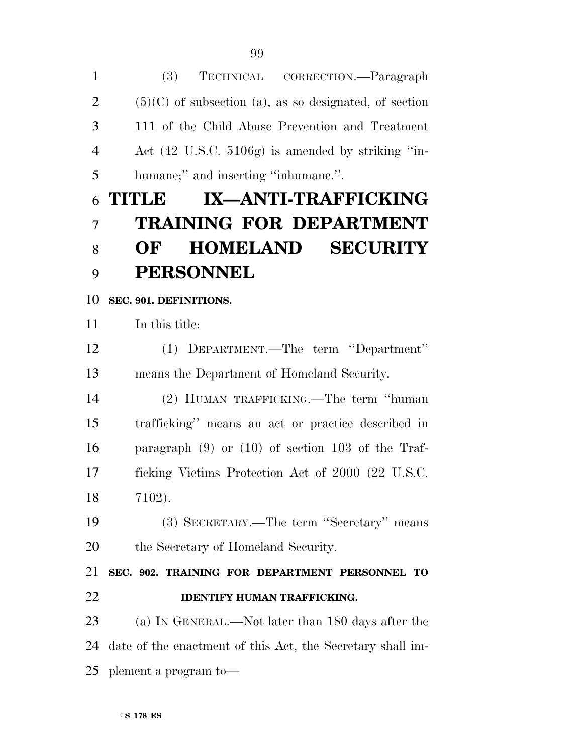(3) TECHNICAL CORRECTION.—Paragraph  $2 \qquad (5)(C)$  of subsection (a), as so designated, of section 111 of the Child Abuse Prevention and Treatment Act (42 U.S.C. 5106g) is amended by striking ''in- humane;'' and inserting ''inhumane.''. **TITLE IX—ANTI-TRAFFICKING TRAINING FOR DEPARTMENT OF HOMELAND SECURITY PERSONNEL SEC. 901. DEFINITIONS.**  In this title: (1) DEPARTMENT.—The term ''Department'' means the Department of Homeland Security. (2) HUMAN TRAFFICKING.—The term ''human trafficking'' means an act or practice described in paragraph (9) or (10) of section 103 of the Traf- ficking Victims Protection Act of 2000 (22 U.S.C. 7102). (3) SECRETARY.—The term ''Secretary'' means 20 the Secretary of Homeland Security. **SEC. 902. TRAINING FOR DEPARTMENT PERSONNEL TO IDENTIFY HUMAN TRAFFICKING.**  (a) IN GENERAL.—Not later than 180 days after the date of the enactment of this Act, the Secretary shall im-plement a program to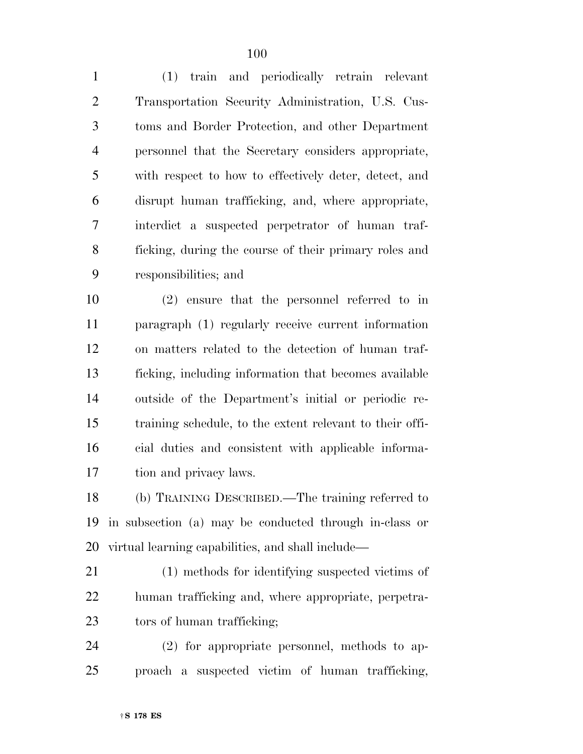(1) train and periodically retrain relevant Transportation Security Administration, U.S. Cus- toms and Border Protection, and other Department personnel that the Secretary considers appropriate, with respect to how to effectively deter, detect, and disrupt human trafficking, and, where appropriate, interdict a suspected perpetrator of human traf- ficking, during the course of their primary roles and responsibilities; and

 (2) ensure that the personnel referred to in paragraph (1) regularly receive current information on matters related to the detection of human traf- ficking, including information that becomes available outside of the Department's initial or periodic re- training schedule, to the extent relevant to their offi- cial duties and consistent with applicable informa-tion and privacy laws.

 (b) TRAINING DESCRIBED.—The training referred to in subsection (a) may be conducted through in-class or virtual learning capabilities, and shall include—

- (1) methods for identifying suspected victims of human trafficking and, where appropriate, perpetra-23 tors of human trafficking;
- (2) for appropriate personnel, methods to ap-proach a suspected victim of human trafficking,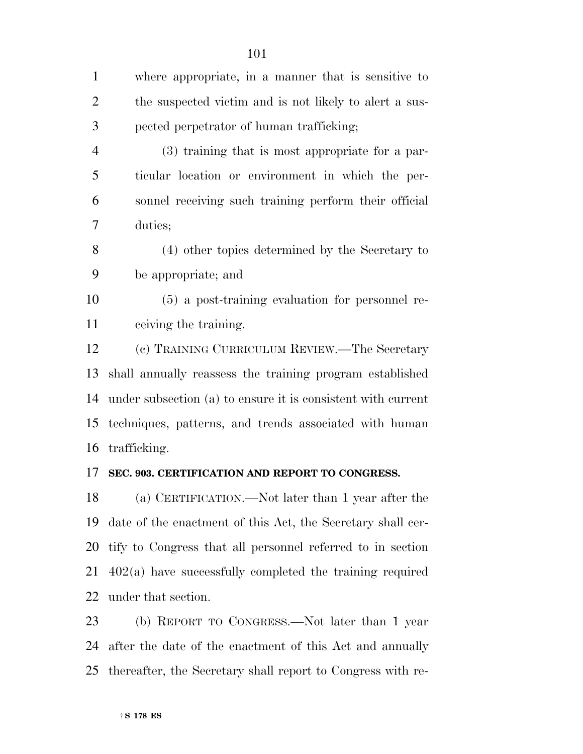where appropriate, in a manner that is sensitive to the suspected victim and is not likely to alert a sus- pected perpetrator of human trafficking; (3) training that is most appropriate for a par- ticular location or environment in which the per- sonnel receiving such training perform their official duties; (4) other topics determined by the Secretary to be appropriate; and (5) a post-training evaluation for personnel re- ceiving the training. (c) TRAINING CURRICULUM REVIEW.—The Secretary shall annually reassess the training program established under subsection (a) to ensure it is consistent with current techniques, patterns, and trends associated with human trafficking. **SEC. 903. CERTIFICATION AND REPORT TO CONGRESS.** 

 (a) CERTIFICATION.—Not later than 1 year after the date of the enactment of this Act, the Secretary shall cer- tify to Congress that all personnel referred to in section 402(a) have successfully completed the training required under that section.

 (b) REPORT TO CONGRESS.—Not later than 1 year after the date of the enactment of this Act and annually thereafter, the Secretary shall report to Congress with re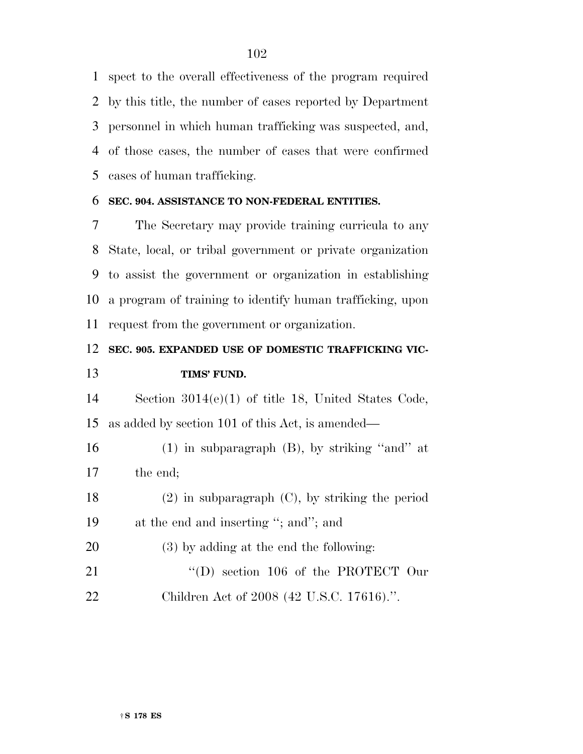spect to the overall effectiveness of the program required by this title, the number of cases reported by Department personnel in which human trafficking was suspected, and, of those cases, the number of cases that were confirmed cases of human trafficking.

#### **SEC. 904. ASSISTANCE TO NON-FEDERAL ENTITIES.**

 The Secretary may provide training curricula to any State, local, or tribal government or private organization to assist the government or organization in establishing a program of training to identify human trafficking, upon request from the government or organization.

## **SEC. 905. EXPANDED USE OF DOMESTIC TRAFFICKING VIC-TIMS' FUND.**

 Section 3014(e)(1) of title 18, United States Code, as added by section 101 of this Act, is amended—

 (1) in subparagraph (B), by striking ''and'' at the end;

- (2) in subparagraph (C), by striking the period at the end and inserting ''; and''; and
- (3) by adding at the end the following:
- 21 "(D) section 106 of the PROTECT Our Children Act of 2008 (42 U.S.C. 17616).''.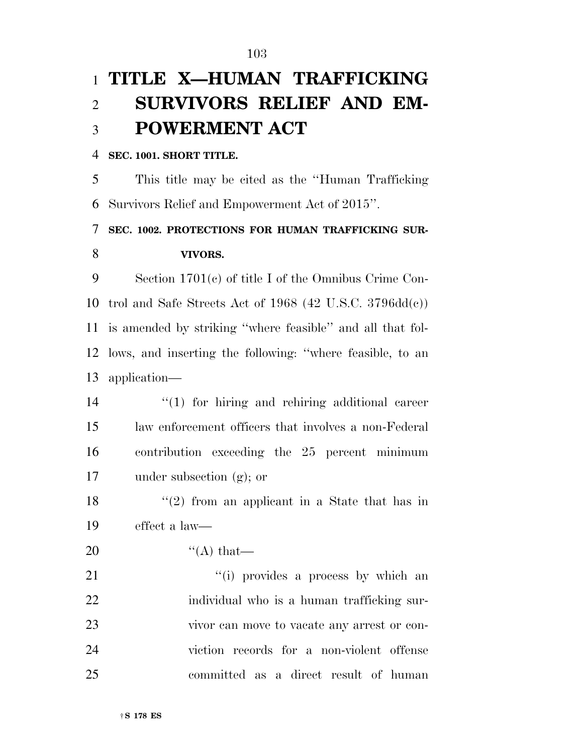# **TITLE X—HUMAN TRAFFICKING SURVIVORS RELIEF AND EM-POWERMENT ACT**

#### **SEC. 1001. SHORT TITLE.**

 This title may be cited as the ''Human Trafficking Survivors Relief and Empowerment Act of 2015''.

 **SEC. 1002. PROTECTIONS FOR HUMAN TRAFFICKING SUR-VIVORS.** 

 Section 1701(c) of title I of the Omnibus Crime Con- trol and Safe Streets Act of 1968 (42 U.S.C. 3796dd(c)) is amended by striking ''where feasible'' and all that fol- lows, and inserting the following: ''where feasible, to an application—

 $\frac{1}{2}$  (1) for hiring and rehiring additional career law enforcement officers that involves a non-Federal contribution exceeding the 25 percent minimum under subsection (g); or

18 ''(2) from an applicant in a State that has in effect a law—

20  $"$  (A) that

21 ''(i) provides a process by which an individual who is a human trafficking sur- vivor can move to vacate any arrest or con- viction records for a non-violent offense committed as a direct result of human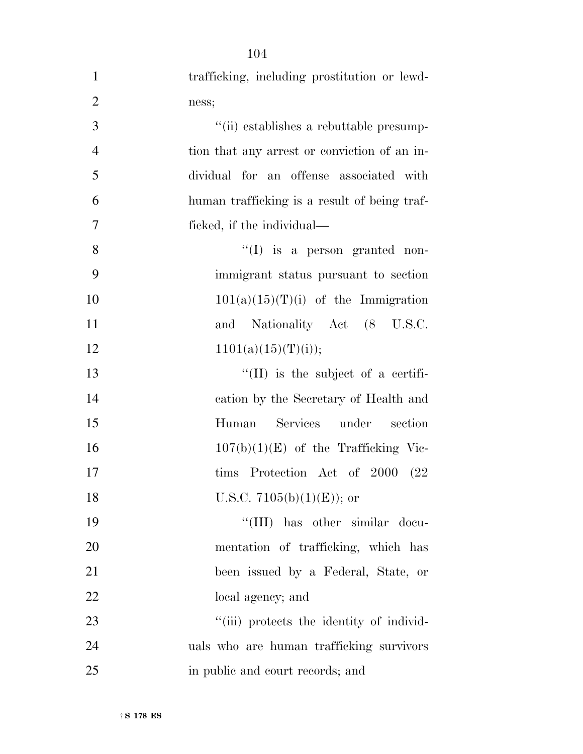| $\mathbf{1}$   | trafficking, including prostitution or lewd- |
|----------------|----------------------------------------------|
| $\overline{2}$ | ness;                                        |
| 3              | "(ii) establishes a rebuttable presump-      |
| $\overline{4}$ | tion that any arrest or conviction of an in- |
| 5              | dividual for an offense associated with      |
| 6              | human trafficking is a result of being traf- |
| 7              | ficked, if the individual—                   |
| 8              | $\lq\lq$ (I) is a person granted non-        |
| 9              | immigrant status pursuant to section         |
| 10             | $101(a)(15)(T)(i)$ of the Immigration        |
| 11             | Nationality Act (8 U.S.C.<br>and             |
| 12             | 1101(a)(15)(T)(i));                          |
| 13             | $\lq\lq$ (II) is the subject of a certifi-   |
| 14             | cation by the Secretary of Health and        |
| 15             | Services under<br>Human<br>section           |
| 16             | $107(b)(1)(E)$ of the Trafficking Vic-       |
| 17             | tims Protection Act of 2000 (22)             |
| 18             | U.S.C. 7105(b)(1)(E)); or                    |
| 19             | "(III) has other similar docu-               |
| 20             | mentation of trafficking, which has          |
| 21             | been issued by a Federal, State, or          |
| 22             | local agency; and                            |
| 23             | "(iii) protects the identity of individ-     |
| 24             | uals who are human trafficking survivors     |
| 25             | in public and court records; and             |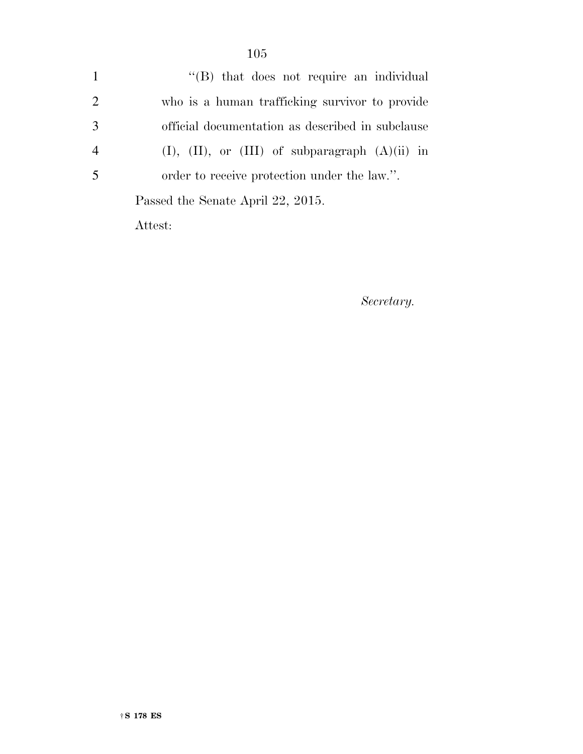1 ''(B) that does not require an individual 2 who is a human trafficking survivor to provide 3 official documentation as described in subclause 4 (I), (II), or (III) of subparagraph (A)(ii) in 5 order to receive protection under the law.''. Passed the Senate April 22, 2015. Attest:

*Secretary.*